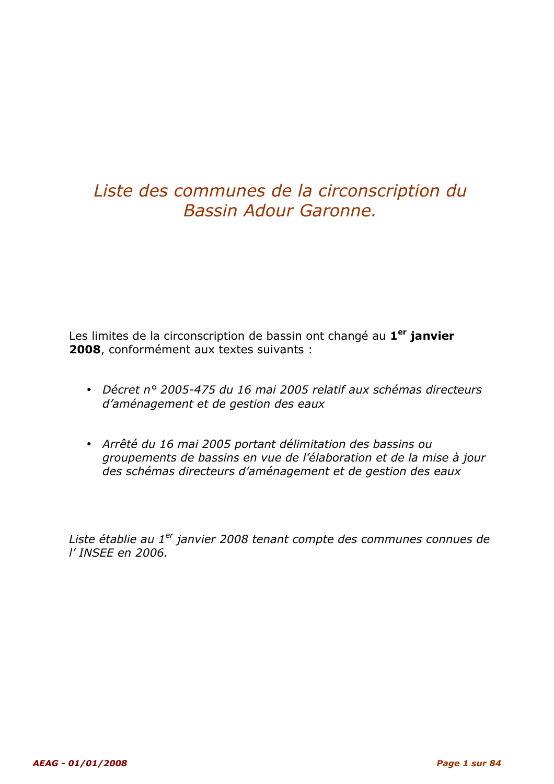### Liste des communes de la circonscription du Bassin Adour Garonne.

Les limites de la circonscription de bassin ont changé au 1<sup>er</sup> janvier 2008, conformément aux textes suivants :

- Décret n° 2005-475 du 16 mai 2005 relatif aux schémas directeurs d'aménagement et de gestion des eaux
- Arrêté du 16 mai 2005 portant délimitation des bassins ou groupements de bassins en vue de l'élaboration et de la mise à jour des schémas directeurs d'aménagement et de gestion des eaux

Liste établie au 1<sup>er</sup> janvier 2008 tenant compte des communes connues de l' INSEE en 2006.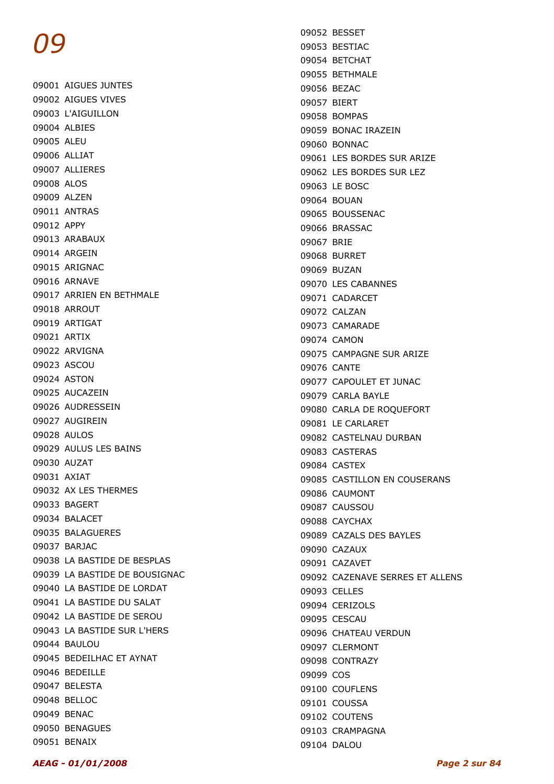09001 AIGUES JUNTES 09002 AIGUES VIVES 09003 L'AIGUILLON 09004 ALBIES 09005 ALEU 09006 ALLIAT 09007 ALLIERES 09008 ALOS 09009 ALZEN 09011 ANTRAS 09012 APPY 09013 ARABAUX 09014 ARGEIN 09015 ARIGNAC 09016 ARNAVE 09017 ARRIEN EN BETHMALE 09018 ARROUT 09019 ARTIGAT 09021 ARTIX 09022 ARVIGNA 09023 ASCOU 09024 ASTON 09025 AUCAZEIN 09026 AUDRESSEIN 09027 AUGIREIN 09028 AULOS 09029 AULUS LES BAINS 09030 AUZAT 09031 AXIAT 09032 AX LES THERMES 09033 BAGERT 09034 BALACET 09035 BALAGUERES 09037 BARJAC 09038 LA BASTIDE DE BESPLAS 09039 LA BASTIDE DE BOUSIGNAC 09040 LA BASTIDE DE LORDAT 09041 LA BASTIDE DU SALAT 09042 LA BASTIDE DE SEROU 09043 LA BASTIDE SUR L'HERS 09044 BAULOU 09045 BEDEILHAC ET AYNAT 09046 BEDEILLE 09047 BELESTA 09048 BELLOC 09049 BENAC 09050 BENAGUES 09051 BENAIX

09052 BESSET 09053 BESTIAC 09054 BETCHAT 09055 BETHMALE 09056 BEZAC 09057 BIERT 09058 BOMPAS 09059 BONAC IRAZEIN 09060 BONNAC 09061 LES BORDES SUR ARIZE 09062 LES BORDES SUR LEZ 09063 LE BOSC 09064 BOUAN 09065 BOUSSENAC 09066 BRASSAC 09067 BRIE 09068 BURRET 09069 BUZAN 09070 LES CABANNES 09071 CADARCET 09072 CALZAN 09073 CAMARADE 09074 CAMON 09075 CAMPAGNE SUR ARIZE 09076 CANTE 09077 CAPOULET ET JUNAC 09079 CARLA BAYLE 09080 CARLA DE ROQUEFORT 09081 LE CARLARET 09082 CASTELNAU DURBAN 09083 CASTERAS 09084 CASTEX 09085 CASTILLON EN COUSERANS 09086 CAUMONT 09087 CAUSSOU 09088 CAYCHAX 09089 CAZALS DES BAYLES 09090 CAZAUX 09091 CAZAVET 09092 CAZENAVE SERRES ET ALLENS 09093 CELLES 09094 CERIZOLS 09095 CESCAU 09096 CHATEAU VERDUN 09097 CLERMONT 09098 CONTRAZY 09099 COS 09100 COUFLENS 09101 COUSSA 09102 COUTENS 09103 CRAMPAGNA 09104 DALOU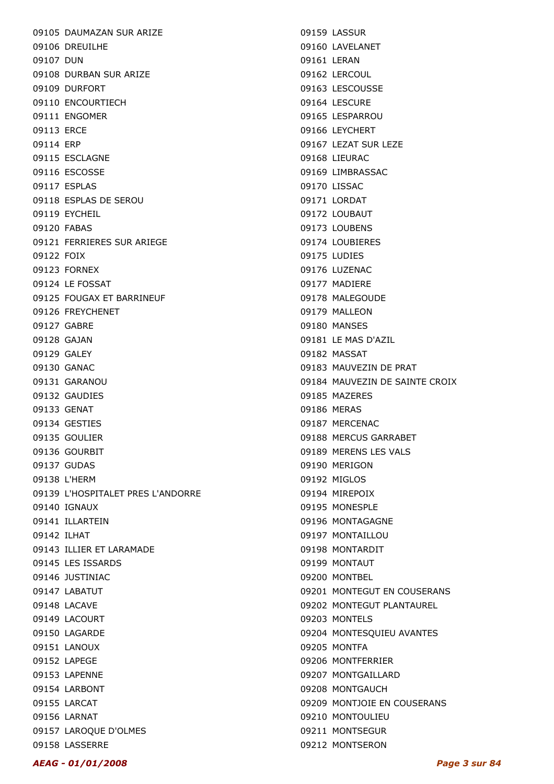09105 DAUMAZAN SUR ARIZE 09106 DREUILHE 09107 DUN 09108 DURBAN SUR ARIZE 09109 DURFORT 09110 ENCOURTIECH 09111 ENGOMER 09113 ERCE 09114 ERP 09115 ESCLAGNE 09116 ESCOSSE 09117 ESPLAS 09118 ESPLAS DE SEROU 09119 EYCHEIL 09120 FABAS 09121 FERRIERES SUR ARIEGE 09122 FOIX 09123 FORNEX 09124 LE FOSSAT 09125 FOUGAX ET BARRINEUF 09126 FREYCHENET 09127 GABRE 09128 GAJAN 09129 GALEY 09130 GANAC 09131 GARANOU 09132 GAUDIES 09133 GENAT 09134 GESTIES 09135 GOULIER 09136 GOURBIT 09137 GUDAS 09138 L'HERM 09139 L'HOSPITALET PRES L'ANDORRE 09140 IGNAUX 09141 ILLARTEIN 09142 ILHAT 09143 ILLIER ET LARAMADE 09145 LES ISSARDS 09146 JUSTINIAC 09147 LABATUT 09148 LACAVE 09149 LACOURT 09150 LAGARDE 09151 LANOUX 09152 LAPEGE 09153 LAPENNE 09154 LARBONT 09155 LARCAT 09156 LARNAT 09157 LAROQUE D'OLMES 09158 LASSERRE

09159 LASSUR 09160 LAVELANET 09161 LERAN 09162 LERCOUL 09163 LESCOUSSE 09164 LESCURE 09165 LESPARROU 09166 LEYCHERT 09167 LEZAT SUR LEZE 09168 LIEURAC 09169 LIMBRASSAC 09170 LISSAC 09171 LORDAT 09172 LOUBAUT 09173 LOUBENS 09174 LOUBIERES 09175 LUDIES 09176 LUZENAC 09177 MADIERE 09178 MALEGOUDE 09179 MALLEON 09180 MANSES 09181 LE MAS D'AZIL 09182 MASSAT 09183 MAUVEZIN DE PRAT 09184 MAUVEZIN DE SAINTE CROIX 09185 MAZERES 09186 MERAS 09187 MERCENAC 09188 MERCUS GARRABET 09189 MERENS LES VALS 09190 MERIGON 09192 MIGLOS 09194 MIREPOIX 09195 MONESPLE 09196 MONTAGAGNE 09197 MONTAILLOU 09198 MONTARDIT 09199 MONTAUT 09200 MONTBEL 09201 MONTEGUT EN COUSERANS 09202 MONTEGUT PLANTAUREL 09203 MONTELS 09204 MONTESQUIEU AVANTES 09205 MONTFA 09206 MONTFERRIER 09207 MONTGAILLARD 09208 MONTGAUCH 09209 MONTJOIE EN COUSERANS 09210 MONTOULIEU 09211 MONTSEGUR 09212 MONTSERON

#### AEAG - 01/01/2008 Page 3 sur 84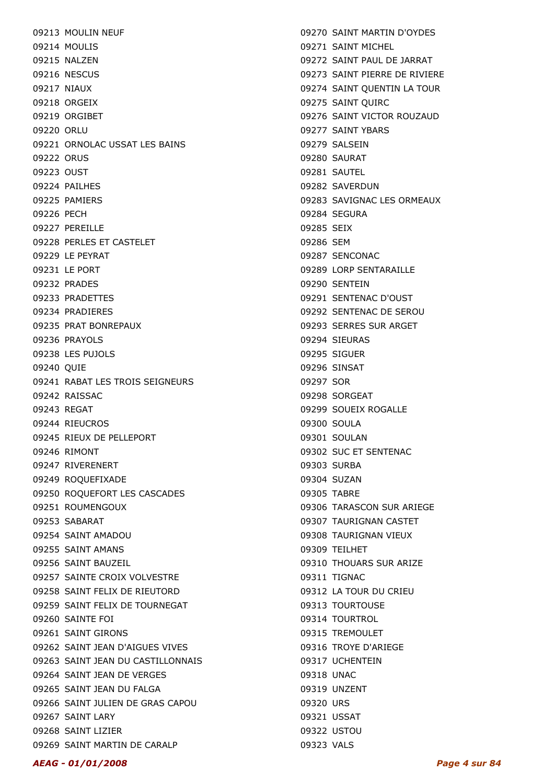09213 MOULIN NEUF 09214 MOULIS 09215 NALZEN 09216 NESCUS 09217 NIAUX 09218 ORGEIX 09219 ORGIBET 09220 ORLU 09221 ORNOLAC USSAT LES BAINS 09222 ORUS 09223 OUST 09224 PAILHES 09225 PAMIERS 09226 PECH 09227 PFRFILLF 09228 PERLES ET CASTELET 09229 LE PEYRAT 09231 LE PORT 09232 PRADES 09233 PRADETTES 09234 PRADIERES 09235 PRAT BONREPAUX 09236 PRAYOLS 09238 LES PUJOLS 09240 QUIE 09241 RABAT LES TROIS SEIGNEURS 09242 RAISSAC 09243 REGAT 09244 RIEUCROS 09245 RIEUX DE PELLEPORT 09246 RIMONT 09247 RIVERENERT 09249 ROQUEFIXADE 09250 ROQUEFORT LES CASCADES 09251 ROUMENGOUX 09253 SABARAT 09254 SAINT AMADOU 09255 SAINT AMANS 09256 SAINT BAUZEIL 09257 SAINTE CROIX VOLVESTRE 09258 SAINT FELIX DE RIEUTORD 09259 SAINT FELIX DE TOURNEGAT 09260 SAINTE FOI 09261 SAINT GIRONS 09262 SAINT JEAN D'AIGUES VIVES 09263 SAINT JEAN DU CASTILLONNAIS 09264 SAINT JEAN DE VERGES 09265 SAINT JEAN DU FALGA 09266 SAINT JULIEN DE GRAS CAPOU 09267 SAINT LARY 09268 SAINT LIZIER 09269 SAINT MARTIN DE CARALP

09270 SAINT MARTIN D'OYDES 09271 SAINT MICHEL 09272 SAINT PAUL DE JARRAT 09273 SAINT PIERRE DE RIVIERE 09274 SAINT QUENTIN LA TOUR 09275 SAINT QUIRC 09276 SAINT VICTOR ROUZAUD 09277 SAINT YBARS 09279 SALSEIN 09280 SAURAT 09281 SAUTEL 09282 SAVERDUN 09283 SAVIGNAC LES ORMEAUX 09284 SEGURA 09285 SEIX 09286 SEM 09287 SENCONAC 09289 LORP SENTARAILLE 09290 SENTEIN 09291 SENTENAC D'OUST 09292 SENTENAC DE SEROU 09293 SERRES SUR ARGET 09294 SIEURAS 09295 SIGUER 09296 SINSAT 09297 SOR 09298 SORGEAT 09299 SOUEIX ROGALLE 09300 SOULA 09301 SOULAN 09302 SUC ET SENTENAC 09303 SURBA 09304 SUZAN 09305 TABRE 09306 TARASCON SUR ARIEGE 09307 TAURIGNAN CASTET 09308 TAURIGNAN VIEUX 09309 TEILHET 09310 THOUARS SUR ARIZE 09311 TIGNAC 09312 LA TOUR DU CRIEU 09313 TOURTOUSE 09314 TOURTROL 09315 TREMOULET 09316 TROYE D'ARIEGE 09317 UCHENTEIN 09318 UNAC 09319 UNZENT 09320 URS 09321 USSAT 09322 USTOU

09323 VALS

#### AEAG - 01/01/2008 Page 4 sur 84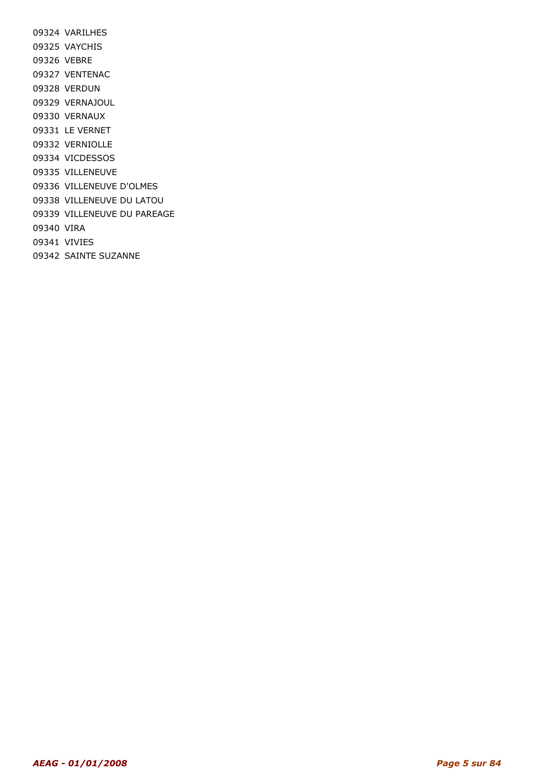09324 VARILHES 09325 VAYCHIS 09326 VEBRE 09327 VENTENAC 09328 VERDUN 09329 VERNAJOUL 09330 VERNAUX 09331 LE VERNET 09332 VERNIOLLE 09334 VICDESSOS 09335 VILLENEUVE 09336 VILLENEUVE D'OLMES 09338 VILLENEUVE DU LATOU 09339 VILLENEUVE DU PAREAGE 09340 VIRA 09341 VIVIES 09342 SAINTE SUZANNE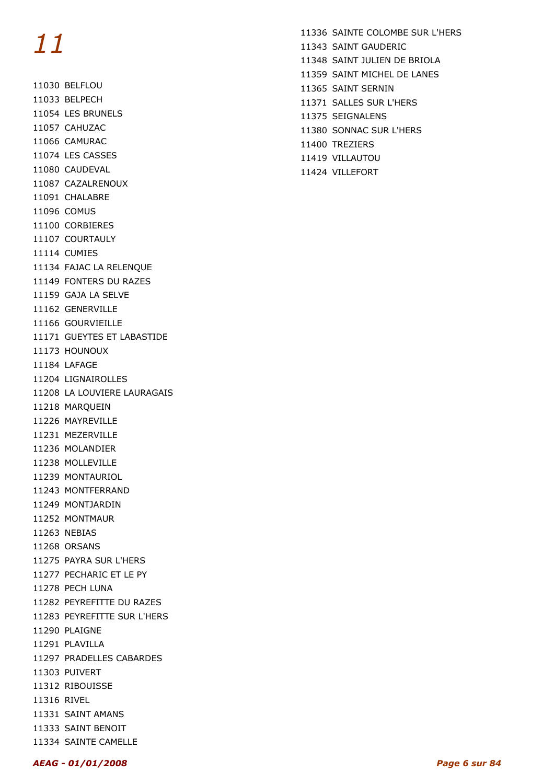11030 BELFLOU 11033 BELPECH 11054 LES BRUNELS 11057 CAHUZAC 11066 CAMURAC 11074 LES CASSES 11080 CAUDEVAL 11087 CAZALRENOUX 11091 CHALABRE 11096 COMUS 11100 CORBIERES 11107 COURTAULY 11114 CUMIES 11134 FAJAC LA RELENQUE 11149 FONTERS DU RAZES 11159 GAJA LA SELVE 11162 GENERVILLE 11166 GOURVIEILLE 11171 GUEYTES ET LABASTIDE 11173 HOUNOUX 11184 LAFAGE 11204 LIGNAIROLLES 11208 LA LOUVIERE LAURAGAIS 11218 MARQUEIN 11226 MAYREVILLE 11231 MEZERVILLE 11236 MOLANDIER 11238 MOLLEVILLE 11239 MONTAURIOL 11243 MONTFERRAND 11249 MONTJARDIN 11252 MONTMAUR 11263 NEBIAS 11268 ORSANS 11275 PAYRA SUR L'HERS 11277 PECHARIC ET LE PY 11278 PECH LUNA 11282 PEYREFITTE DU RAZES 11283 PEYREFITTE SUR L'HERS 11290 PLAIGNE 11291 PLAVILLA 11297 PRADELLES CABARDES 11303 PUIVERT 11312 RIBOUISSE 11316 RIVEL 11331 SAINT AMANS 11333 SAINT BENOIT

11334 SAINTE CAMELLE

- 11336 SAINTE COLOMBE SUR L'HERS 11343 SAINT GAUDERIC 11348 SAINT JULIEN DE BRIOLA 11359 SAINT MICHEL DE LANES 11365 SAINT SERNIN 11371 SALLES SUR L'HERS 11375 SEIGNALENS 11380 SONNAC SUR L'HERS
- 
- 11400 TREZIERS
- 11419 VILLAUTOU
- 11424 VILLEFORT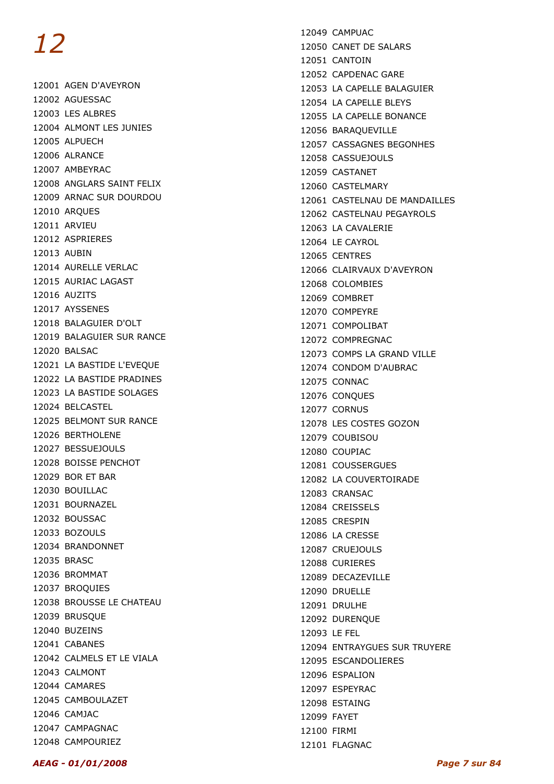12001 AGEN D'AVEYRON 12002 AGUESSAC 12003 LES ALBRES 12004 ALMONT LES JUNIES 12005 ALPUECH 12006 ALRANCE 12007 AMBEYRAC 12008 ANGLARS SAINT FELIX 12009 ARNAC SUR DOURDOU 12010 ARQUES 12011 ARVIEU 12012 ASPRIERES 12013 AUBIN 12014 AURELLE VERLAC 12015 AURIAC LAGAST 12016 AUZITS 12017 AYSSENES 12018 BALAGUIER D'OLT 12019 BALAGUIER SUR RANCE 12020 BALSAC 12021 LA BASTIDE L'EVEQUE 12022 LA BASTIDE PRADINES 12023 LA BASTIDE SOLAGES 12024 BELCASTEL 12025 BELMONT SUR RANCE 12026 BERTHOLENE 12027 BESSUEJOULS 12028 BOISSE PENCHOT 12029 BOR ET BAR 12030 BOUILLAC 12031 BOURNAZEL 12032 BOUSSAC 12033 BOZOULS 12034 BRANDONNET 12035 BRASC 12036 BROMMAT 12037 BROQUIES 12038 BROUSSE LE CHATEAU 12039 BRUSQUE 12040 BUZEINS 12041 CABANES 12042 CALMELS ET LE VIALA 12043 CALMONT 12044 CAMARES 12045 CAMBOULAZET 12046 CAMJAC 12047 CAMPAGNAC 12048 CAMPOURIEZ

12049 CAMPUAC 12050 CANET DE SALARS 12051 CANTOIN 12052 CAPDENAC GARE 12053 LA CAPELLE BALAGUIER 12054 LA CAPELLE BLEYS 12055 LA CAPELLE BONANCE 12056 BARAQUEVILLE 12057 CASSAGNES BEGONHES 12058 CASSUEJOULS 12059 CASTANET 12060 CASTELMARY 12061 CASTELNAU DE MANDAILLES 12062 CASTELNAU PEGAYROLS 12063 LA CAVALERIE 12064 LE CAYROL 12065 CENTRES 12066 CLAIRVAUX D'AVEYRON 12068 COLOMBIES 12069 COMBRET 12070 COMPEYRE 12071 COMPOLIBAT 12072 COMPREGNAC 12073 COMPS LA GRAND VILLE 12074 CONDOM D'AUBRAC 12075 CONNAC 12076 CONQUES 12077 CORNUS 12078 LES COSTES GOZON 12079 COUBISOU 12080 COUPIAC 12081 COUSSERGUES 12082 LA COUVERTOIRADE 12083 CRANSAC 12084 CREISSELS 12085 CRESPIN 12086 LA CRESSE 12087 CRUEJOULS 12088 CURIERES 12089 DECAZEVILLE 12090 DRUELLE 12091 DRULHE 12092 DURENQUE 12093 LE FEL 12094 ENTRAYGUES SUR TRUYERE 12095 ESCANDOLIERES 12096 ESPALION 12097 ESPEYRAC 12098 ESTAING 12099 FAYET 12100 FIRMI 12101 FLAGNAC

#### AEAG - 01/01/2008 Page 7 sur 84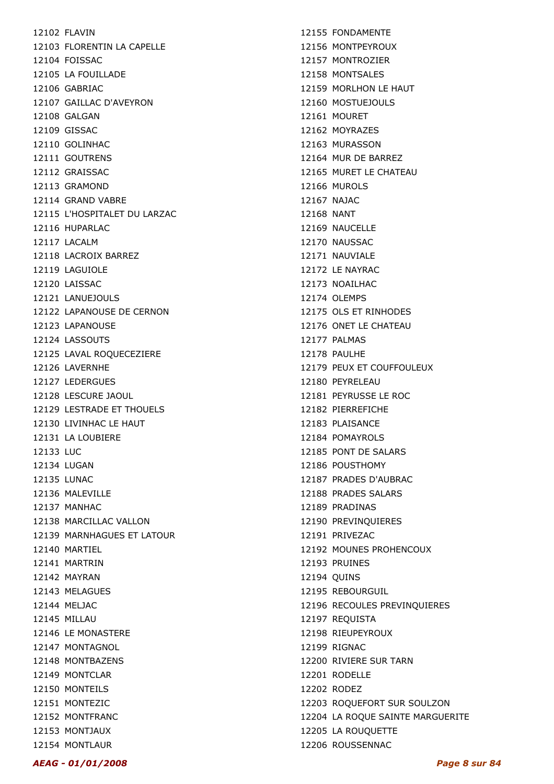12102 FLAVIN 12103 FLORENTIN LA CAPELLE 12104 FOISSAC 12105 LA FOUILLADE 12106 GABRIAC 12107 GAILLAC D'AVEYRON 12108 GALGAN 12109 GISSAC 12110 GOLINHAC 12111 GOUTRENS 12112 GRAISSAC 12113 GRAMOND 12114 GRAND VABRE 12115 L'HOSPITALET DU LARZAC 12116 HUPARLAC 12117 LACALM 12118 LACROIX BARREZ 12119 LAGUIOLE 12120 LAISSAC 12121 LANUEJOULS 12122 LAPANOUSE DE CERNON 12123 LAPANOUSE 12124 LASSOUTS 12125 LAVAL ROQUECEZIERE 12126 LAVERNHE 12127 LEDERGUES 12128 LESCURE JAOUL 12129 LESTRADE ET THOUELS 12130 LIVINHAC LE HAUT 12131 LA LOUBIERE 12133 LUC 12134 LUGAN 12135 LUNAC 12136 MALEVILLE 12137 MANHAC 12138 MARCILLAC VALLON 12139 MARNHAGUES ET LATOUR 12140 MARTIEL 12141 MARTRIN 12142 MAYRAN 12143 MELAGUES 12144 MELJAC 12145 MILLAU 12146 LE MONASTERE 12147 MONTAGNOL 12148 MONTBAZENS 12149 MONTCLAR 12150 MONTEILS 12151 MONTEZIC 12152 MONTFRANC 12153 MONTJAUX 12154 MONTLAUR

12155 FONDAMENTE 12156 MONTPEYROUX 12157 MONTROZIER 12158 MONTSALES 12159 MORLHON LE HAUT 12160 MOSTUEJOULS 12161 MOURET 12162 MOYRAZES 12163 MURASSON 12164 MUR DE BARREZ 12165 MURET LE CHATEAU 12166 MUROLS 12167 NAJAC 12168 NANT 12169 NAUCELLE 12170 NAUSSAC 12171 NAUVIALE 12172 LE NAYRAC 12173 NOAILHAC 12174 OLEMPS 12175 OLS ET RINHODES 12176 ONET LE CHATEAU 12177 PALMAS 12178 PAULHE 12179 PEUX ET COUFFOULEUX 12180 PEYRELEAU 12181 PEYRUSSE LE ROC 12182 PIERREFICHE 12183 PLAISANCE 12184 POMAYROLS 12185 PONT DE SALARS 12186 POUSTHOMY 12187 PRADES D'AUBRAC 12188 PRADES SALARS 12189 PRADINAS 12190 PREVINQUIERES 12191 PRIVEZAC 12192 MOUNES PROHENCOUX 12193 PRUINES 12194 QUINS 12195 REBOURGUIL 12196 RECOULES PREVINQUIERES 12197 REQUISTA 12198 RIEUPEYROUX 12199 RIGNAC 12200 RIVIERE SUR TARN 12201 RODELLE 12202 RODEZ 12203 ROQUEFORT SUR SOULZON 12204 LA ROQUE SAINTE MARGUERITE 12205 LA ROUQUETTE 12206 ROUSSENNAC

AEAG - 01/01/2008 Page 8 sur 84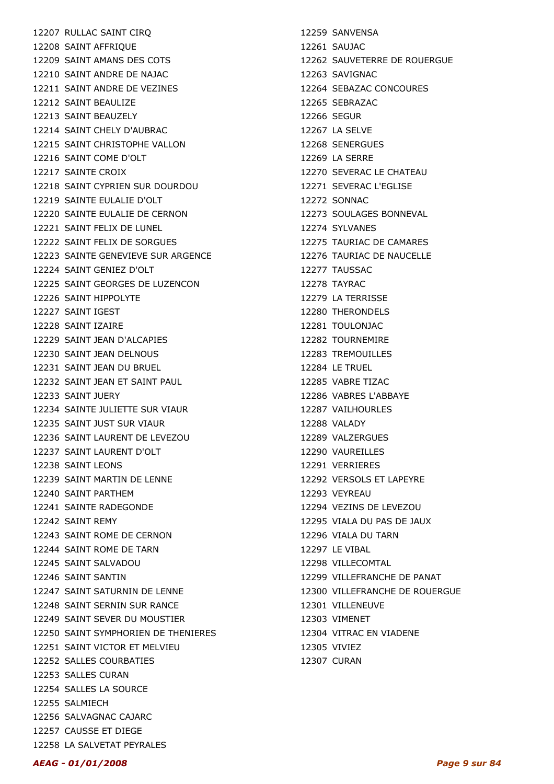12207 RULLAC SAINT CIRQ 12208 SAINT AFFRIQUE 12209 SAINT AMANS DES COTS 12210 SAINT ANDRE DE NAJAC 12211 SAINT ANDRE DE VEZINES 12212 SAINT BEAULIZE 12213 SAINT BEAUZELY 12214 SAINT CHELY D'AUBRAC 12215 SAINT CHRISTOPHE VALLON 12216 SAINT COME D'OLT 12217 SAINTE CROIX 12218 SAINT CYPRIEN SUR DOURDOU 12219 SAINTE EULALIE D'OLT 12220 SAINTE EULALIE DE CERNON 12221 SAINT FELIX DE LUNEL 12222 SAINT FELIX DE SORGUES 12223 SAINTE GENEVIEVE SUR ARGENCE 12224 SAINT GENIEZ D'OLT 12225 SAINT GEORGES DE LUZENCON 12226 SAINT HIPPOLYTE 12227 SAINT IGEST 12228 SAINT IZAIRE 12229 SAINT JEAN D'ALCAPIES 12230 SAINT JEAN DELNOUS 12231 SAINT JEAN DU BRUEL 12232 SAINT JEAN ET SAINT PAUL 12233 SAINT JUERY 12234 SAINTE JULIETTE SUR VIAUR 12235 SAINT JUST SUR VIAUR 12236 SAINT LAURENT DE LEVEZOU 12237 SAINT LAURENT D'OLT 12238 SAINT LEONS 12239 SAINT MARTIN DE LENNE 12240 SAINT PARTHEM 12241 SAINTE RADEGONDE 12242 SAINT REMY 12243 SAINT ROME DE CERNON 12244 SAINT ROME DE TARN 12245 SAINT SALVADOU 12246 SAINT SANTIN 12247 SAINT SATURNIN DE LENNE 12248 SAINT SERNIN SUR RANCE 12249 SAINT SEVER DU MOUSTIER 12250 SAINT SYMPHORIEN DE THENIERES 12251 SAINT VICTOR ET MELVIEU 12252 SALLES COURBATIES 12253 SALLES CURAN 12254 SALLES LA SOURCE 12255 SALMIECH 12256 SALVAGNAC CAJARC 12257 CAUSSE ET DIEGE 12258 LA SALVETAT PEYRALES

12259 SANVENSA 12261 SAUJAC 12262 SAUVETERRE DE ROUERGUE 12263 SAVIGNAC 12264 SEBAZAC CONCOURES 12265 SEBRAZAC 12266 SEGUR 12267 LA SELVE 12268 SENERGUES 12269 LA SERRE 12270 SEVERAC LE CHATEAU 12271 SEVERAC L'EGLISE 12272 SONNAC 12273 SOULAGES BONNEVAL 12274 SYLVANES 12275 TAURIAC DE CAMARES 12276 TAURIAC DE NAUCELLE 12277 TAUSSAC 12278 TAYRAC 12279 LA TERRISSE 12280 THERONDELS 12281 TOULONJAC 12282 TOURNEMIRE 12283 TREMOUILLES 12284 LE TRUEL 12285 VABRE TIZAC 12286 VABRES L'ABBAYE 12287 VAILHOURLES 12288 VALADY 12289 VALZERGUES 12290 VAUREILLES 12291 VERRIERES 12292 VERSOLS ET LAPEYRE 12293 VEYREAU 12294 VEZINS DE LEVEZOU 12295 VIALA DU PAS DE JAUX 12296 VIALA DU TARN 12297 LE VIBAL 12298 VILLECOMTAL 12299 VILLEFRANCHE DE PANAT 12300 VILLEFRANCHE DE ROUERGUE 12301 VILLENEUVE 12303 VIMENET 12304 VITRAC EN VIADENE 12305 VIVIEZ 12307 CURAN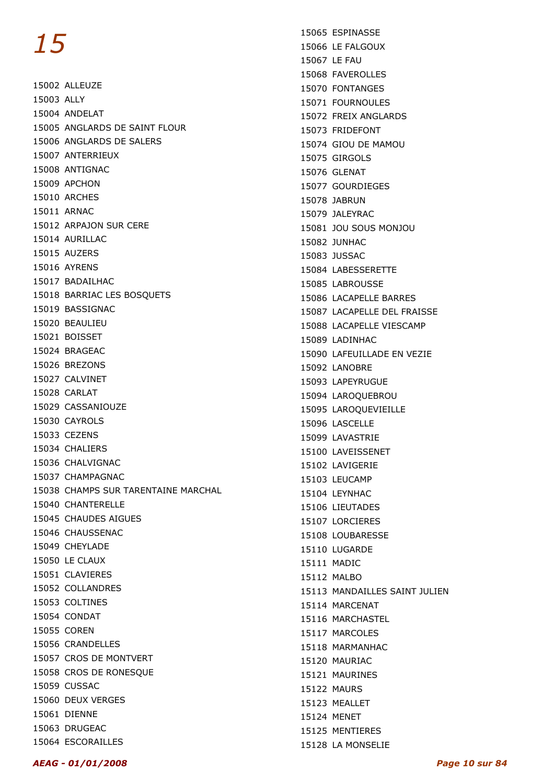15002 ALLEUZE 15003 ALLY 15004 ANDELAT 15005 ANGLARDS DE SAINT FLOUR 15006 ANGLARDS DE SALERS 15007 ANTERRIEUX 15008 ANTIGNAC 15009 APCHON 15010 ARCHES 15011 ARNAC 15012 ARPAJON SUR CERE 15014 AURILLAC 15015 AUZERS 15016 AYRENS 15017 BADAILHAC 15018 BARRIAC LES BOSQUETS 15019 BASSIGNAC 15020 BEAULIEU 15021 BOISSET 15024 BRAGEAC 15026 BREZONS 15027 CALVINET 15028 CARLAT 15029 CASSANIOUZE 15030 CAYROLS 15033 CEZENS 15034 CHALIERS 15036 CHALVIGNAC 15037 CHAMPAGNAC 15038 CHAMPS SUR TARENTAINE MARCHAL 15040 CHANTERELLE 15045 CHAUDES AIGUES 15046 CHAUSSENAC 15049 CHEYLADE 15050 LE CLAUX 15051 CLAVIERES 15052 COLLANDRES 15053 COLTINES 15054 CONDAT 15055 COREN 15056 CRANDELLES 15057 CROS DE MONTVERT 15058 CROS DE RONESQUE 15059 CUSSAC 15060 DEUX VERGES 15061 DIENNE 15063 DRUGEAC 15064 ESCORAILLES

15065 ESPINASSE 15066 LE FALGOUX 15067 LE FAU 15068 FAVEROLLES 15070 FONTANGES 15071 FOURNOULES 15072 FREIX ANGLARDS 15073 FRIDEFONT 15074 GIOU DE MAMOU 15075 GIRGOLS 15076 GLENAT 15077 GOURDIEGES 15078 JABRUN 15079 JALEYRAC 15081 JOU SOUS MONJOU 15082 JUNHAC 15083 JUSSAC 15084 LABESSERETTE 15085 LABROUSSE 15086 LACAPELLE BARRES 15087 LACAPELLE DEL FRAISSE 15088 LACAPELLE VIESCAMP 15089 LADINHAC 15090 LAFEUILLADE EN VEZIE 15092 LANOBRE 15093 LAPEYRUGUE 15094 LAROQUEBROU 15095 LAROQUEVIEILLE 15096 LASCELLE 15099 LAVASTRIE 15100 LAVEISSENET 15102 LAVIGERIE 15103 LEUCAMP 15104 LEYNHAC 15106 LIEUTADES 15107 LORCIERES 15108 LOUBARESSE 15110 LUGARDE 15111 MADIC 15112 MALBO 15113 MANDAILLES SAINT JULIEN 15114 MARCENAT 15116 MARCHASTEL 15117 MARCOLES 15118 MARMANHAC 15120 MAURIAC 15121 MAURINES 15122 MAURS 15123 MEALLET 15124 MENET 15125 MENTIERES 15128 LA MONSELIE

#### AEAG - 01/01/2008 Page 10 sur 84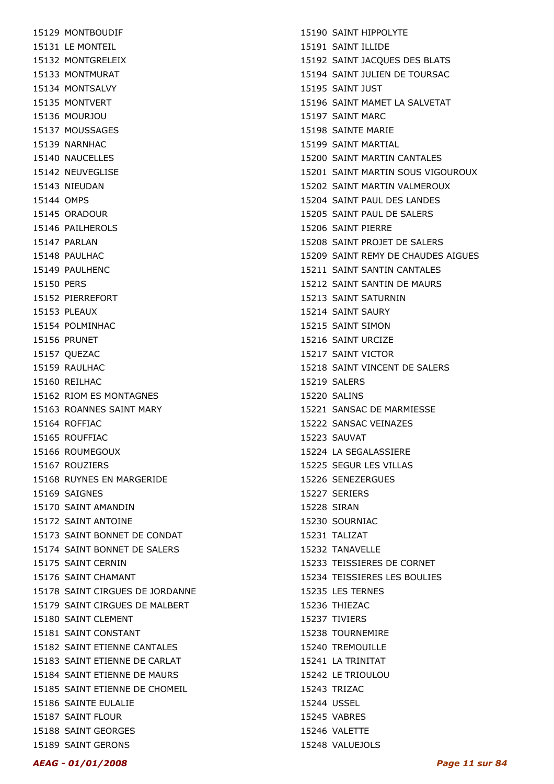15129 MONTBOUDIF 15131 LE MONTEIL 15132 MONTGRELEIX 15133 MONTMURAT 15134 MONTSALVY 15135 MONTVERT 15136 MOURJOU 15137 MOUSSAGES 15139 NARNHAC 15140 NAUCELLES 15142 NEUVEGLISE 15143 NIEUDAN 15144 OMPS 15145 ORADOUR 15146 PAILHEROLS 15147 PARLAN 15148 PAULHAC 15149 PAULHENC 15150 PERS 15152 PIERREFORT 15153 PLEAUX 15154 POLMINHAC 15156 PRUNET 15157 QUEZAC 15159 RAULHAC 15160 REILHAC 15162 RIOM ES MONTAGNES 15163 ROANNES SAINT MARY 15164 ROFFIAC 15165 ROUFFIAC 15166 ROUMEGOUX 15167 ROUZIERS 15168 RUYNES EN MARGERIDE 15169 SAIGNES 15170 SAINT AMANDIN 15172 SAINT ANTOINE 15173 SAINT BONNET DE CONDAT 15174 SAINT BONNET DE SALERS 15175 SAINT CERNIN 15176 SAINT CHAMANT 15178 SAINT CIRGUES DE JORDANNE 15179 SAINT CIRGUES DE MALBERT 15180 SAINT CLEMENT 15181 SAINT CONSTANT 15182 SAINT ETIENNE CANTALES 15183 SAINT ETIENNE DE CARLAT 15184 SAINT ETIENNE DE MAURS 15185 SAINT ETIENNE DE CHOMEIL 15186 SAINTE EULALIE 15187 SAINT FLOUR 15188 SAINT GEORGES 15189 SAINT GERONS

15190 SAINT HIPPOLYTE 15191 SAINT ILLIDE 15192 SAINT JACQUES DES BLATS 15194 SAINT JULIEN DE TOURSAC 15195 SAINT JUST 15196 SAINT MAMET LA SALVETAT 15197 SAINT MARC 15198 SAINTE MARIE 15199 SAINT MARTIAL 15200 SAINT MARTIN CANTALES 15201 SAINT MARTIN SOUS VIGOUROUX 15202 SAINT MARTIN VALMEROUX 15204 SAINT PAUL DES LANDES 15205 SAINT PAUL DE SALERS 15206 SAINT PIERRE 15208 SAINT PROJET DE SALERS 15209 SAINT REMY DE CHAUDES AIGUES 15211 SAINT SANTIN CANTALES 15212 SAINT SANTIN DE MAURS 15213 SAINT SATURNIN 15214 SAINT SAURY 15215 SAINT SIMON 15216 SAINT URCIZE 15217 SAINT VICTOR 15218 SAINT VINCENT DE SALERS 15219 SALERS 15220 SALINS 15221 SANSAC DE MARMIESSE 15222 SANSAC VEINAZES 15223 SAUVAT 15224 LA SEGALASSIERE 15225 SEGUR LES VILLAS 15226 SENEZERGUES 15227 SERIERS 15228 SIRAN 15230 SOURNIAC 15231 TALIZAT 15232 TANAVELLE 15233 TEISSIERES DE CORNET 15234 TEISSIERES LES BOULIES 15235 LES TERNES 15236 THIEZAC 15237 TIVIERS 15238 TOURNEMIRE 15240 TREMOUILLE 15241 LA TRINITAT 15242 LE TRIOULOU 15243 TRIZAC 15244 USSEL 15245 VABRES 15246 VALETTE 15248 VALUEJOLS

#### AEAG - 01/01/2008 Page 11 sur 84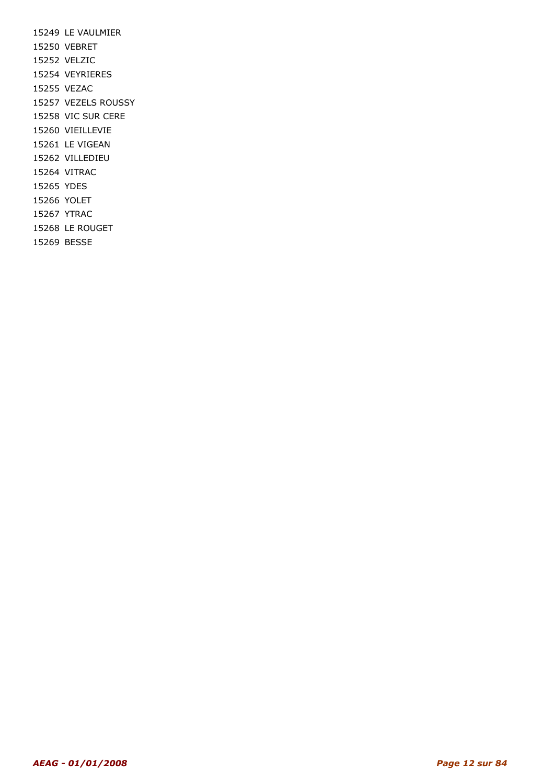15249 LE VAULMIER 15250 VEBRET 15252 VELZIC 15254 VEYRIERES 15255 VEZAC 15257 VEZELS ROUSSY 15258 VIC SUR CERE 15260 VIEILLEVIE 15261 LE VIGEAN 15262 VILLEDIEU 15264 VITRAC 15265 YDES 15266 YOLET 15267 YTRAC 15268 LE ROUGET 15269 BESSE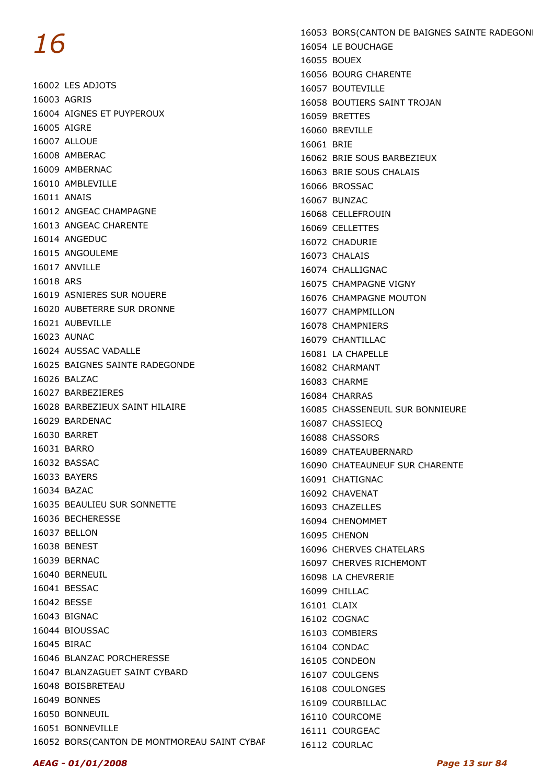16002 LES ADJOTS 16003 AGRIS 16004 AIGNES ET PUYPEROUX 16005 AIGRE 16007 ALLOUE 16008 AMBERAC 16009 AMBERNAC 16010 AMBLEVILLE 16011 ANAIS 16012 ANGEAC CHAMPAGNE 16013 ANGEAC CHARENTE 16014 ANGEDUC 16015 ANGOULEME 16017 ANVILLE 16018 ARS 16019 ASNIERES SUR NOUERE 16020 AUBETERRE SUR DRONNE 16021 AUBEVILLE 16023 AUNAC 16024 AUSSAC VADALLE 16025 BAIGNES SAINTE RADEGONDE 16026 BALZAC 16027 BARBEZIERES 16028 BARBEZIEUX SAINT HILAIRE 16029 BARDENAC 16030 BARRET 16031 BARRO 16032 BASSAC 16033 BAYERS 16034 BAZAC 16035 BEAULIEU SUR SONNETTE 16036 BECHERESSE 16037 BELLON 16038 BENEST 16039 BERNAC 16040 BERNEUIL 16041 BESSAC 16042 BESSE 16043 BIGNAC 16044 BIOUSSAC 16045 BIRAC 16046 BLANZAC PORCHERESSE 16047 BLANZAGUET SAINT CYBARD 16048 BOISBRETEAU 16049 BONNES 16050 BONNEUIL 16051 BONNEVILLE 16052 BORS(CANTON DE MONTMOREAU SAINT CYBAF

16053 BORS(CANTON DE BAIGNES SAINTE RADEGONI 16054 LE BOUCHAGE 16055 BOUEX 16056 BOURG CHARENTE 16057 BOUTEVILLE 16058 BOUTIERS SAINT TROJAN 16059 BRETTES 16060 BREVILLE 16061 BRIE 16062 BRIE SOUS BARBEZIEUX 16063 BRIE SOUS CHALAIS 16066 BROSSAC 16067 BUNZAC 16068 CELLEFROUIN 16069 CELLETTES 16072 CHADURIE 16073 CHALAIS 16074 CHALLIGNAC 16075 CHAMPAGNE VIGNY 16076 CHAMPAGNE MOUTON 16077 CHAMPMILLON 16078 CHAMPNIERS 16079 CHANTILLAC 16081 LA CHAPELLE 16082 CHARMANT 16083 CHARME 16084 CHARRAS 16085 CHASSENEUIL SUR BONNIEURE 16087 CHASSIECQ 16088 CHASSORS 16089 CHATEAUBERNARD 16090 CHATEAUNEUF SUR CHARENTE 16091 CHATIGNAC 16092 CHAVENAT 16093 CHAZELLES 16094 CHENOMMET 16095 CHENON 16096 CHERVES CHATELARS 16097 CHERVES RICHEMONT 16098 LA CHEVRERIE 16099 CHILLAC 16101 CLAIX 16102 COGNAC 16103 COMBIERS 16104 CONDAC 16105 CONDEON 16107 COULGENS 16108 COULONGES 16109 COURBILLAC 16110 COURCOME 16111 COURGEAC

16112 COURLAC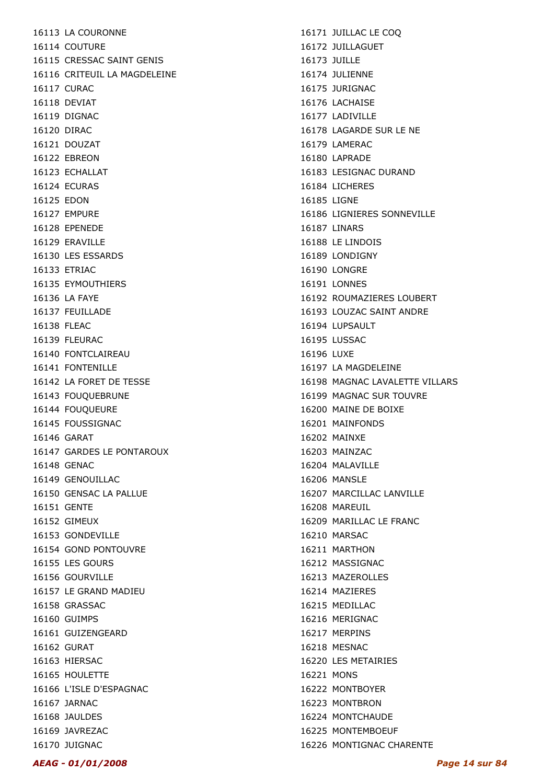16113 LA COURONNE 16114 COUTURE 16115 CRESSAC SAINT GENIS 16116 CRITEUIL LA MAGDELEINE 16117 CURAC 16118 DEVIAT 16119 DIGNAC 16120 DIRAC 16121 DOUZAT 16122 EBREON 16123 ECHALLAT 16124 ECURAS 16125 EDON 16127 EMPURE 16128 EPENEDE 16129 FRAVILLE 16130 LES ESSARDS 16133 ETRIAC 16135 EYMOUTHIERS 16136 LA FAYE 16137 FEUILLADE 16138 FLEAC 16139 FLEURAC 16140 FONTCLAIREAU 16141 FONTENILLE 16142 LA FORET DE TESSE 16143 FOUQUEBRUNE 16144 FOUQUEURE 16145 FOUSSIGNAC 16146 GARAT 16147 GARDES LE PONTAROUX 16148 GENAC 16149 GENOUILLAC 16150 GENSAC LA PALLUE 16151 GENTE 16152 GIMEUX 16153 GONDEVILLE 16154 GOND PONTOUVRE 16155 LES GOURS 16156 GOURVILLE 16157 LE GRAND MADIEU 16158 GRASSAC 16160 GUIMPS 16161 GUIZENGEARD 16162 GURAT 16163 HIERSAC 16165 HOULETTE 16166 L'ISLE D'ESPAGNAC 16167 JARNAC 16168 JAULDES 16169 JAVREZAC 16170 JUIGNAC

16171 JUILLAC LE COQ 16172 JUILLAGUET 16173 JUILLE 16174 JULIENNE 16175 JURIGNAC 16176 LACHAISE 16177 LADIVILLE 16178 LAGARDE SUR LE NE 16179 LAMERAC 16180 LAPRADE 16183 LESIGNAC DURAND 16184 LICHERES 16185 LIGNE 16186 LIGNIERES SONNEVILLE 16187 LINARS 16188 LE LINDOIS 16189 LONDIGNY 16190 LONGRE 16191 LONNES 16192 ROUMAZIERES LOUBERT 16193 LOUZAC SAINT ANDRE 16194 LUPSAULT 16195 LUSSAC 16196 LUXE 16197 LA MAGDELEINE 16198 MAGNAC LAVALETTE VILLARS 16199 MAGNAC SUR TOUVRE 16200 MAINE DE BOIXE 16201 MAINFONDS 16202 MAINXE 16203 MAINZAC 16204 MALAVILLE 16206 MANSLE 16207 MARCILLAC LANVILLE 16208 MAREUIL 16209 MARILLAC LE FRANC 16210 MARSAC 16211 MARTHON 16212 MASSIGNAC 16213 MAZEROLLES 16214 MAZIERES 16215 MEDILLAC 16216 MERIGNAC 16217 MERPINS 16218 MESNAC 16220 LES METAIRIES 16221 MONS 16222 MONTBOYER 16223 MONTBRON 16224 MONTCHAUDE 16225 MONTEMBOEUF 16226 MONTIGNAC CHARENTE

#### AEAG - 01/01/2008 Page 14 sur 84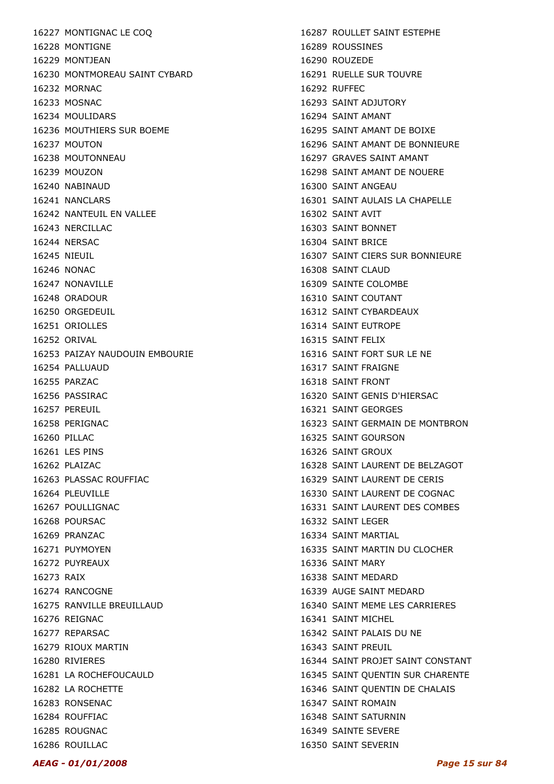16227 MONTIGNAC LE COQ 16228 MONTIGNE 16229 MONTJEAN 16230 MONTMOREAU SAINT CYBARD 16232 MORNAC 16233 MOSNAC 16234 MOULIDARS 16236 MOUTHIERS SUR BOEME 16237 MOUTON 16238 MOUTONNEAU 16239 MOUZON 16240 NABINAUD 16241 NANCLARS 16242 NANTEUIL EN VALLEE 16243 NERCILLAC 16244 NERSAC 16245 NIEUIL 16246 NONAC 16247 NONAVILLE 16248 ORADOUR 16250 ORGEDEUIL 16251 ORIOLLES 16252 ORIVAL 16253 PAIZAY NAUDOUIN EMBOURIE 16254 PALLUAUD 16255 PARZAC 16256 PASSIRAC 16257 PEREUIL 16258 PERIGNAC 16260 PILLAC 16261 LES PINS 16262 PLAIZAC 16263 PLASSAC ROUFFIAC 16264 PLEUVILLE 16267 POULLIGNAC 16268 POURSAC 16269 PRANZAC 16271 PUYMOYEN 16272 PUYREAUX 16273 RAIX 16274 RANCOGNE 16275 RANVILLE BREUILLAUD 16276 REIGNAC 16277 REPARSAC 16279 RIOUX MARTIN 16280 RIVIERES 16281 LA ROCHEFOUCAULD 16282 LA ROCHETTE 16283 RONSENAC 16284 ROUFFIAC 16285 ROUGNAC 16286 ROUILLAC

16287 ROULLET SAINT ESTEPHE 16289 ROUSSINES 16290 ROUZEDE 16291 RUELLE SUR TOUVRE 16292 RUFFEC 16293 SAINT ADJUTORY 16294 SAINT AMANT 16295 SAINT AMANT DE BOIXE 16296 SAINT AMANT DE BONNIEURE 16297 GRAVES SAINT AMANT 16298 SAINT AMANT DE NOUERE 16300 SAINT ANGEAU 16301 SAINT AULAIS LA CHAPELLE 16302 SAINT AVIT 16303 SAINT BONNET 16304 SAINT BRICE 16307 SAINT CIERS SUR BONNIEURE 16308 SAINT CLAUD 16309 SAINTE COLOMBE 16310 SAINT COUTANT 16312 SAINT CYBARDEAUX 16314 SAINT EUTROPE 16315 SAINT FELIX 16316 SAINT FORT SUR LE NE 16317 SAINT FRAIGNE 16318 SAINT FRONT 16320 SAINT GENIS D'HIERSAC 16321 SAINT GEORGES 16323 SAINT GERMAIN DE MONTBRON 16325 SAINT GOURSON 16326 SAINT GROUX 16328 SAINT LAURENT DE BELZAGOT 16329 SAINT LAURENT DE CERIS 16330 SAINT LAURENT DE COGNAC 16331 SAINT LAURENT DES COMBES 16332 SAINT LEGER 16334 SAINT MARTIAL 16335 SAINT MARTIN DU CLOCHER 16336 SAINT MARY 16338 SAINT MEDARD 16339 AUGE SAINT MEDARD 16340 SAINT MEME LES CARRIERES 16341 SAINT MICHEL 16342 SAINT PALAIS DU NE 16343 SAINT PREUIL 16344 SAINT PROJET SAINT CONSTANT 16345 SAINT QUENTIN SUR CHARENTE 16346 SAINT QUENTIN DE CHALAIS 16347 SAINT ROMAIN 16348 SAINT SATURNIN 16349 SAINTE SEVERE 16350 SAINT SEVERIN

AEAG - 01/01/2008 Page 15 sur 84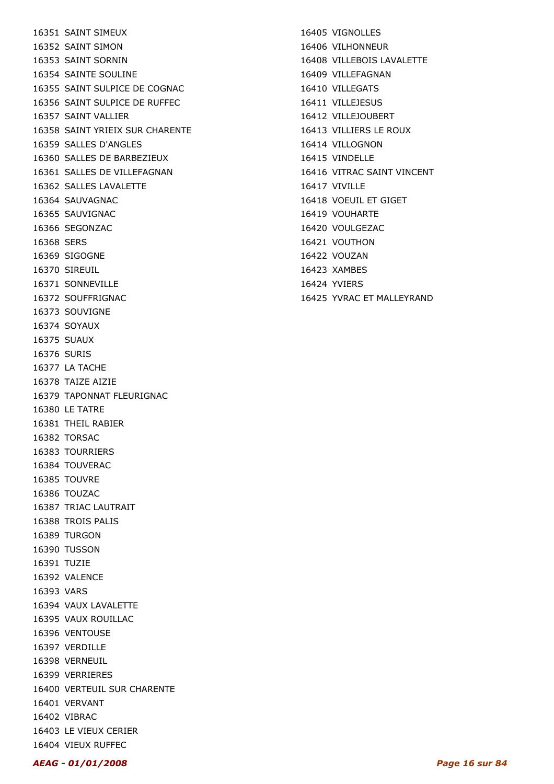16351 SAINT SIMEUX 16352 SAINT SIMON 16353 SAINT SORNIN 16354 SAINTE SOULINE 16355 SAINT SULPICE DE COGNAC 16356 SAINT SULPICE DE RUFFEC 16357 SAINT VALLIER 16358 SAINT YRIEIX SUR CHARENTE 16359 SALLES D'ANGLES 16360 SALLES DE BARBEZIEUX 16361 SALLES DE VILLEFAGNAN 16362 SALLES LAVALETTE 16364 SAUVAGNAC 16365 SAUVIGNAC 16366 SEGONZAC 16368 SERS 16369 SIGOGNE 16370 SIREUIL 16371 SONNEVILLE 16372 SOUFFRIGNAC 16373 SOUVIGNE 16374 SOYAUX 16375 SUAUX 16376 SURIS 16377 LA TACHE 16378 TAIZE AIZIE 16379 TAPONNAT FLEURIGNAC 16380 LE TATRE 16381 THEIL RABIER 16382 TORSAC 16383 TOURRIERS 16384 TOUVERAC 16385 TOUVRE 16386 TOUZAC 16387 TRIAC LAUTRAIT 16388 TROIS PALIS 16389 TURGON 16390 TUSSON 16391 TUZIE 16392 VALENCE 16393 VARS 16394 VAUX LAVALETTE 16395 VAUX ROUILLAC 16396 VENTOUSE 16397 VERDILLE 16398 VERNEUIL 16399 VERRIERES 16400 VERTEUIL SUR CHARENTE 16401 VERVANT 16402 VIBRAC 16403 LE VIEUX CERIER 16404 VIEUX RUFFEC

16405 VIGNOLLES 16406 VILHONNEUR 16408 VILLEBOIS LAVALETTE 16409 VILLEFAGNAN 16410 VILLEGATS 16411 VILLEJESUS 16412 VILLEJOUBERT 16413 VILLIERS LE ROUX 16414 VILLOGNON 16415 VINDELLE 16416 VITRAC SAINT VINCENT 16417 VIVILLE 16418 VOEUIL ET GIGET 16419 VOUHARTE 16420 VOULGEZAC 16421 VOUTHON 16422 VOUZAN 16423 XAMBES 16424 YVIERS 16425 YVRAC ET MALLEYRAND

AEAG - 01/01/2008 Page 16 sur 84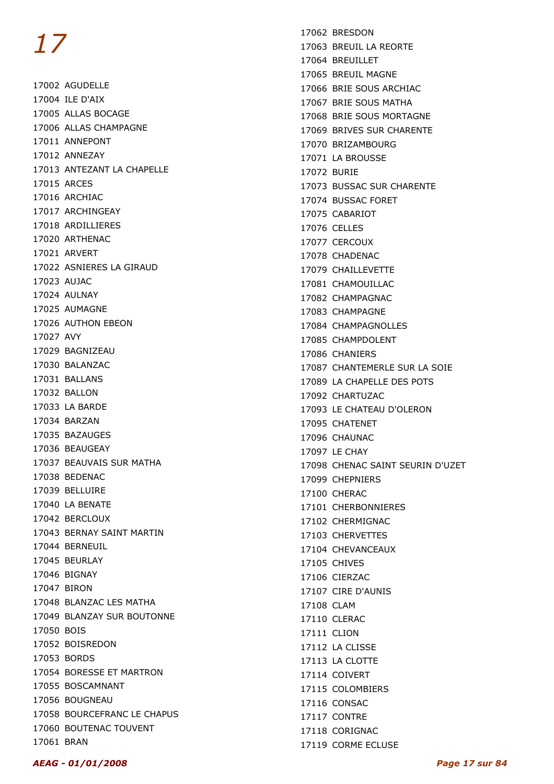17002 AGUDELLE 17004 ILE D'AIX 17005 ALLAS BOCAGE 17006 ALLAS CHAMPAGNE 17011 ANNEPONT 17012 ANNEZAY 17013 ANTEZANT LA CHAPELLE 17015 ARCES 17016 ARCHIAC 17017 ARCHINGEAY 17018 ARDILLIERES 17020 ARTHENAC 17021 ARVERT 17022 ASNIERES LA GIRAUD 17023 AUJAC 17024 AULNAY 17025 AUMAGNE 17026 AUTHON EBEON 17027 AVY 17029 BAGNIZEAU 17030 BALANZAC 17031 BALLANS 17032 BALLON 17033 LA BARDE 17034 BARZAN 17035 BAZAUGES 17036 BEAUGEAY 17037 BEAUVAIS SUR MATHA 17038 BEDENAC 17039 BELLUIRE 17040 LA BENATE 17042 BERCLOUX 17043 BERNAY SAINT MARTIN 17044 BERNEUIL 17045 BEURLAY 17046 BIGNAY 17047 BIRON 17048 BLANZAC LES MATHA 17049 BLANZAY SUR BOUTONNE 17050 BOIS 17052 BOISREDON 17053 BORDS 17054 BORESSE ET MARTRON 17055 BOSCAMNANT 17056 BOUGNEAU 17058 BOURCEFRANC LE CHAPUS 17060 BOUTENAC TOUVENT 17061 BRAN

17062 BRESDON 17063 BREUIL LA REORTE 17064 BREUILLET 17065 BREUIL MAGNE 17066 BRIE SOUS ARCHIAC 17067 BRIE SOUS MATHA 17068 BRIE SOUS MORTAGNE 17069 BRIVES SUR CHARENTE 17070 BRIZAMBOURG 17071 LA BROUSSE 17072 BURIE 17073 BUSSAC SUR CHARENTE 17074 BUSSAC FORET 17075 CABARIOT 17076 CELLES 17077 CERCOUX 17078 CHADENAC 17079 CHAILLEVETTE 17081 CHAMOUILLAC 17082 CHAMPAGNAC 17083 CHAMPAGNE 17084 CHAMPAGNOLLES 17085 CHAMPDOLENT 17086 CHANIERS 17087 CHANTEMERLE SUR LA SOIE 17089 LA CHAPELLE DES POTS 17092 CHARTUZAC 17093 LE CHATEAU D'OLERON 17095 CHATENET 17096 CHAUNAC 17097 LE CHAY 17098 CHENAC SAINT SEURIN D'UZET 17099 CHEPNIERS 17100 CHERAC 17101 CHERBONNIERES 17102 CHERMIGNAC 17103 CHERVETTES 17104 CHEVANCEAUX 17105 CHIVES 17106 CIERZAC 17107 CIRE D'AUNIS 17108 CLAM 17110 CLERAC 17111 CLION 17112 LA CLISSE 17113 LA CLOTTE 17114 COIVERT 17115 COLOMBIERS 17116 CONSAC 17117 CONTRE 17118 CORIGNAC 17119 CORME ECLUSE

#### AEAG - 01/01/2008 Page 17 sur 84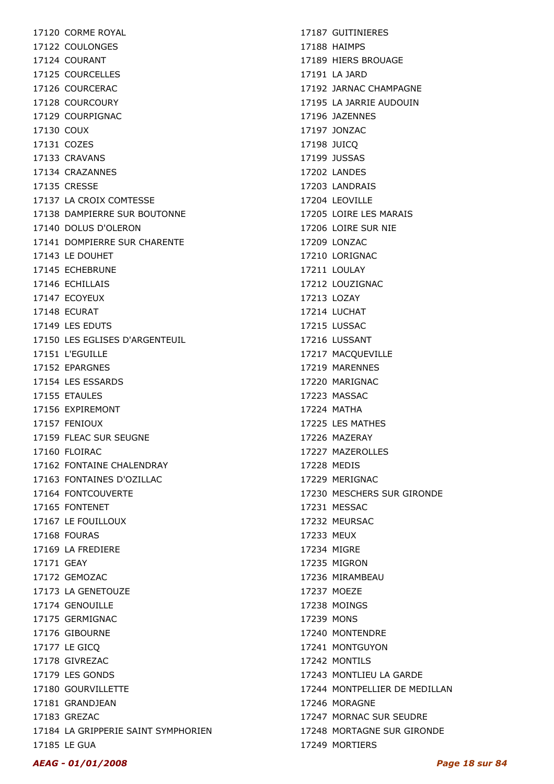17120 CORME ROYAL 17122 COULONGES 17124 COURANT 17125 COURCELLES 17126 COURCERAC 17128 COURCOURY 17129 COURPIGNAC 17130 COUX 17131 COZES 17133 CRAVANS 17134 CRAZANNES 17135 CRESSE 17137 LA CROIX COMTESSE 17138 DAMPIERRE SUR BOUTONNE 17140 DOLUS D'OLERON 17141 DOMPIERRE SUR CHARENTE 17143 LE DOUHET 17145 ECHEBRUNE 17146 ECHILLAIS 17147 ECOYEUX 17148 ECURAT 17149 LES EDUTS 17150 LES EGLISES D'ARGENTEUIL 17151 L'EGUILLE 17152 EPARGNES 17154 LES ESSARDS 17155 ETAULES 17156 EXPIREMONT 17157 FENIOUX 17159 FLEAC SUR SEUGNE 17160 FLOIRAC 17162 FONTAINE CHALENDRAY 17163 FONTAINES D'OZILLAC 17164 FONTCOUVERTE 17165 FONTENET 17167 LE FOUILLOUX 17168 FOURAS 17169 LA FREDIERE 17171 GEAY 17172 GEMOZAC 17173 LA GENETOUZE 17174 GENOUILLE 17175 GERMIGNAC 17176 GIBOURNE 17177 LE GICQ 17178 GIVREZAC 17179 LES GONDS 17180 GOURVILLETTE 17181 GRANDJEAN 17183 GREZAC 17184 LA GRIPPERIE SAINT SYMPHORIEN 17185 LE GUA

17187 GUITINIERES 17188 HAIMPS 17189 HIERS BROUAGE 17191 LA JARD 17192 JARNAC CHAMPAGNE 17195 LA JARRIE AUDOUIN 17196 JAZENNES 17197 JONZAC 17198 JUICQ 17199 JUSSAS 17202 LANDES 17203 LANDRAIS 17204 LEOVILLE 17205 LOIRE LES MARAIS 17206 LOIRE SUR NIE 17209 LONZAC 17210 LORIGNAC 17211 LOULAY 17212 LOUZIGNAC 17213 LOZAY 17214 LUCHAT 17215 LUSSAC 17216 LUSSANT 17217 MACQUEVILLE 17219 MARENNES 17220 MARIGNAC 17223 MASSAC 17224 MATHA 17225 LES MATHES 17226 MAZERAY 17227 MAZEROLLES 17228 MEDIS 17229 MERIGNAC 17230 MESCHERS SUR GIRONDE 17231 MESSAC 17232 MEURSAC 17233 MEUX 17234 MIGRE 17235 MIGRON 17236 MIRAMBEAU 17237 MOEZE 17238 MOINGS 17239 MONS 17240 MONTENDRE 17241 MONTGUYON 17242 MONTILS 17243 MONTLIEU LA GARDE 17244 MONTPELLIER DE MEDILLAN 17246 MORAGNE 17247 MORNAC SUR SEUDRE 17248 MORTAGNE SUR GIRONDE 17249 MORTIERS

#### AEAG - 01/01/2008 Page 18 sur 84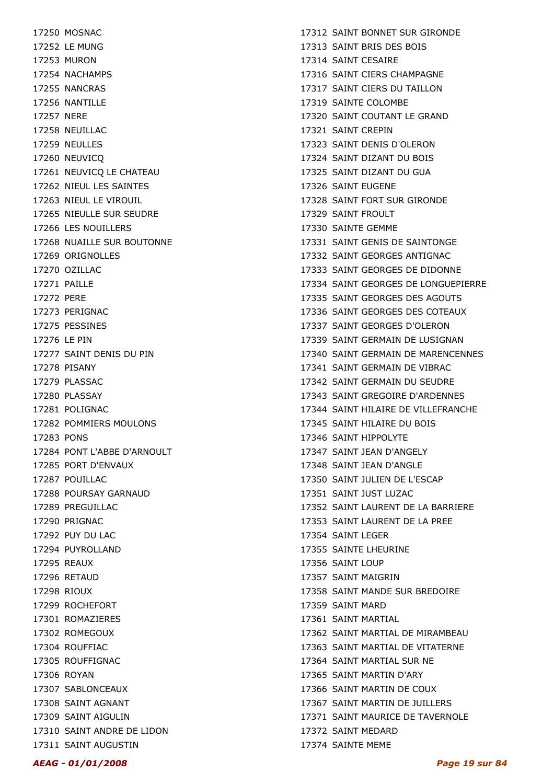17250 MOSNAC 17252 LE MUNG 17253 MURON 17254 NACHAMPS 17255 NANCRAS 17256 NANTILLE 17257 NERE 17258 NEUILLAC 17259 NEULLES 17260 NEUVICQ 17261 NEUVICQ LE CHATEAU 17262 NIEUL LES SAINTES 17263 NIEUL LE VIROUIL 17265 NIEULLE SUR SEUDRE 17266 LES NOUILLERS 17268 NUAILLE SUR BOUTONNE 17269 ORIGNOLLES 17270 OZILLAC 17271 PAILLE 17272 PERE 17273 PERIGNAC 17275 PESSINES 17276 LE PIN 17277 SAINT DENIS DU PIN 17278 PISANY 17279 PLASSAC 17280 PLASSAY 17281 POLIGNAC 17282 POMMIERS MOULONS 17283 PONS 17284 PONT L'ABBE D'ARNOULT 17285 PORT D'ENVAUX 17287 POUILLAC 17288 POURSAY GARNAUD 17289 PREGUILLAC 17290 PRIGNAC 17292 PUY DU LAC 17294 PUYROLLAND 17295 REAUX 17296 RETAUD 17298 RIOUX 17299 ROCHEFORT 17301 ROMAZIERES 17302 ROMEGOUX 17304 ROUFFIAC 17305 ROUFFIGNAC 17306 ROYAN 17307 SABLONCEAUX 17308 SAINT AGNANT 17309 SAINT AIGULIN 17310 SAINT ANDRE DE LIDON 17311 SAINT AUGUSTIN

17312 SAINT BONNET SUR GIRONDE 17313 SAINT BRIS DES BOIS 17314 SAINT CESAIRE 17316 SAINT CIERS CHAMPAGNE 17317 SAINT CIERS DU TAILLON 17319 SAINTE COLOMBE 17320 SAINT COUTANT LE GRAND 17321 SAINT CREPIN 17323 SAINT DENIS D'OLERON 17324 SAINT DIZANT DU BOIS 17325 SAINT DIZANT DU GUA 17326 SAINT EUGENE 17328 SAINT FORT SUR GIRONDE 17329 SAINT FROULT 17330 SAINTE GEMME 17331 SAINT GENIS DE SAINTONGE 17332 SAINT GEORGES ANTIGNAC 17333 SAINT GEORGES DE DIDONNE 17334 SAINT GEORGES DE LONGUEPIERRE 17335 SAINT GEORGES DES AGOUTS 17336 SAINT GEORGES DES COTEAUX 17337 SAINT GEORGES D'OLERON 17339 SAINT GERMAIN DE LUSIGNAN 17340 SAINT GERMAIN DE MARENCENNES 17341 SAINT GERMAIN DE VIBRAC 17342 SAINT GERMAIN DU SEUDRE 17343 SAINT GREGOIRE D'ARDENNES 17344 SAINT HILAIRE DE VILLEFRANCHE 17345 SAINT HILAIRE DU BOIS 17346 SAINT HIPPOLYTE 17347 SAINT JEAN D'ANGELY 17348 SAINT JEAN D'ANGLE 17350 SAINT JULIEN DE L'ESCAP 17351 SAINT JUST LUZAC 17352 SAINT LAURENT DE LA BARRIERE 17353 SAINT LAURENT DE LA PREE 17354 SAINT LEGER 17355 SAINTE LHEURINE 17356 SAINT LOUP 17357 SAINT MAIGRIN 17358 SAINT MANDE SUR BREDOIRE 17359 SAINT MARD 17361 SAINT MARTIAL 17362 SAINT MARTIAL DE MIRAMBEAU 17363 SAINT MARTIAL DE VITATERNE 17364 SAINT MARTIAL SUR NE 17365 SAINT MARTIN D'ARY 17366 SAINT MARTIN DE COUX 17367 SAINT MARTIN DE JUILLERS 17371 SAINT MAURICE DE TAVERNOLE 17372 SAINT MEDARD 17374 SAINTE MEME

#### AEAG - 01/01/2008 Page 19 sur 84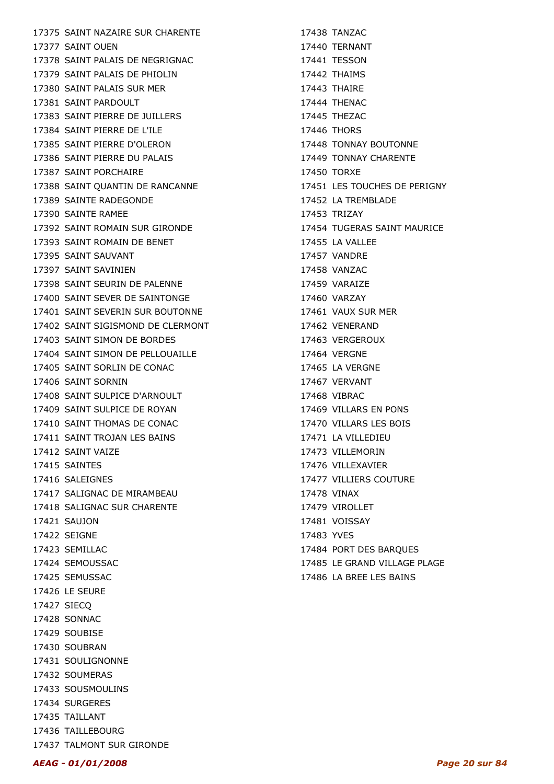17375 SAINT NAZAIRE SUR CHARENTE 17377 SAINT OUEN 17378 SAINT PALAIS DE NEGRIGNAC 17379 SAINT PALAIS DE PHIOLIN 17380 SAINT PALAIS SUR MER 17381 SAINT PARDOULT 17383 SAINT PIERRE DE JUILLERS 17384 SAINT PIERRE DE L'ILE 17385 SAINT PIERRE D'OLERON 17386 SAINT PIERRE DU PALAIS 17387 SAINT PORCHAIRE 17388 SAINT QUANTIN DE RANCANNE 17389 SAINTE RADEGONDE 17390 SAINTE RAMEE 17392 SAINT ROMAIN SUR GIRONDE 17393 SAINT ROMAIN DE BENET 17395 SAINT SAUVANT 17397 SAINT SAVINIEN 17398 SAINT SEURIN DE PALENNE 17400 SAINT SEVER DE SAINTONGE 17401 SAINT SEVERIN SUR BOUTONNE 17402 SAINT SIGISMOND DE CLERMONT 17403 SAINT SIMON DE BORDES 17404 SAINT SIMON DE PELLOUAILLE 17405 SAINT SORLIN DE CONAC 17406 SAINT SORNIN 17408 SAINT SULPICE D'ARNOULT 17409 SAINT SULPICE DE ROYAN 17410 SAINT THOMAS DE CONAC 17411 SAINT TROJAN LES BAINS 17412 SAINT VAIZE 17415 SAINTES 17416 SALEIGNES 17417 SALIGNAC DE MIRAMBEAU 17418 SALIGNAC SUR CHARENTE 17421 SAUJON 17422 SEIGNE 17423 SEMILLAC 17424 SEMOUSSAC 17425 SEMUSSAC 17426 LE SEURE 17427 SIECQ 17428 SONNAC 17429 SOUBISE 17430 SOUBRAN 17431 SOULIGNONNE 17432 SOUMERAS 17433 SOUSMOULINS 17434 SURGERES 17435 TAILLANT 17436 TAILLEBOURG

17438 TANZAC 17440 TERNANT 17441 TESSON 17442 THAIMS 17443 THAIRE 17444 THENAC 17445 THEZAC 17446 THORS 17448 TONNAY BOUTONNE 17449 TONNAY CHARENTE 17450 TORXE 17451 LES TOUCHES DE PERIGNY 17452 LA TREMBLADE 17453 TRIZAY 17454 TUGERAS SAINT MAURICE 17455 LA VALLEE 17457 VANDRE 17458 VANZAC 17459 VARAIZE 17460 VARZAY 17461 VAUX SUR MER 17462 VENERAND 17463 VERGEROUX 17464 VERGNE 17465 LA VERGNE 17467 VERVANT 17468 VIBRAC 17469 VILLARS EN PONS 17470 VILLARS LES BOIS 17471 LA VILLEDIEU 17473 VILLEMORIN 17476 VILLEXAVIER 17477 VILLIERS COUTURE 17478 VINAX **17479 VIROLLET** 17481 VOISSAY 17483 YVES 17484 PORT DES BARQUES 17485 LE GRAND VILLAGE PLAGE

17486 LA BREE LES BAINS

17437 TALMONT SUR GIRONDE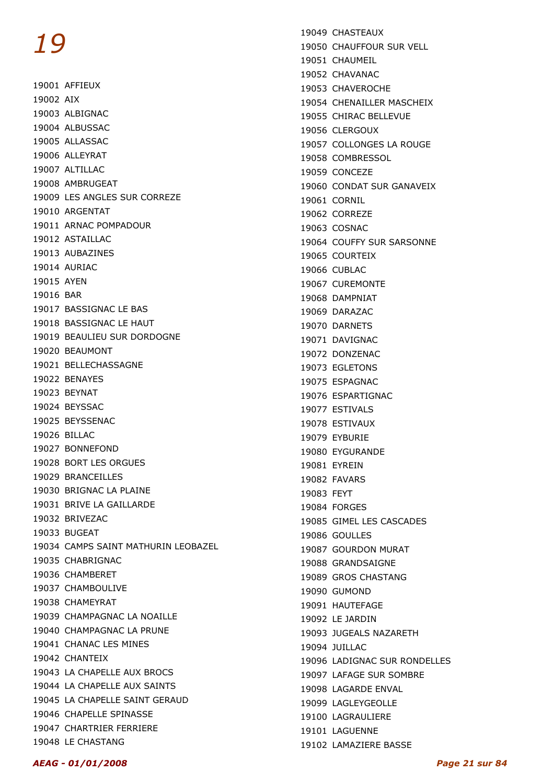19001 AFFIEUX 19002 AIX 19003 ALBIGNAC 19004 ALBUSSAC 19005 ALLASSAC 19006 ALLEYRAT 19007 ALTILLAC 19008 AMBRUGEAT 19009 LES ANGLES SUR CORREZE 19010 ARGENTAT 19011 ARNAC POMPADOUR 19012 ASTAILLAC 19013 AUBAZINES 19014 AURIAC 19015 AYEN 19016 BAR 19017 BASSIGNAC LE BAS 19018 BASSIGNAC LE HAUT 19019 BEAULIEU SUR DORDOGNE 19020 BEAUMONT 19021 BELLECHASSAGNE 19022 BENAYES 19023 BEYNAT 19024 BEYSSAC 19025 BEYSSENAC 19026 BILLAC 19027 BONNEFOND 19028 BORT LES ORGUES 19029 BRANCEILLES 19030 BRIGNAC LA PLAINE 19031 BRIVE LA GAILLARDE 19032 BRIVEZAC 19033 BUGEAT 19034 CAMPS SAINT MATHURIN LEOBAZEL 19035 CHABRIGNAC 19036 CHAMBERET 19037 CHAMBOULIVE 19038 CHAMEYRAT 19039 CHAMPAGNAC LA NOAILLE 19040 CHAMPAGNAC LA PRUNE 19041 CHANAC LES MINES 19042 CHANTEIX 19043 LA CHAPELLE AUX BROCS 19044 LA CHAPELLE AUX SAINTS 19045 LA CHAPELLE SAINT GERAUD 19046 CHAPELLE SPINASSE 19047 CHARTRIER FERRIERE 19048 LE CHASTANG

19049 CHASTEAUX 19050 CHAUFFOUR SUR VELL 19051 CHAUMEIL 19052 CHAVANAC 19053 CHAVEROCHE 19054 CHENAILLER MASCHEIX 19055 CHIRAC BELLEVUE 19056 CLERGOUX 19057 COLLONGES LA ROUGE 19058 COMBRESSOL 19059 CONCEZE 19060 CONDAT SUR GANAVEIX 19061 CORNIL 19062 CORREZE 19063 COSNAC 19064 COUFFY SUR SARSONNE 19065 COURTEIX 19066 CUBLAC 19067 CUREMONTE 19068 DAMPNIAT 19069 DARAZAC 19070 DARNETS 19071 DAVIGNAC 19072 DONZENAC 19073 EGLETONS 19075 ESPAGNAC 19076 ESPARTIGNAC 19077 ESTIVALS 19078 ESTIVAUX 19079 EYBURIE 19080 EYGURANDE 19081 EYREIN 19082 FAVARS 19083 FEYT 19084 FORGES 19085 GIMEL LES CASCADES 19086 GOULLES 19087 GOURDON MURAT 19088 GRANDSAIGNE 19089 GROS CHASTANG 19090 GUMOND 19091 HAUTEFAGE 19092 LE JARDIN 19093 JUGEALS NAZARETH 19094 JUILLAC 19096 LADIGNAC SUR RONDELLES 19097 LAFAGE SUR SOMBRE 19098 LAGARDE ENVAL 19099 LAGLEYGEOLLE 19100 LAGRAULIERE 19101 LAGUENNE 19102 LAMAZIERE BASSE

AEAG - 01/01/2008 Page 21 sur 84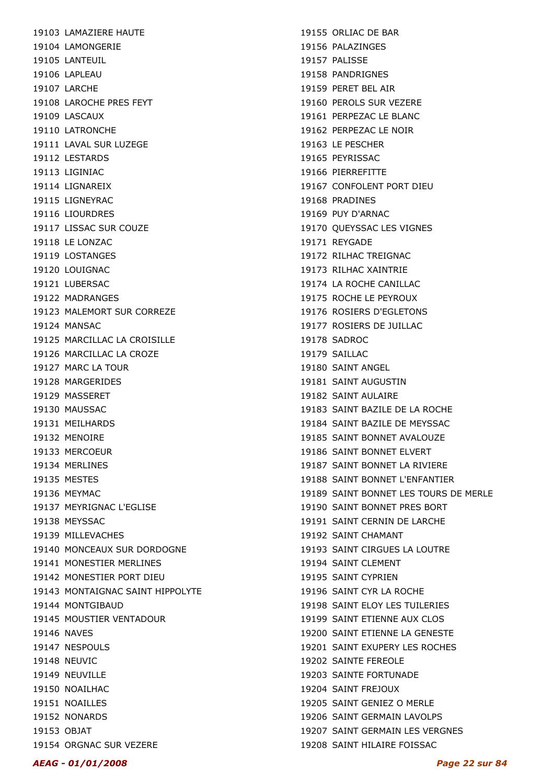19103 LAMAZIERE HAUTE 19104 LAMONGERIE 19105 LANTEUIL 19106 LAPLEAU 19107 LARCHE 19108 LAROCHE PRES FEYT 19109 LASCAUX 19110 LATRONCHE 19111 LAVAL SUR LUZEGE 19112 LESTARDS 19113 LIGINIAC 19114 LIGNAREIX 19115 LIGNEYRAC 19116 LIOURDRES 19117 LISSAC SUR COUZE 19118 LE LONZAC 19119 LOSTANGES 19120 LOUIGNAC 19121 LUBERSAC 19122 MADRANGES 19123 MALEMORT SUR CORREZE 19124 MANSAC 19125 MARCILLAC LA CROISILLE 19126 MARCILLAC LA CROZE 19127 MARC LA TOUR 19128 MARGERIDES 19129 MASSERET 19130 MAUSSAC 19131 MEILHARDS 19132 MENOIRE 19133 MERCOEUR 19134 MERLINES 19135 MESTES 19136 MEYMAC 19137 MEYRIGNAC L'EGLISE 19138 MEYSSAC 19139 MILLEVACHES 19140 MONCEAUX SUR DORDOGNE 19141 MONESTIER MERLINES 19142 MONESTIER PORT DIEU 19143 MONTAIGNAC SAINT HIPPOLYTE 19144 MONTGIBAUD 19145 MOUSTIER VENTADOUR 19146 NAVES 19147 NESPOULS 19148 NEUVIC 19149 NEUVILLE 19150 NOAILHAC 19151 NOAILLES 19152 NONARDS 19153 OBJAT 19154 ORGNAC SUR VEZERE

19155 ORLIAC DE BAR 19156 PALAZINGES 19157 PALISSE 19158 PANDRIGNES 19159 PERET BEL AIR 19160 PEROLS SUR VEZERE 19161 PERPEZAC LE BLANC 19162 PERPEZAC LE NOIR 19163 LE PESCHER 19165 PEYRISSAC 19166 PIERREFITTE 19167 CONFOLENT PORT DIEU 19168 PRADINES 19169 PUY D'ARNAC 19170 QUEYSSAC LES VIGNES 19171 REYGADE 19172 RILHAC TREIGNAC 19173 RILHAC XAINTRIE 19174 LA ROCHE CANILLAC 19175 ROCHE LE PEYROUX 19176 ROSIERS D'EGLETONS 19177 ROSIERS DE JUILLAC 19178 SADROC 19179 SAILLAC 19180 SAINT ANGEL 19181 SAINT AUGUSTIN 19182 SAINT AULAIRE 19183 SAINT BAZILE DE LA ROCHE 19184 SAINT BAZILE DE MEYSSAC 19185 SAINT BONNET AVALOUZE 19186 SAINT BONNET ELVERT 19187 SAINT BONNET LA RIVIERE 19188 SAINT BONNET L'ENFANTIER 19189 SAINT BONNET LES TOURS DE MERLE 19190 SAINT BONNET PRES BORT 19191 SAINT CERNIN DE LARCHE 19192 SAINT CHAMANT 19193 SAINT CIRGUES LA LOUTRE 19194 SAINT CLEMENT 19195 SAINT CYPRIEN 19196 SAINT CYR LA ROCHE 19198 SAINT ELOY LES TUILERIES 19199 SAINT FTIFNNF AUX CLOS 19200 SAINT ETIENNE LA GENESTE 19201 SAINT EXUPERY LES ROCHES 19202 SAINTE FEREOLE 19203 SAINTE FORTUNADE 19204 SAINT FREJOUX 19205 SAINT GENIEZ O MERLE 19206 SAINT GERMAIN LAVOLPS 19207 SAINT GERMAIN LES VERGNES 19208 SAINT HILAIRE FOISSAC

#### AEAG - 01/01/2008 Page 22 sur 84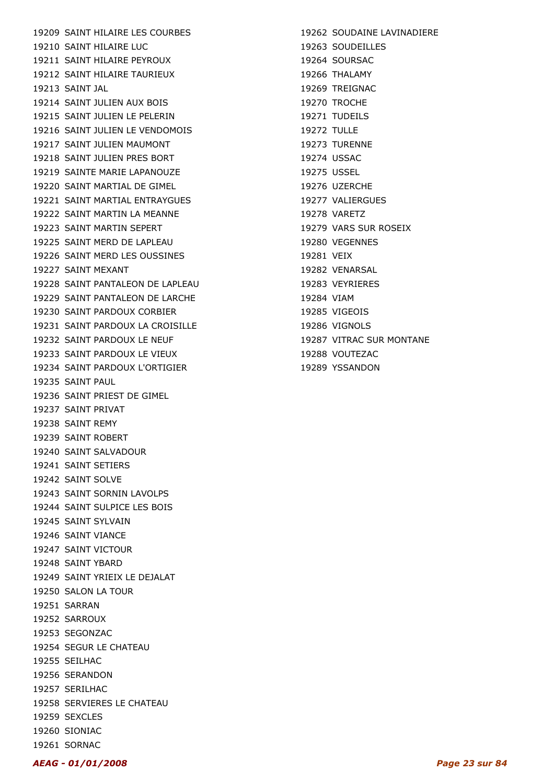19209 SAINT HILAIRE LES COURBES 19210 SAINT HILAIRE LUC 19211 SAINT HILAIRE PEYROUX 19212 SAINT HILAIRE TAURIEUX 19213 SAINT JAL 19214 SAINT JULIEN AUX BOIS 19215 SAINT JULIEN LE PELERIN 19216 SAINT JULIEN LE VENDOMOIS 19217 SAINT JULIEN MAUMONT 19218 SAINT JULIEN PRES BORT 19219 SAINTE MARIE LAPANOUZE 19220 SAINT MARTIAL DE GIMEL 19221 SAINT MARTIAL ENTRAYGUES 19222 SAINT MARTIN LA MEANNE 19223 SAINT MARTIN SEPERT 19225 SAINT MERD DE LAPLEAU 19226 SAINT MERD LES OUSSINES 19227 SAINT MEXANT 19228 SAINT PANTALEON DE LAPLEAU 19229 SAINT PANTALEON DE LARCHE 19230 SAINT PARDOUX CORBIER 19231 SAINT PARDOUX LA CROISILLE 19232 SAINT PARDOUX LE NEUF 19233 SAINT PARDOUX LE VIEUX 19234 SAINT PARDOUX L'ORTIGIER 19235 SAINT PAUL 19236 SAINT PRIEST DE GIMEL 19237 SAINT PRIVAT 19238 SAINT REMY 19239 SAINT ROBERT 19240 SAINT SALVADOUR 19241 SAINT SETIERS 19242 SAINT SOLVE 19243 SAINT SORNIN LAVOLPS 19244 SAINT SULPICE LES BOIS 19245 SAINT SYLVAIN 19246 SAINT VIANCE 19247 SAINT VICTOUR 19248 SAINT YBARD 19249 SAINT YRIEIX LE DEJALAT 19250 SALON LA TOUR 19251 SARRAN 19252 SARROUX 19253 SEGONZAC 19254 SEGUR LE CHATEAU 19255 SEILHAC 19256 SERANDON 19257 SERILHAC 19258 SERVIERES LE CHATEAU 19259 SEXCLES 19260 SIONIAC 19261 SORNAC

19262 SOUDAINE LAVINADIERE 19263 SOUDEILLES 19264 SOURSAC 19266 THALAMY 19269 TREIGNAC 19270 TROCHE 19271 TUDEILS 19272 TULLE 19273 TURENNE 19274 USSAC 19275 USSEL 19276 UZERCHE 19277 VALIERGUES 19278 VARETZ 19279 VARS SUR ROSEIX 19280 VEGENNES 19281 VEIX 19282 VENARSAL 19283 VEYRIERES 19284 VIAM 19285 VIGEOIS 19286 VIGNOLS 19287 VITRAC SUR MONTANE 19288 VOUTEZAC 19289 YSSANDON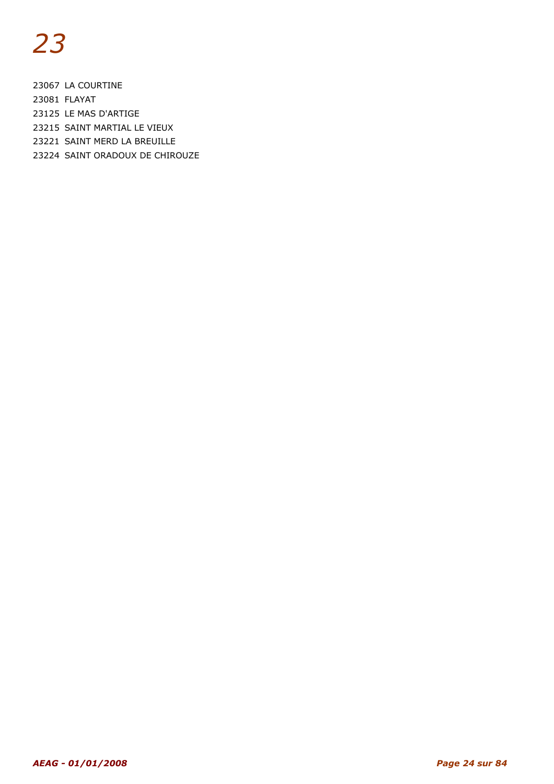23067 LA COURTINE 23081 FLAYAT 23125 LE MAS D'ARTIGE 23215 SAINT MARTIAL LE VIEUX 23221 SAINT MERD LA BREUILLE 23224 SAINT ORADOUX DE CHIROUZE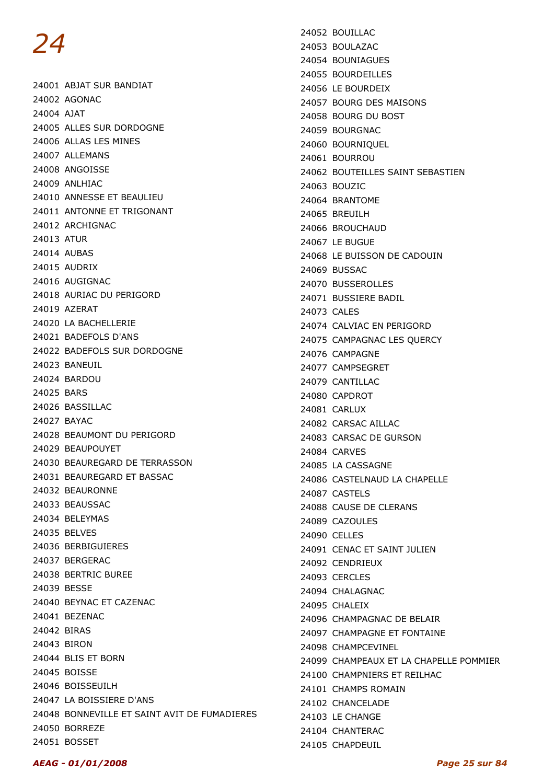24001 ABJAT SUR BANDIAT 24002 AGONAC 24004 AJAT 24005 ALLES SUR DORDOGNE 24006 ALLAS LES MINES 24007 ALLEMANS 24008 ANGOISSE 24009 ANLHIAC 24010 ANNESSE ET BEAULIEU 24011 ANTONNE ET TRIGONANT 24012 ARCHIGNAC 24013 ATUR 24014 AUBAS 24015 AUDRIX 24016 AUGIGNAC 24018 AURIAC DU PERIGORD 24019 AZERAT 24020 LA BACHELLERIE 24021 BADEFOLS D'ANS 24022 BADEFOLS SUR DORDOGNE 24023 BANEUIL 24024 BARDOU 24025 BARS 24026 BASSILLAC 24027 BAYAC 24028 BEAUMONT DU PERIGORD 24029 BEAUPOUYET 24030 BEAUREGARD DE TERRASSON 24031 BEAUREGARD ET BASSAC 24032 BEAURONNE 24033 BEAUSSAC 24034 BELEYMAS 24035 BELVES 24036 BERBIGUIERES 24037 BERGERAC 24038 BERTRIC BUREE 24039 BESSE 24040 BEYNAC ET CAZENAC 24041 BEZENAC 24042 BIRAS 24043 BIRON 24044 BLIS ET BORN 24045 BOISSE 24046 BOISSEUILH 24047 LA BOISSIERE D'ANS 24048 BONNEVILLE ET SAINT AVIT DE FUMADIERES 24050 BORREZE 24051 BOSSET

24052 BOUILLAC 24053 BOULAZAC 24054 BOUNIAGUES 24055 BOURDEILLES 24056 LE BOURDEIX 24057 BOURG DES MAISONS 24058 BOURG DU BOST 24059 BOURGNAC 24060 BOURNIQUEL 24061 BOURROU 24062 BOUTEILLES SAINT SEBASTIEN 24063 BOUZIC 24064 BRANTOME 24065 BREUILH 24066 BROUCHAUD 24067 LE BUGUE 24068 LE BUISSON DE CADOUIN 24069 BUSSAC 24070 BUSSEROLLES 24071 BUSSIERE BADIL 24073 CALES 24074 CALVIAC EN PERIGORD 24075 CAMPAGNAC LES QUERCY 24076 CAMPAGNE 24077 CAMPSEGRET 24079 CANTILLAC 24080 CAPDROT 24081 CARLUX 24082 CARSAC AILLAC 24083 CARSAC DE GURSON 24084 CARVES 24085 LA CASSAGNE 24086 CASTELNAUD LA CHAPELLE 24087 CASTELS 24088 CAUSE DE CLERANS 24089 CAZOULES 24090 CELLES 24091 CENAC ET SAINT JULIEN 24092 CENDRIEUX 24093 CERCLES 24094 CHALAGNAC 24095 CHALEIX 24096 CHAMPAGNAC DE BELAIR 24097 CHAMPAGNE ET FONTAINE 24098 CHAMPCEVINEL 24099 CHAMPEAUX ET LA CHAPELLE POMMIER 24100 CHAMPNIERS ET REILHAC 24101 CHAMPS ROMAIN 24102 CHANCELADE 24103 LE CHANGE 24104 CHANTERAC 24105 CHAPDEUIL

#### AEAG - 01/01/2008 Page 25 sur 84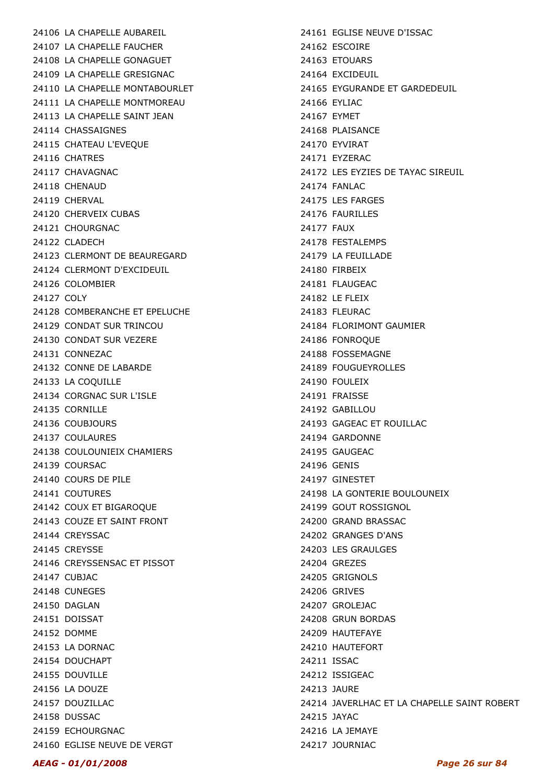24106 LA CHAPELLE AUBAREIL 24107 LA CHAPELLE FAUCHER 24108 LA CHAPELLE GONAGUET 24109 LA CHAPELLE GRESIGNAC 24110 LA CHAPELLE MONTABOURLET 24111 LA CHAPELLE MONTMOREAU 24113 LA CHAPELLE SAINT JEAN 24114 CHASSAIGNES 24115 CHATEAU L'EVEQUE 24116 CHATRES 24117 CHAVAGNAC 24118 CHENAUD 24119 CHERVAL 24120 CHERVEIX CUBAS 24121 CHOURGNAC 24122 CLADECH 24123 CLERMONT DE BEAUREGARD 24124 CLERMONT D'EXCIDEUIL 24126 COLOMBIER 24127 COLY 24128 COMBERANCHE ET EPELUCHE 24129 CONDAT SUR TRINCOU 24130 CONDAT SUR VEZERE 24131 CONNEZAC 24132 CONNE DE LABARDE 24133 LA COQUILLE 24134 CORGNAC SUR L'ISLE 24135 CORNILLE 24136 COUBJOURS 24137 COULAURES 24138 COULOUNIEIX CHAMIERS 24139 COURSAC 24140 COURS DE PILE 24141 COUTURES 24142 COUX ET BIGAROQUE 24143 COUZE ET SAINT FRONT 24144 CREYSSAC 24145 CREYSSE 24146 CREYSSENSAC ET PISSOT 24147 CUBJAC 24148 CUNEGES 24150 DAGLAN 24151 DOISSAT 24152 DOMME 24153 LA DORNAC 24154 DOUCHAPT 24155 DOUVILLE 24156 LA DOUZE 24157 DOUZILLAC 24158 DUSSAC 24159 ECHOURGNAC 24160 EGLISE NEUVE DE VERGT

24161 EGLISE NEUVE D'ISSAC 24162 ESCOIRE 24163 ETOUARS 24164 EXCIDEUIL 24165 EYGURANDE ET GARDEDEUIL 24166 EYLIAC 24167 EYMET 24168 PLAISANCE 24170 EYVIRAT 24171 EYZERAC 24172 LES EYZIES DE TAYAC SIREUIL 24174 FANLAC 24175 LES FARGES 24176 FAURILLES 24177 FAUX 24178 FESTALEMPS 24179 LA FEUILLADE 24180 FIRBEIX 24181 FLAUGEAC 24182 LE FLEIX 24183 FLEURAC 24184 FLORIMONT GAUMIER 24186 FONROQUE 24188 FOSSEMAGNE 24189 FOUGUEYROLLES 24190 FOULEIX 24191 FRAISSE 24192 GABILLOU 24193 GAGEAC ET ROUILLAC 24194 GARDONNE 24195 GAUGEAC 24196 GENIS 24197 GINESTET 24198 LA GONTERIE BOULOUNEIX 24199 GOUT ROSSIGNOL 24200 GRAND BRASSAC 24202 GRANGES D'ANS 24203 LES GRAULGES 24204 GREZES 24205 GRIGNOLS 24206 GRIVES 24207 GROLEJAC 24208 GRUN BORDAS 24209 HAUTEFAYE 24210 HAUTEFORT 24211 ISSAC 24212 ISSIGEAC 24213 JAURE 24214 JAVERLHAC ET LA CHAPELLE SAINT ROBERT 24215 JAYAC 24216 LA JEMAYE 24217 JOURNIAC

#### AEAG - 01/01/2008 Page 26 sur 84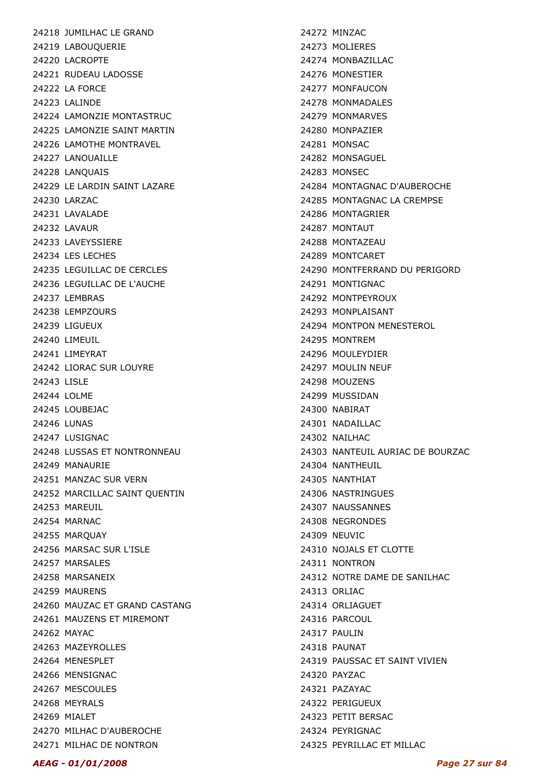24218 JUMILHAC LE GRAND 24219 LABOUQUERIE 24220 LACROPTE 24221 RUDEAU LADOSSE 24222 LA FORCE 24223 LALINDE 24224 LAMONZIE MONTASTRUC 24225 LAMONZIE SAINT MARTIN 24226 LAMOTHE MONTRAVEL 24227 LANOUAILLE 24228 LANQUAIS 24229 LE LARDIN SAINT LAZARE 24230 LARZAC 24231 LAVALADE 24232 LAVAUR 24233 LAVEYSSIERE 24234 LES LECHES 24235 LEGUILLAC DE CERCLES 24236 LEGUILLAC DE L'AUCHE 24237 LEMBRAS 24238 LEMPZOURS 24239 LIGUEUX 24240 LIMEUIL 24241 LIMEYRAT 24242 LIORAC SUR LOUYRE 24243 LISLE 24244 LOLME 24245 LOUBEJAC 24246 LUNAS 24247 LUSIGNAC 24248 LUSSAS ET NONTRONNEAU 24249 MANAURIE 24251 MANZAC SUR VERN 24252 MARCILLAC SAINT QUENTIN 24253 MAREUIL 24254 MARNAC 24255 MARQUAY 24256 MARSAC SUR L'ISLE 24257 MARSALES 24258 MARSANEIX 24259 MAURENS 24260 MAUZAC ET GRAND CASTANG 24261 MAUZENS ET MIREMONT 24262 MAYAC 24263 MAZEYROLLES 24264 MENESPLET 24266 MENSIGNAC 24267 MESCOULES 24268 MEYRALS 24269 MIALET 24270 MILHAC D'AUBEROCHE 24271 MILHAC DE NONTRON

24272 MINZAC 24273 MOLIERES 24274 MONBAZILLAC 24276 MONESTIER 24277 MONFAUCON 24278 MONMADALES 24279 MONMARVES 24280 MONPAZIER 24281 MONSAC 24282 MONSAGUEL 24283 MONSEC 24284 MONTAGNAC D'AUBEROCHE 24285 MONTAGNAC LA CREMPSE 24286 MONTAGRIER 24287 MONTAUT 24288 MONTAZEAU 24289 MONTCARET 24290 MONTFERRAND DU PERIGORD 24291 MONTIGNAC 24292 MONTPEYROUX 24293 MONPLAISANT 24294 MONTPON MENESTEROL 24295 MONTREM 24296 MOULEYDIER 24297 MOULIN NEUF 24298 MOUZENS 24299 MUSSIDAN 24300 NABIRAT 24301 NADAILLAC 24302 NAILHAC 24303 NANTEUIL AURIAC DE BOURZAC 24304 NANTHEUIL 24305 NANTHIAT 24306 NASTRINGUES 24307 NAUSSANNES 24308 NEGRONDES 24309 NEUVIC 24310 NOJALS FT CLOTTE 24311 NONTRON 24312 NOTRE DAME DE SANILHAC 24313 ORLIAC 24314 ORLIAGUET 24316 PARCOUL 24317 PAULIN 24318 PAUNAT 24319 PAUSSAC ET SAINT VIVIEN 24320 PAYZAC 24321 PAZAYAC 24322 PERIGUEUX 24323 PETIT BERSAC 24324 PEYRIGNAC 24325 PEYRILLAC ET MILLAC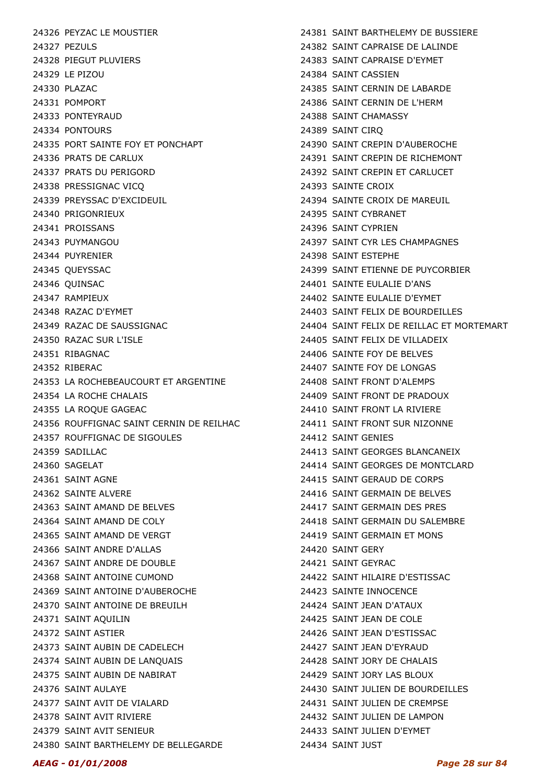24326 PEYZAC LE MOUSTIER 24327 PEZULS 24328 PIEGUT PLUVIERS 24329 LE PIZOU 24330 PLAZAC 24331 POMPORT 24333 PONTEYRAUD 24334 PONTOURS 24335 PORT SAINTE FOY ET PONCHAPT 24336 PRATS DE CARLUX 24337 PRATS DU PERIGORD 24338 PRESSIGNAC VICQ 24339 PREYSSAC D'EXCIDEUIL 24340 PRIGONRIEUX 24341 PROISSANS 24343 PUYMANGOU 24344 PUYRENIER 24345 QUEYSSAC 24346 QUINSAC 24347 RAMPIEUX 24348 RAZAC D'EYMET 24349 RAZAC DE SAUSSIGNAC 24350 RAZAC SUR L'ISLE 24351 RIBAGNAC 24352 RIBERAC 24353 LA ROCHEBEAUCOURT ET ARGENTINE 24354 LA ROCHE CHALAIS 24355 LA ROQUE GAGEAC 24356 ROUFFIGNAC SAINT CERNIN DE REILHAC 24357 ROUFFIGNAC DE SIGOULES 24359 SADILLAC 24360 SAGELAT 24361 SAINT AGNE 24362 SAINTE ALVERE 24363 SAINT AMAND DE BELVES 24364 SAINT AMAND DE COLY 24365 SAINT AMAND DE VERGT 24366 SAINT ANDRE D'ALLAS 24367 SAINT ANDRE DE DOUBLE 24368 SAINT ANTOINE CUMOND 24369 SAINT ANTOINE D'AUBEROCHE 24370 SAINT ANTOINE DE BREUILH 24371 SAINT AQUILIN 24372 SAINT ASTIER 24373 SAINT AUBIN DE CADELECH 24374 SAINT AUBIN DE LANQUAIS 24375 SAINT AUBIN DE NABIRAT 24376 SAINT AULAYE 24377 SAINT AVIT DE VIALARD 24378 SAINT AVIT RIVIERE 24379 SAINT AVIT SENIEUR 24380 SAINT BARTHELEMY DE BELLEGARDE

24381 SAINT BARTHELEMY DE BUSSIERE 24382 SAINT CAPRAISE DE LALINDE 24383 SAINT CAPRAISE D'EYMET 24384 SAINT CASSIEN 24385 SAINT CERNIN DE LABARDE 24386 SAINT CERNIN DE L'HERM 24388 SAINT CHAMASSY 24389 SAINT CIRQ 24390 SAINT CREPIN D'AUBEROCHE 24391 SAINT CREPIN DE RICHEMONT 24392 SAINT CREPIN ET CARLUCET 24393 SAINTE CROIX 24394 SAINTE CROIX DE MAREUIL 24395 SAINT CYBRANET 24396 SAINT CYPRIEN 24397 SAINT CYR LES CHAMPAGNES 24398 SAINT ESTEPHE 24399 SAINT ETIENNE DE PUYCORBIER 24401 SAINTE EULALIE D'ANS 24402 SAINTE EULALIE D'EYMET 24403 SAINT FELIX DE BOURDEILLES 24404 SAINT FELIX DE REILLAC ET MORTEMART 24405 SAINT FELIX DE VILLADEIX 24406 SAINTE FOY DE BELVES 24407 SAINTE FOY DE LONGAS 24408 SAINT FRONT D'ALEMPS 24409 SAINT FRONT DE PRADOUX 24410 SAINT FRONT LA RIVIERE 24411 SAINT FRONT SUR NIZONNE 24412 SAINT GENIES 24413 SAINT GEORGES BLANCANEIX 24414 SAINT GEORGES DE MONTCLARD 24415 SAINT GERAUD DE CORPS 24416 SAINT GERMAIN DE BELVES 24417 SAINT GERMAIN DES PRES 24418 SAINT GERMAIN DU SALEMBRE 24419 SAINT GERMAIN ET MONS 24420 SAINT GERY 24421 SAINT GEYRAC 24422 SAINT HILAIRE D'ESTISSAC 24423 SAINTE INNOCENCE 24424 SAINT JEAN D'ATAUX 24425 SAINT JEAN DE COLE 24426 SAINT JEAN D'ESTISSAC 24427 SAINT JEAN D'EYRAUD 24428 SAINT JORY DE CHALAIS 24429 SAINT JORY LAS BLOUX 24430 SAINT JULIEN DE BOURDEILLES 24431 SAINT JULIEN DE CREMPSE 24432 SAINT JULIEN DE LAMPON 24433 SAINT JULIEN D'EYMET 24434 SAINT JUST

#### AEAG - 01/01/2008 Page 28 sur 84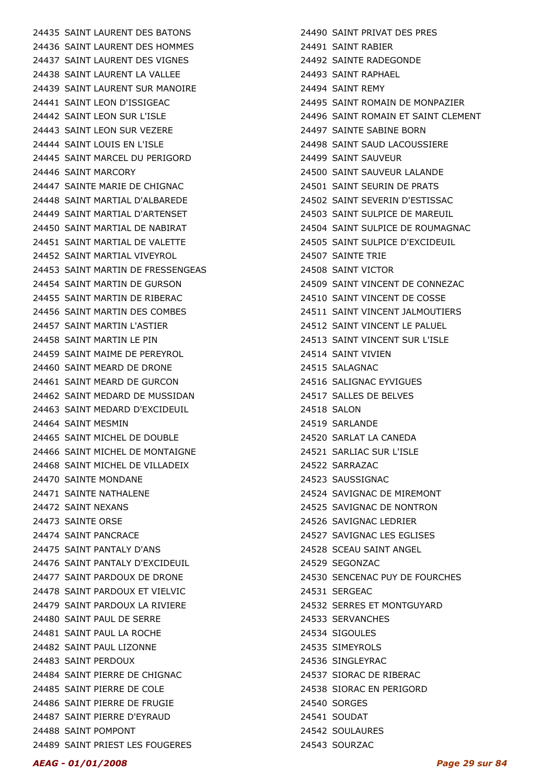24435 SAINT LAURENT DES BATONS 24436 SAINT LAURENT DES HOMMES 24437 SAINT LAURENT DES VIGNES 24438 SAINT LAURENT LA VALLEE 24439 SAINT LAURENT SUR MANOIRE 24441 SAINT LEON D'ISSIGEAC 24442 SAINT LEON SUR L'ISLE 24443 SAINT LEON SUR VEZERE 24444 SAINT LOUIS EN L'ISLE 24445 SAINT MARCEL DU PERIGORD 24446 SAINT MARCORY 24447 SAINTE MARIE DE CHIGNAC 24448 SAINT MARTIAL D'ALBAREDE 24449 SAINT MARTIAL D'ARTENSET 24450 SAINT MARTIAL DE NABIRAT 24451 SAINT MARTIAL DE VALETTE 24452 SAINT MARTIAL VIVEYROL 24453 SAINT MARTIN DE FRESSENGEAS 24454 SAINT MARTIN DE GURSON 24455 SAINT MARTIN DE RIBERAC 24456 SAINT MARTIN DES COMBES 24457 SAINT MARTIN L'ASTIER 24458 SAINT MARTIN LE PIN 24459 SAINT MAIME DE PEREYROL 24460 SAINT MEARD DE DRONE 24461 SAINT MEARD DE GURCON 24462 SAINT MEDARD DE MUSSIDAN 24463 SAINT MEDARD D'EXCIDEUIL 24464 SAINT MESMIN 24465 SAINT MICHEL DE DOUBLE 24466 SAINT MICHEL DE MONTAIGNE 24468 SAINT MICHEL DE VILLADEIX 24470 SAINTE MONDANE 24471 SAINTE NATHALENE 24472 SAINT NEXANS 24473 SAINTE ORSE 24474 SAINT PANCRACE 24475 SAINT PANTALY D'ANS 24476 SAINT PANTALY D'EXCIDEUIL 24477 SAINT PARDOUX DE DRONE 24478 SAINT PARDOUX ET VIELVIC 24479 SAINT PARDOUX LA RIVIERE 24480 SAINT PAUL DE SERRE 24481 SAINT PAUL LA ROCHE 24482 SAINT PAUL LIZONNE 24483 SAINT PERDOUX 24484 SAINT PIERRE DE CHIGNAC 24485 SAINT PIERRE DE COLE 24486 SAINT PIERRE DE FRUGIE 24487 SAINT PIERRE D'EYRAUD 24488 SAINT POMPONT 24489 SAINT PRIEST LES FOUGERES

24490 SAINT PRIVAT DES PRES 24491 SAINT RABIER 24492 SAINTE RADEGONDE 24493 SAINT RAPHAEL 24494 SAINT REMY 24495 SAINT ROMAIN DE MONPAZIER 24496 SAINT ROMAIN ET SAINT CLEMENT 24497 SAINTE SABINE BORN 24498 SAINT SAUD LACOUSSIERE 24499 SAINT SAUVEUR 24500 SAINT SAUVEUR LALANDE 24501 SAINT SEURIN DE PRATS 24502 SAINT SEVERIN D'ESTISSAC 24503 SAINT SULPICE DE MAREUIL 24504 SAINT SULPICE DE ROUMAGNAC 24505 SAINT SULPICE D'EXCIDEUIL 24507 SAINTE TRIE 24508 SAINT VICTOR 24509 SAINT VINCENT DE CONNEZAC 24510 SAINT VINCENT DE COSSE 24511 SAINT VINCENT JALMOUTIERS 24512 SAINT VINCENT LE PALUEL 24513 SAINT VINCENT SUR L'ISLE 24514 SAINT VIVIEN 24515 SALAGNAC 24516 SALIGNAC EYVIGUES 24517 SALLES DE BELVES 24518 SALON 24519 SARLANDE 24520 SARLAT LA CANEDA 24521 SARLIAC SUR L'ISLE 24522 SARRAZAC 24523 SAUSSIGNAC 24524 SAVIGNAC DE MIREMONT 24525 SAVIGNAC DE NONTRON 24526 SAVIGNAC LEDRIER 24527 SAVIGNAC LES EGLISES 24528 SCEAU SAINT ANGEL 24529 SEGONZAC 24530 SENCENAC PUY DE FOURCHES 24531 SERGEAC 24532 SERRES ET MONTGUYARD 24533 SERVANCHES 24534 SIGOULES 24535 SIMEYROLS 24536 SINGLEYRAC 24537 SIORAC DE RIBERAC 24538 SIORAC EN PERIGORD 24540 SORGES 24541 SOUDAT 24542 SOULAURES 24543 SOURZAC

#### AEAG - 01/01/2008 Page 29 sur 84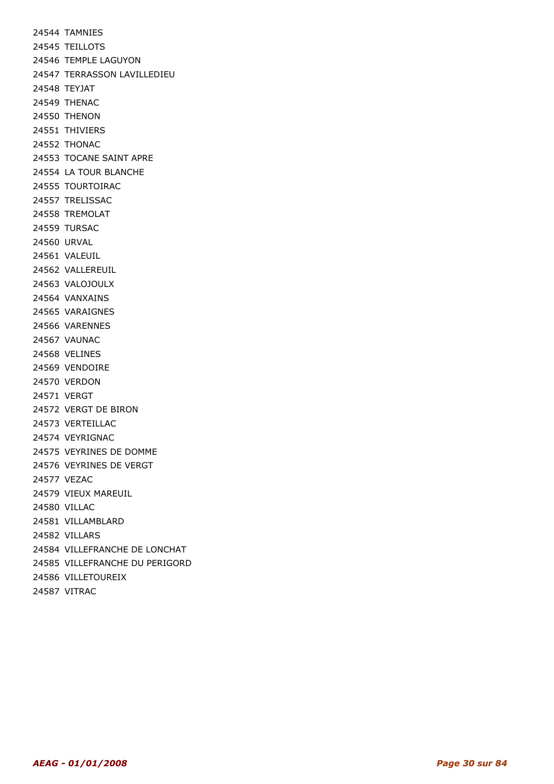24544 TAMNIES 24545 TEILLOTS 24546 TEMPLE LAGUYON 24547 TERRASSON LAVILLEDIEU 24548 TEYJAT 24549 THENAC 24550 THENON 24551 THIVIERS 24552 THONAC 24553 TOCANE SAINT APRE 24554 LA TOUR BLANCHE 24555 TOURTOIRAC 24557 TRELISSAC 24558 TREMOLAT 24559 TURSAC 24560 URVAL 24561 VALEUIL 24562 VALLEREUIL 24563 VALOJOULX 24564 VANXAINS 24565 VARAIGNES 24566 VARENNES 24567 VAUNAC 24568 VELINES 24569 VENDOIRE 24570 VERDON 24571 VERGT 24572 VERGT DE BIRON 24573 VERTEILLAC 24574 VEYRIGNAC 24575 VEYRINES DE DOMME 24576 VEYRINES DE VERGT 24577 VEZAC 24579 VIEUX MAREUIL 24580 VILLAC 24581 VILLAMBLARD 24582 VILLARS 24584 VILLEFRANCHE DE LONCHAT 24585 VILLEFRANCHE DU PERIGORD 24586 VILLETOUREIX 24587 VITRAC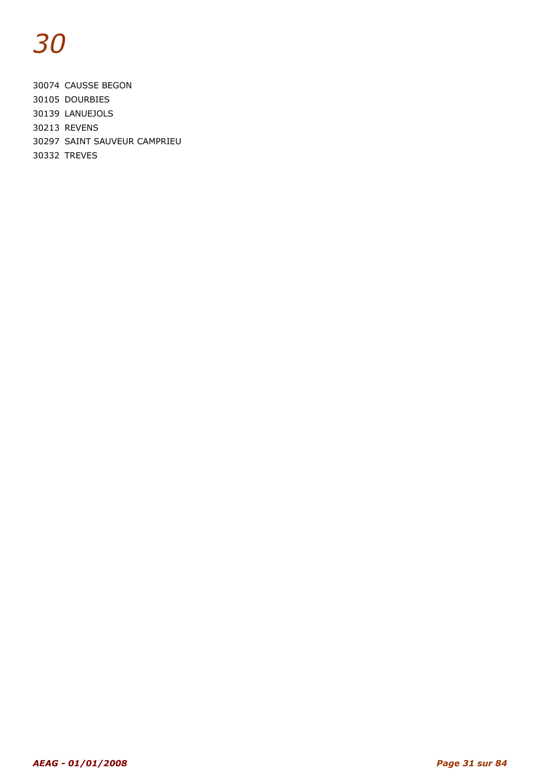30074 CAUSSE BEGON 30105 DOURBIES 30139 LANUEJOLS 30213 REVENS 30297 SAINT SAUVEUR CAMPRIEU

30332 TREVES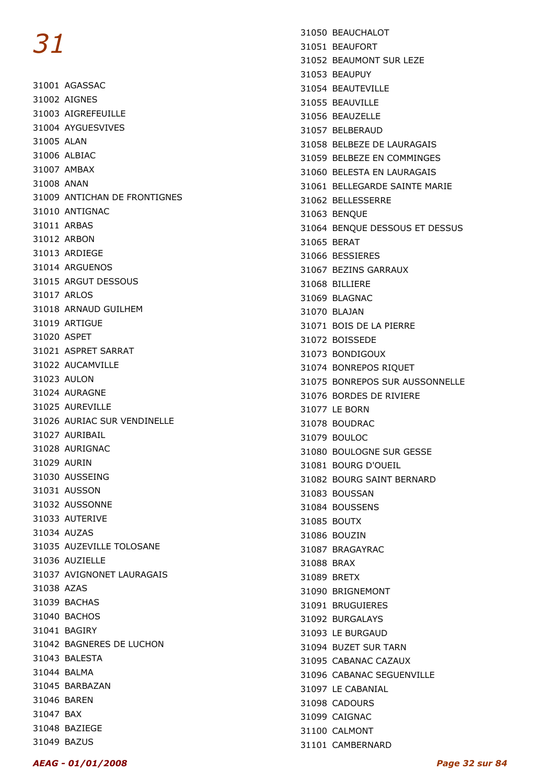31001 AGASSAC 31002 AIGNES 31003 AIGREFEUILLE 31004 AYGUESVIVES 31005 ALAN 31006 ALBIAC 31007 AMBAX 31008 ANAN 31009 ANTICHAN DE FRONTIGNES 31010 ANTIGNAC 31011 ARBAS 31012 ARBON 31013 ARDIEGE 31014 ARGUENOS 31015 ARGUT DESSOUS 31017 ARLOS 31018 ARNAUD GUILHEM 31019 ARTIGUE 31020 ASPET 31021 ASPRET SARRAT 31022 AUCAMVILLE 31023 AULON 31024 AURAGNE 31025 AUREVILLE 31026 AURIAC SUR VENDINELLE 31027 AURIBAIL 31028 AURIGNAC 31029 AURIN 31030 AUSSEING 31031 AUSSON 31032 AUSSONNE 31033 AUTERIVE 31034 AUZAS 31035 AUZEVILLE TOLOSANE 31036 AUZIELLE 31037 AVIGNONET LAURAGAIS 31038 AZAS 31039 BACHAS 31040 BACHOS 31041 BAGIRY 31042 BAGNERES DE LUCHON 31043 BALESTA 31044 BALMA 31045 BARBAZAN 31046 BAREN 31047 BAX 31048 BAZIEGE 31049 BAZUS

31050 BEAUCHALOT 31051 BEAUFORT 31052 BEAUMONT SUR LEZE 31053 BEAUPUY 31054 BEAUTEVILLE 31055 BEAUVILLE 31056 BEAUZELLE 31057 BELBERAUD 31058 BELBEZE DE LAURAGAIS 31059 BELBEZE EN COMMINGES 31060 BELESTA EN LAURAGAIS 31061 BELLEGARDE SAINTE MARIE 31062 BELLESSERRE 31063 BENQUE 31064 BENQUE DESSOUS ET DESSUS 31065 BERAT 31066 BESSIERES 31067 BEZINS GARRAUX 31068 BILLIERE 31069 BLAGNAC 31070 BLAJAN 31071 BOIS DE LA PIERRE 31072 BOISSEDE 31073 BONDIGOUX 31074 BONREPOS RIQUET 31075 BONREPOS SUR AUSSONNELLE 31076 BORDES DE RIVIERE 31077 LE BORN 31078 BOUDRAC 31079 BOULOC 31080 BOULOGNE SUR GESSE 31081 BOURG D'OUEIL 31082 BOURG SAINT BERNARD 31083 BOUSSAN 31084 BOUSSENS 31085 BOUTX 31086 BOUZIN 31087 BRAGAYRAC 31088 BRAX 31089 BRETX 31090 BRIGNEMONT 31091 BRUGUIERES 31092 BURGALAYS 31093 LE BURGAUD 31094 BUZET SUR TARN 31095 CABANAC CAZAUX 31096 CABANAC SEGUENVILLE 31097 LE CABANIAL 31098 CADOURS 31099 CAIGNAC 31100 CALMONT 31101 CAMBERNARD

#### AEAG - 01/01/2008 Page 32 sur 84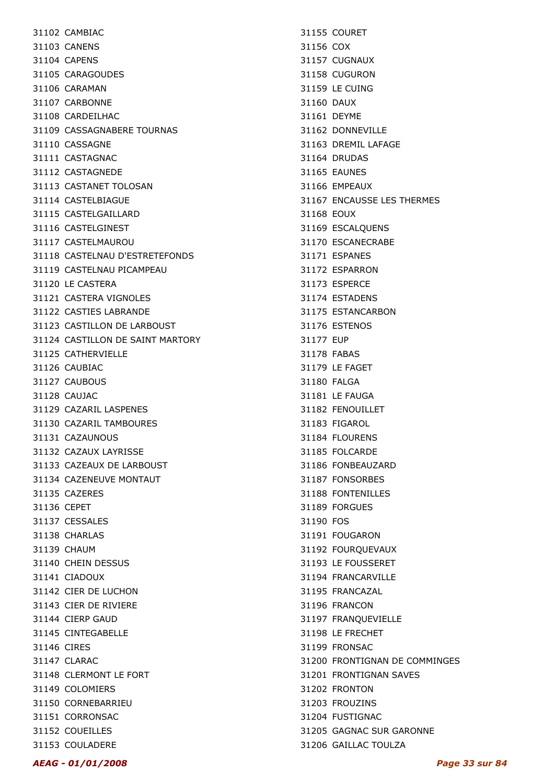31102 CAMBIAC 31103 CANENS 31104 CAPENS 31105 CARAGOUDES 31106 CARAMAN 31107 CARBONNE 31108 CARDEILHAC 31109 CASSAGNABERE TOURNAS 31110 CASSAGNE 31111 CASTAGNAC 31112 CASTAGNEDE 31113 CASTANET TOLOSAN 31114 CASTELBIAGUE 31115 CASTELGAILLARD 31116 CASTELGINEST 31117 CASTELMAUROU 31118 CASTELNAU D'ESTRETEFONDS 31119 CASTELNAU PICAMPEAU 31120 LE CASTERA 31121 CASTERA VIGNOLES 31122 CASTIES LABRANDE 31123 CASTILLON DE LARBOUST 31124 CASTILLON DE SAINT MARTORY 31125 CATHERVIELLE 31126 CAUBIAC 31127 CAUBOUS 31128 CAUJAC 31129 CAZARIL LASPENES 31130 CAZARIL TAMBOURES 31131 CAZAUNOUS 31132 CAZAUX LAYRISSE 31133 CAZEAUX DE LARBOUST 31134 CAZENEUVE MONTAUT 31135 CAZERES 31136 CEPET 31137 CESSALES 31138 CHARLAS 31139 CHAUM 31140 CHEIN DESSUS 31141 CIADOUX 31142 CIER DE LUCHON 31143 CIER DE RIVIERE 31144 CIERP GAUD 31145 CINTEGABELLE 31146 CIRES 31147 CLARAC 31148 CLERMONT LE FORT 31149 COLOMIERS 31150 CORNEBARRIEU 31151 CORRONSAC 31152 COUEILLES 31153 COULADERE

31155 COURET 31156 COX 31157 CUGNAUX 31158 CUGURON 31159 LE CUING 31160 DAUX 31161 DEYME 31162 DONNEVILLE 31163 DREMIL LAFAGE 31164 DRUDAS 31165 EAUNES 31166 EMPEAUX 31167 ENCAUSSE LES THERMES 31168 EOUX 31169 ESCALQUENS 31170 ESCANECRABE 31171 ESPANES 31172 ESPARRON 31173 ESPERCE 31174 ESTADENS 31175 ESTANCARBON 31176 ESTENOS 31177 EUP 31178 FABAS 31179 LE FAGET 31180 FALGA 31181 LE FAUGA 31182 FENOUILLET 31183 FIGAROL 31184 FLOURENS 31185 FOLCARDE 31186 FONBEAUZARD 31187 FONSORBES 31188 FONTENILLES 31189 FORGUES 31190 FOS 31191 FOUGARON 31192 FOURQUEVAUX 31193 LE FOUSSERET 31194 FRANCARVILLE 31195 FRANCAZAL 31196 FRANCON 31197 FRANQUEVIELLE 31198 LE FRECHET 31199 FRONSAC 31200 FRONTIGNAN DE COMMINGES 31201 FRONTIGNAN SAVES 31202 FRONTON 31203 FROUZINS 31204 FUSTIGNAC 31205 GAGNAC SUR GARONNE 31206 GAILLAC TOULZA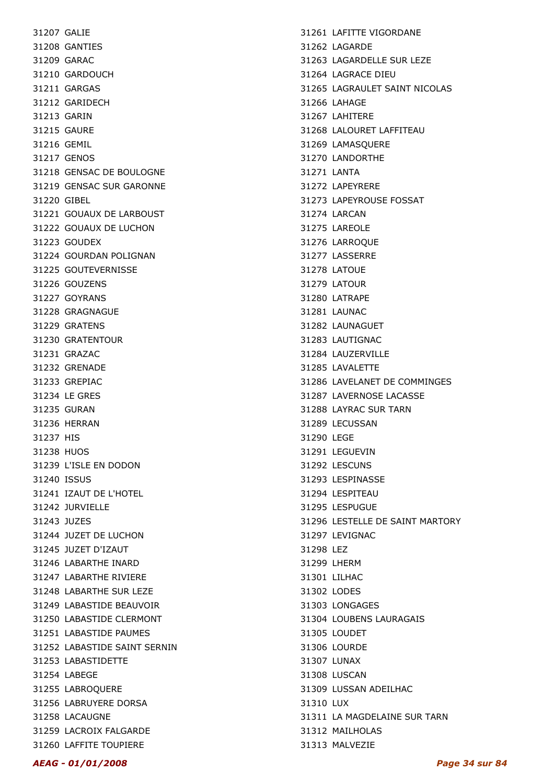31207 GALIE 31208 GANTIES 31209 GARAC 31210 GARDOUCH 31211 GARGAS 31212 GARIDECH 31213 GARIN 31215 GAURE 31216 GEMIL 31217 GENOS 31218 GENSAC DE BOULOGNE 31219 GENSAC SUR GARONNE 31220 GIBEL 31221 GOUAUX DE LARBOUST 31222 GOUAUX DE LUCHON 31223 GOUDEX 31224 GOURDAN POLIGNAN 31225 GOUTEVERNISSE 31226 GOUZENS 31227 GOYRANS 31228 GRAGNAGUE 31229 GRATENS 31230 GRATENTOUR 31231 GRAZAC 31232 GRENADE 31233 GREPIAC 31234 LE GRES 31235 GURAN 31236 HERRAN 31237 HIS 31238 HUOS 31239 L'ISLE EN DODON 31240 ISSUS 31241 IZAUT DE L'HOTEL 31242 JURVIELLE 31243 JUZES 31244 JUZET DE LUCHON 31245 JUZET D'IZAUT 31246 LABARTHE INARD 31247 LABARTHE RIVIERE 31248 LABARTHE SUR LEZE 31249 LABASTIDE BEAUVOIR 31250 LABASTIDE CLERMONT 31251 LABASTIDE PAUMES 31252 LABASTIDE SAINT SERNIN 31253 LABASTIDETTE 31254 LABEGE 31255 LABROQUERE 31256 LABRUYERE DORSA 31258 LACAUGNE 31259 LACROIX FALGARDE 31260 LAFFITE TOUPIERE

31261 LAFITTE VIGORDANE 31262 LAGARDE 31263 LAGARDELLE SUR LEZE 31264 LAGRACE DIEU 31265 LAGRAULET SAINT NICOLAS 31266 LAHAGE 31267 LAHITERE 31268 LALOURET LAFFITEAU 31269 LAMASQUERE 31270 LANDORTHE 31271 LANTA 31272 LAPEYRERE 31273 LAPEYROUSE FOSSAT 31274 LARCAN 31275 LAREOLE 31276 LARROQUE 31277 LASSERRE 31278 LATOUE 31279 LATOUR 31280 LATRAPE 31281 LAUNAC 31282 LAUNAGUET 31283 LAUTIGNAC 31284 LAUZERVILLE 31285 LAVALETTE 31286 LAVELANET DE COMMINGES 31287 LAVERNOSE LACASSE 31288 LAYRAC SUR TARN 31289 LECUSSAN 31290 LEGE 31291 LEGUEVIN 31292 LESCUNS 31293 LESPINASSE 31294 LESPITEAU 31295 LESPUGUE 31296 LESTELLE DE SAINT MARTORY 31297 LEVIGNAC 31298 LEZ 31299 LHERM 31301 LILHAC 31302 LODES 31303 LONGAGES 31304 LOUBENS LAURAGAIS 31305 LOUDET 31306 LOURDE 31307 LUNAX 31308 LUSCAN 31309 LUSSAN ADEILHAC 31310 LUX 31311 LA MAGDELAINE SUR TARN 31312 MAILHOLAS 31313 MALVEZIE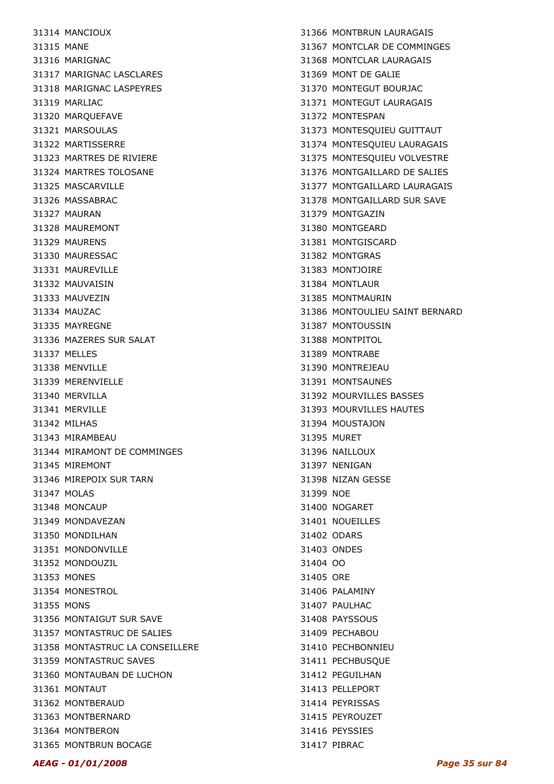31314 MANCIOUX 31315 MANE 31316 MARIGNAC 31317 MARIGNAC LASCLARES 31318 MARIGNAC LASPEYRES 31319 MARLIAC 31320 MARQUEFAVE 31321 MARSOULAS 31322 MARTISSERRE 31323 MARTRES DE RIVIERE 31324 MARTRES TOLOSANE 31325 MASCARVILLE 31326 MASSABRAC 31327 MAURAN 31328 MAUREMONT 31329 MAURENS 31330 MAURESSAC 31331 MAUREVILLE 31332 MAUVAISIN 31333 MAUVEZIN 31334 MAUZAC 31335 MAYREGNE 31336 MAZERES SUR SALAT 31337 MELLES 31338 MENVILLE 31339 MERENVIELLE 31340 MERVILLA 31341 MERVILLE 31342 MILHAS 31343 MIRAMBEAU 31344 MIRAMONT DE COMMINGES 31345 MIREMONT 31346 MIREPOIX SUR TARN 31347 MOLAS 31348 MONCAUP 31349 MONDAVEZAN 31350 MONDILHAN 31351 MONDONVILLE 31352 MONDOUZIL 31353 MONES 31354 MONESTROL 31355 MONS 31356 MONTAIGUT SUR SAVE 31357 MONTASTRUC DE SALIES 31358 MONTASTRUC LA CONSEILLERE 31359 MONTASTRUC SAVES 31360 MONTAUBAN DE LUCHON 31361 MONTAUT 31362 MONTBERAUD 31363 MONTBERNARD 31364 MONTBERON 31365 MONTBRUN BOCAGE

31366 MONTBRUN LAURAGAIS 31367 MONTCLAR DE COMMINGES 31368 MONTCLAR LAURAGAIS 31369 MONT DE GALIE 31370 MONTEGUT BOURJAC 31371 MONTEGUT LAURAGAIS 31372 MONTESPAN 31373 MONTESQUIEU GUITTAUT 31374 MONTESQUIEU LAURAGAIS 31375 MONTESQUIEU VOLVESTRE 31376 MONTGAILLARD DE SALIES 31377 MONTGAILLARD LAURAGAIS 31378 MONTGAILLARD SUR SAVE 31379 MONTGAZIN 31380 MONTGEARD 31381 MONTGISCARD 31382 MONTGRAS 31383 MONTJOIRE 31384 MONTLAUR 31385 MONTMAURIN 31386 MONTOULIEU SAINT BERNARD 31387 MONTOUSSIN 31388 MONTPITOL 31389 MONTRABE 31390 MONTREJEAU 31391 MONTSAUNES 31392 MOURVILLES BASSES 31393 MOURVILLES HAUTES 31394 MOUSTAJON 31395 MURET 31396 NAILLOUX 31397 NENIGAN 31398 NIZAN GESSE 31399 NOE 31400 NOGARET 31401 NOUEILLES 31402 ODARS 31403 ONDES 31404 OO 31405 ORE 31406 PALAMINY 31407 PAULHAC 31408 PAYSSOUS 31409 PECHABOU 31410 PECHBONNIEU 31411 PECHBUSQUE 31412 PEGUILHAN 31413 PELLEPORT 31414 PEYRISSAS 31415 PEYROUZET 31416 PEYSSIES 31417 PIBRAC

#### AEAG - 01/01/2008 Page 35 sur 84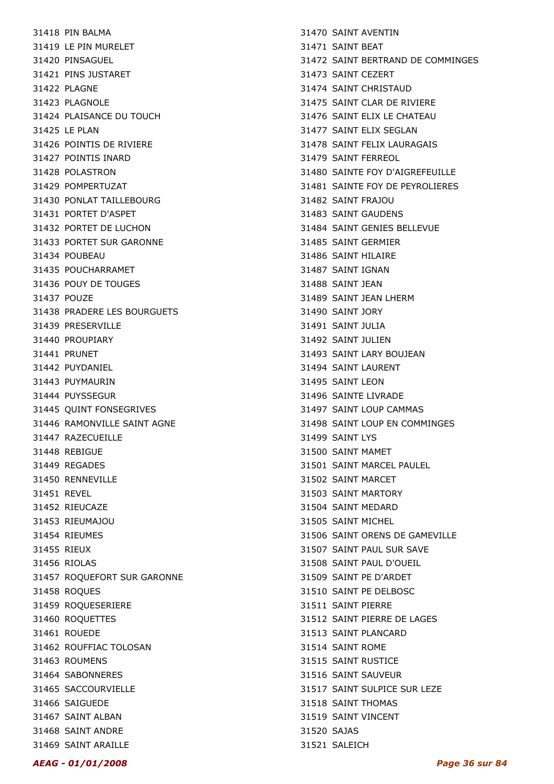31418 PIN BALMA 31419 LE PIN MURELET 31420 PINSAGUEL 31421 PINS JUSTARET 31422 PLAGNE 31423 PLAGNOLE 31424 PLAISANCE DU TOUCH 31425 LE PLAN 31426 POINTIS DE RIVIERE 31427 POINTIS INARD 31428 POLASTRON 31429 POMPERTUZAT 31430 PONLAT TAILLEBOURG 31431 PORTET D'ASPET 31432 PORTET DE LUCHON 31433 PORTET SUR GARONNE 31434 POUBEAU 31435 POUCHARRAMET 31436 POUY DE TOUGES 31437 POUZE 31438 PRADERE LES BOURGUETS 31439 PRESERVILLE 31440 PROUPIARY 31441 PRUNET 31442 PUYDANIEL 31443 PUYMAURIN 31444 PUYSSEGUR 31445 QUINT FONSEGRIVES 31446 RAMONVILLE SAINT AGNE 31447 RAZECUEILLE 31448 REBIGUE 31449 REGADES 31450 RENNEVILLE 31451 REVEL 31452 RIEUCAZE 31453 RIEUMAJOU 31454 RIEUMES 31455 RIEUX 31456 RIOLAS 31457 ROQUEFORT SUR GARONNE 31458 ROQUES 31459 ROQUESERIERE 31460 ROQUETTES 31461 ROUEDE 31462 ROUFFIAC TOLOSAN 31463 ROUMENS 31464 SABONNERES 31465 SACCOURVIELLE 31466 SAIGUEDE 31467 SAINT ALBAN 31468 SAINT ANDRE 31469 SAINT ARAILLE

31470 SAINT AVENTIN 31471 SAINT BEAT 31472 SAINT BERTRAND DE COMMINGES 31473 SAINT CEZERT 31474 SAINT CHRISTAUD 31475 SAINT CLAR DE RIVIERE 31476 SAINT ELIX LE CHATEAU 31477 SAINT ELIX SEGLAN 31478 SAINT FELIX LAURAGAIS 31479 SAINT FERREOL 31480 SAINTE FOY D'AIGREFEUILLE 31481 SAINTE FOY DE PEYROLIERES 31482 SAINT FRAJOU 31483 SAINT GAUDENS 31484 SAINT GENIES BELLEVUE 31485 SAINT GERMIER 31486 SAINT HILAIRE 31487 SAINT IGNAN 31488 SAINT JEAN 31489 SAINT JEAN LHERM 31490 SAINT JORY 31491 SAINT JULIA 31492 SAINT JULIEN 31493 SAINT LARY BOUJEAN 31494 SAINT LAURENT 31495 SAINT LEON 31496 SAINTE LIVRADE 31497 SAINT LOUP CAMMAS 31498 SAINT LOUP EN COMMINGES 31499 SAINT LYS 31500 SAINT MAMET 31501 SAINT MARCEL PAULEL 31502 SAINT MARCET 31503 SAINT MARTORY 31504 SAINT MEDARD 31505 SAINT MICHEL 31506 SAINT ORENS DE GAMEVILLE 31507 SAINT PAUL SUR SAVE 31508 SAINT PAUL D'OUEIL 31509 SAINT PE D'ARDET 31510 SAINT PE DELBOSC 31511 SAINT PIERRE 31512 SAINT PIERRE DE LAGES 31513 SAINT PLANCARD 31514 SAINT ROME 31515 SAINT RUSTICE 31516 SAINT SAUVEUR 31517 SAINT SULPICE SUR LEZE 31518 SAINT THOMAS 31519 SAINT VINCENT 31520 SAJAS 31521 SALEICH

AEAG - 01/01/2008 Page 36 sur 84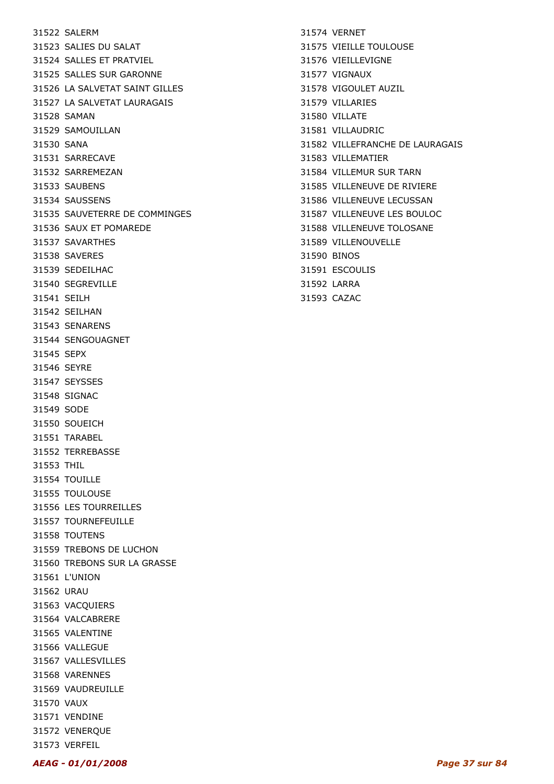31522 SALERM 31523 SALIES DU SALAT 31524 SALLES ET PRATVIEL 31525 SALLES SUR GARONNE 31526 LA SALVETAT SAINT GILLES 31527 LA SALVETAT LAURAGAIS 31528 SAMAN 31529 SAMOUILLAN 31530 SANA 31531 SARRECAVE 31532 SARREMEZAN 31533 SAUBENS 31534 SAUSSENS 31535 SAUVETERRE DE COMMINGES 31536 SAUX ET POMAREDE 31537 SAVARTHES 31538 SAVERES 31539 SEDEILHAC 31540 SEGREVILLE 31541 SEILH 31542 SEILHAN 31543 SENARENS 31544 SENGOUAGNET 31545 SEPX 31546 SEYRE 31547 SEYSSES 31548 SIGNAC 31549 SODE 31550 SOUEICH 31551 TARABEL 31552 TERREBASSE 31553 THIL 31554 TOUILLE 31555 TOULOUSE 31556 LES TOURREILLES 31557 TOURNEFEUILLE 31558 TOUTENS 31559 TREBONS DE LUCHON 31560 TREBONS SUR LA GRASSE 31561 L'UNION 31562 URAU 31563 VACQUIERS 31564 VALCABRERE 31565 VALENTINE 31566 VALLEGUE 31567 VALLESVILLES 31568 VARENNES 31569 VAUDREUILLE 31570 VAUX 31571 VENDINE 31572 VENERQUE

31574 VERNET 31575 VIEILLE TOULOUSE 31576 VIEILLEVIGNE 31577 VIGNAUX 31578 VIGOULET AUZIL 31579 VILLARIES 31580 VILLATE 31581 VILLAUDRIC 31582 VILLEFRANCHE DE LAURAGAIS 31583 VILLEMATIER 31584 VILLEMUR SUR TARN 31585 VILLENEUVE DE RIVIERE 31586 VILLENEUVE LECUSSAN 31587 VILLENEUVE LES BOULOC 31588 VILLENEUVE TOLOSANE 31589 VILLENOUVELLE 31590 BINOS 31591 ESCOULIS 31592 LARRA 31593 CAZAC

31573 VERFEIL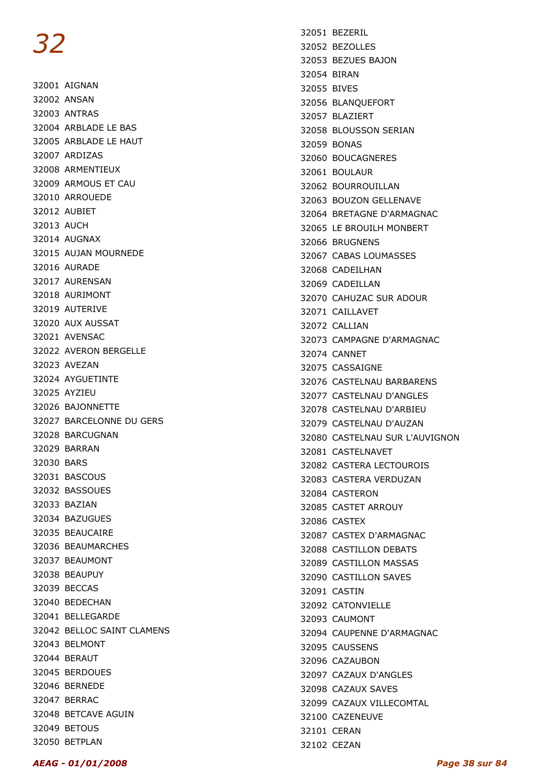32001 AIGNAN 32002 ANSAN 32003 ANTRAS 32004 ARBLADE LE BAS 32005 ARBLADE LE HAUT 32007 ARDIZAS 32008 ARMENTIEUX 32009 ARMOUS ET CAU 32010 ARROUEDE 32012 AUBIET 32013 AUCH 32014 AUGNAX 32015 AUJAN MOURNEDE 32016 AURADE 32017 AURENSAN 32018 AURIMONT 32019 AUTERIVE 32020 AUX AUSSAT 32021 AVENSAC 32022 AVERON BERGELLE 32023 AVEZAN 32024 AYGUETINTE 32025 AYZIEU 32026 BAJONNETTE 32027 BARCELONNE DU GERS 32028 BARCUGNAN 32029 BARRAN 32030 BARS 32031 BASCOUS 32032 BASSOUES 32033 BAZIAN 32034 BAZUGUES 32035 BEAUCAIRE 32036 BEAUMARCHES 32037 BEAUMONT 32038 BEAUPUY 32039 BECCAS 32040 BEDECHAN 32041 BELLEGARDE 32042 BELLOC SAINT CLAMENS 32043 BELMONT 32044 BERAUT 32045 BERDOUES 32046 BERNEDE 32047 BERRAC 32048 BETCAVE AGUIN 32049 BETOUS 32050 BETPLAN

32051 BEZERIL 32052 BEZOLLES 32053 BEZUES BAJON 32054 BIRAN 32055 BIVES 32056 BLANQUEFORT 32057 BLAZIERT 32058 BLOUSSON SERIAN 32059 BONAS 32060 BOUCAGNERES 32061 BOULAUR 32062 BOURROUILLAN 32063 BOUZON GELLENAVE 32064 BRETAGNE D'ARMAGNAC 32065 LE BROUILH MONBERT 32066 BRUGNENS 32067 CABAS LOUMASSES 32068 CADEILHAN 32069 CADEILLAN 32070 CAHUZAC SUR ADOUR 32071 CAILLAVET 32072 CALLIAN 32073 CAMPAGNE D'ARMAGNAC 32074 CANNET 32075 CASSAIGNE 32076 CASTELNAU BARBARENS 32077 CASTELNAU D'ANGLES 32078 CASTELNAU D'ARBIEU 32079 CASTELNAU D'AUZAN 32080 CASTELNAU SUR L'AUVIGNON 32081 CASTELNAVET 32082 CASTERA LECTOUROIS 32083 CASTERA VERDUZAN 32084 CASTERON 32085 CASTET ARROUY 32086 CASTEX 32087 CASTEX D'ARMAGNAC 32088 CASTILLON DEBATS 32089 CASTILLON MASSAS 32090 CASTILLON SAVES 32091 CASTIN 32092 CATONVIELLE 32093 CAUMONT 32094 CAUPENNE D'ARMAGNAC 32095 CAUSSENS 32096 CAZAUBON 32097 CAZAUX D'ANGLES 32098 CAZAUX SAVES 32099 CAZAUX VILLECOMTAL 32100 CAZENEUVE 32101 CERAN 32102 CEZAN

AEAG - 01/01/2008 Page 38 sur 84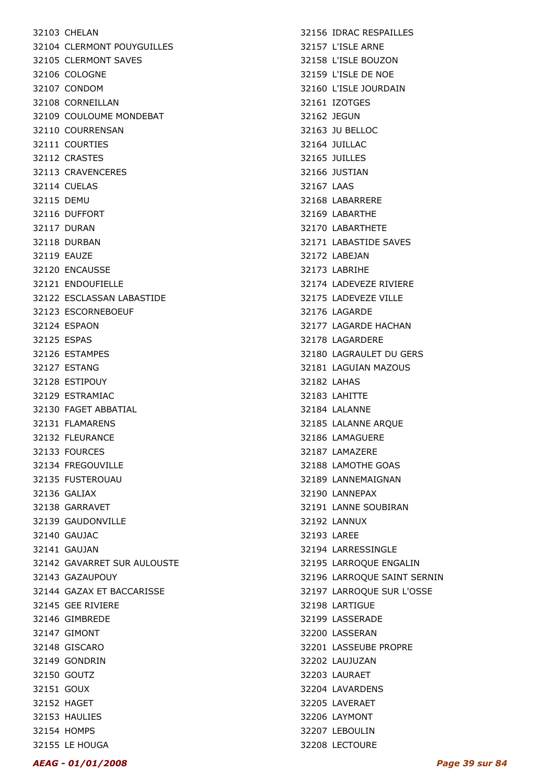32103 CHELAN 32104 CLERMONT POUYGUILLES 32105 CLERMONT SAVES 32106 COLOGNE 32107 CONDOM 32108 CORNEILLAN 32109 COULOUME MONDEBAT 32110 COURRENSAN 32111 COURTIES 32112 CRASTES 32113 CRAVENCERES 32114 CUELAS 32115 DEMU 32116 DUFFORT 32117 DURAN 32118 DURBAN 32119 EAUZE 32120 ENCAUSSE 32121 ENDOUFIELLE 32122 ESCLASSAN LABASTIDE 32123 ESCORNEBOEUF 32124 ESPAON 32125 ESPAS 32126 ESTAMPES 32127 ESTANG 32128 ESTIPOUY 32129 ESTRAMIAC 32130 FAGET ABBATIAL 32131 FLAMARENS 32132 FLEURANCE 32133 FOURCES 32134 FREGOUVILLE 32135 FUSTEROUAU 32136 GALIAX 32138 GARRAVET 32139 GAUDONVILLE 32140 GAUJAC 32141 GAUJAN 32142 GAVARRET SUR AULOUSTE 32143 GAZAUPOUY 32144 GAZAX ET BACCARISSE 32145 GEE RIVIERE 32146 GIMBREDE 32147 GIMONT 32148 GISCARO 32149 GONDRIN 32150 GOUTZ 32151 GOUX 32152 HAGET 32153 HAULIES 32154 HOMPS 32155 LE HOUGA

32156 IDRAC RESPAILLES 32157 L'ISLE ARNE 32158 L'ISLE BOUZON 32159 L'ISLE DE NOE 32160 L'ISLE JOURDAIN 32161 IZOTGES 32162 JEGUN 32163 JU BELLOC 32164 JUILLAC 32165 JUILLES 32166 JUSTIAN 32167 LAAS 32168 LABARRERE 32169 LABARTHE 32170 LABARTHETE 32171 LABASTIDE SAVES 32172 LABEJAN 32173 LABRIHE 32174 LADEVEZE RIVIERE 32175 LADEVEZE VILLE 32176 LAGARDE 32177 LAGARDE HACHAN 32178 LAGARDERE 32180 LAGRAULET DU GERS 32181 LAGUIAN MAZOUS 32182 LAHAS 32183 LAHITTE 32184 LALANNE 32185 LALANNE ARQUE 32186 LAMAGUERE 32187 LAMAZERE 32188 LAMOTHE GOAS 32189 LANNEMAIGNAN 32190 LANNEPAX 32191 LANNE SOUBIRAN 32192 LANNUX 32193 LAREE 32194 LARRESSINGLE 32195 LARROQUE ENGALIN 32196 LARROQUE SAINT SERNIN 32197 LARROQUE SUR L'OSSE 32198 LARTIGUE 32199 LASSERADE 32200 LASSERAN 32201 LASSEUBE PROPRE 32202 LAUJUZAN 32203 LAURAET 32204 LAVARDENS 32205 LAVERAET 32206 LAYMONT 32207 LEBOULIN 32208 LECTOURE

#### AEAG - 01/01/2008 Page 39 sur 84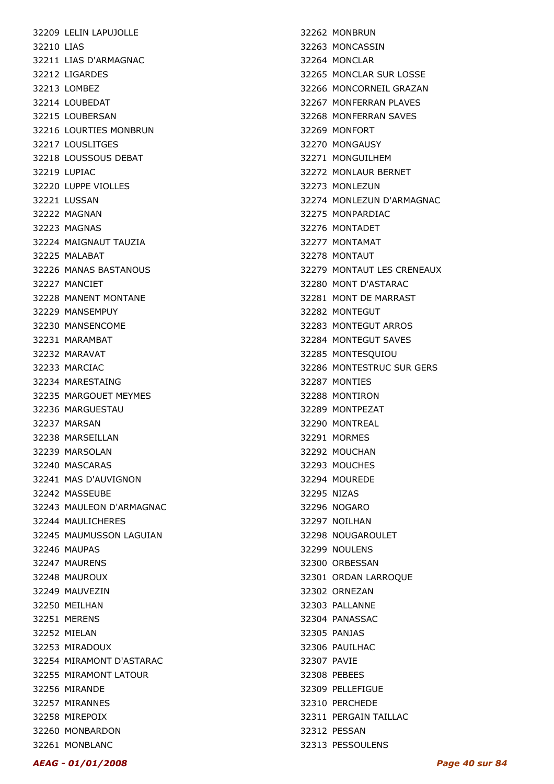32209 LELIN LAPUJOLLE 32210 LIAS 32211 LIAS D'ARMAGNAC 32212 LIGARDES 32213 LOMBEZ 32214 LOUBEDAT 32215 LOUBERSAN 32216 LOURTIES MONBRUN 32217 LOUSLITGES 32218 LOUSSOUS DEBAT 32219 LUPIAC 32220 LUPPE VIOLLES 32221 LUSSAN 32222 MAGNAN 32223 MAGNAS 32224 MAIGNAUT TAUZIA 32225 MALABAT 32226 MANAS BASTANOUS 32227 MANCIET 32228 MANENT MONTANE 32229 MANSEMPUY 32230 MANSENCOME 32231 MARAMBAT 32232 MARAVAT 32233 MARCIAC 32234 MARESTAING 32235 MARGOUET MEYMES 32236 MARGUESTAU 32237 MARSAN 32238 MARSEILLAN 32239 MARSOLAN 32240 MASCARAS 32241 MAS D'AUVIGNON 32242 MASSEUBE 32243 MAULEON D'ARMAGNAC 32244 MAULICHERES 32245 MAUMUSSON LAGUIAN 32246 MAUPAS 32247 MAURENS 32248 MAUROUX 32249 MAUVEZIN 32250 MEILHAN 32251 MERENS 32252 MIELAN 32253 MIRADOUX 32254 MIRAMONT D'ASTARAC 32255 MIRAMONT LATOUR 32256 MIRANDE 32257 MIRANNES 32258 MIREPOIX 32260 MONBARDON 32261 MONBLANC

32262 MONBRUN 32263 MONCASSIN 32264 MONCLAR 32265 MONCLAR SUR LOSSE 32266 MONCORNEIL GRAZAN 32267 MONFERRAN PLAVES 32268 MONFERRAN SAVES 32269 MONFORT 32270 MONGAUSY 32271 MONGUILHEM 32272 MONLAUR BERNET 32273 MONLEZUN 32274 MONLEZUN D'ARMAGNAC 32275 MONPARDIAC 32276 MONTADET 32277 MONTAMAT 32278 MONTAUT 32279 MONTAUT LES CRENEAUX 32280 MONT D'ASTARAC 32281 MONT DE MARRAST 32282 MONTEGUT 32283 MONTEGUT ARROS 32284 MONTEGUT SAVES 32285 MONTESQUIOU 32286 MONTESTRUC SUR GERS 32287 MONTIES 32288 MONTIRON 32289 MONTPEZAT 32290 MONTREAL 32291 MORMES 32292 MOUCHAN 32293 MOUCHES 32294 MOUREDE 32295 NIZAS 32296 NOGARO 32297 NOILHAN 32298 NOUGAROULET 32299 NOULENS 32300 ORBESSAN 32301 ORDAN LARROQUE 32302 ORNEZAN 32303 PALLANNE 32304 PANASSAC 32305 PANJAS 32306 PAUILHAC 32307 PAVIE 32308 PEBEES 32309 PELLEFIGUE 32310 PERCHEDE 32311 PERGAIN TAILLAC 32312 PESSAN 32313 PESSOULENS

#### AEAG - 01/01/2008 Page 40 sur 84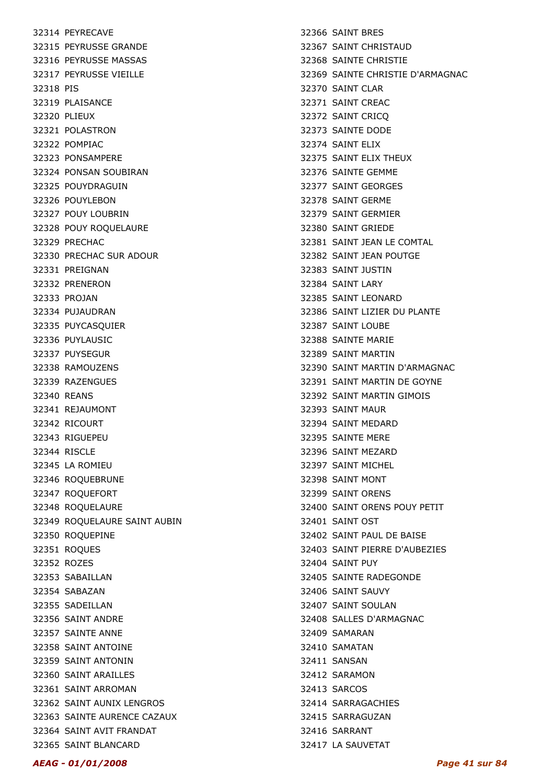32314 PEYRECAVE 32315 PEYRUSSE GRANDE 32316 PEYRUSSE MASSAS 32317 PEYRUSSE VIEILLE 32318 PIS 32319 PLAISANCE 32320 PLIEUX 32321 POLASTRON 32322 POMPIAC 32323 PONSAMPERE 32324 PONSAN SOUBIRAN 32325 POUYDRAGUIN 32326 POUYLEBON 32327 POUY LOUBRIN 32328 POUY ROQUELAURE 32329 PRECHAC 32330 PRECHAC SUR ADOUR 32331 PREIGNAN 32332 PRENERON 32333 PROJAN 32334 PUJAUDRAN 32335 PUYCASQUIER 32336 PUYLAUSIC 32337 PUYSEGUR 32338 RAMOUZENS 32339 RAZENGUES 32340 REANS 32341 REJAUMONT 32342 RICOURT 32343 RIGUEPEU 32344 RISCLE 32345 LA ROMIEU 32346 ROQUEBRUNE 32347 ROQUEFORT 32348 ROQUELAURE 32349 ROQUELAURE SAINT AUBIN 32350 ROQUEPINE 32351 ROQUES 32352 ROZES 32353 SABAILLAN 32354 SABAZAN 32355 SADEILLAN 32356 SAINT ANDRE 32357 SAINTE ANNE 32358 SAINT ANTOINE 32359 SAINT ANTONIN 32360 SAINT ARAILLES 32361 SAINT ARROMAN 32362 SAINT AUNIX LENGROS 32363 SAINTE AURENCE CAZAUX 32364 SAINT AVIT FRANDAT 32365 SAINT BLANCARD

32366 SAINT BRES 32367 SAINT CHRISTAUD 32368 SAINTE CHRISTIE 32369 SAINTE CHRISTIE D'ARMAGNAC 32370 SAINT CLAR 32371 SAINT CREAC 32372 SAINT CRICQ 32373 SAINTE DODE 32374 SAINT ELIX 32375 SAINT ELIX THEUX 32376 SAINTE GEMME 32377 SAINT GEORGES 32378 SAINT GERME 32379 SAINT GERMIER 32380 SAINT GRIEDE 32381 SAINT JEAN LE COMTAL 32382 SAINT JEAN POUTGE 32383 SAINT JUSTIN 32384 SAINT LARY 32385 SAINT LEONARD 32386 SAINT LIZIER DU PLANTE 32387 SAINT LOUBE 32388 SAINTE MARIE 32389 SAINT MARTIN 32390 SAINT MARTIN D'ARMAGNAC 32391 SAINT MARTIN DE GOYNE 32392 SAINT MARTIN GIMOIS 32393 SAINT MAUR 32394 SAINT MEDARD 32395 SAINTE MERE 32396 SAINT MEZARD 32397 SAINT MICHEL 32398 SAINT MONT 32399 SAINT ORENS 32400 SAINT ORENS POUY PETIT 32401 SAINT OST 32402 SAINT PAUL DE BAISE 32403 SAINT PIERRE D'AUBEZIES 32404 SAINT PUY 32405 SAINTE RADEGONDE 32406 SAINT SAUVY 32407 SAINT SOULAN 32408 SALLES D'ARMAGNAC 32409 SAMARAN 32410 SAMATAN 32411 SANSAN 32412 SARAMON 32413 SARCOS 32414 SARRAGACHIES 32415 SARRAGUZAN 32416 SARRANT 32417 LA SAUVETAT

#### AEAG - 01/01/2008 Page 41 sur 84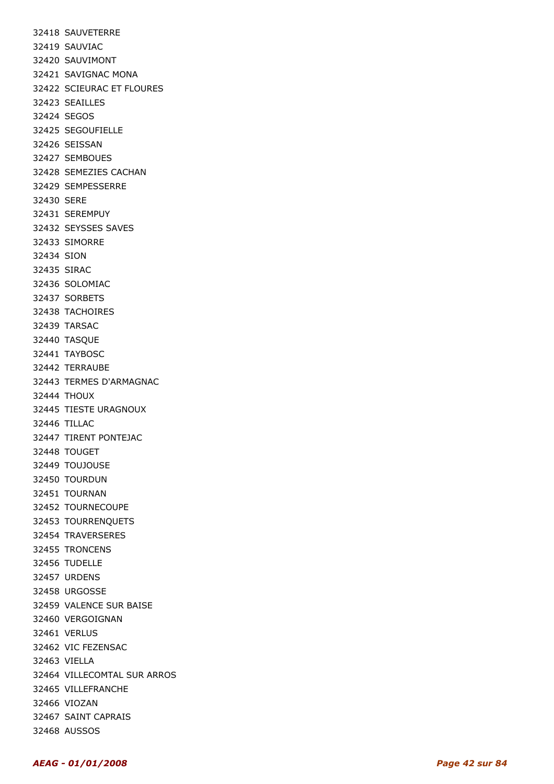32418 SAUVETERRE 32419 SAUVIAC 32420 SAUVIMONT 32421 SAVIGNAC MONA 32422 SCIEURAC ET FLOURES 32423 SEAILLES 32424 SEGOS 32425 SEGOUFIELLE 32426 SEISSAN 32427 SEMBOUES 32428 SEMEZIES CACHAN 32429 SEMPESSERRE 32430 SERE 32431 SEREMPUY 32432 SEYSSES SAVES 32433 SIMORRE 32434 SION 32435 SIRAC 32436 SOLOMIAC 32437 SORBETS 32438 TACHOIRES 32439 TARSAC 32440 TASQUE 32441 TAYBOSC 32442 TERRAUBE 32443 TERMES D'ARMAGNAC 32444 THOUX 32445 TIESTE URAGNOUX 32446 TILLAC 32447 TIRENT PONTEJAC 32448 TOUGET 32449 TOUJOUSE 32450 TOURDUN 32451 TOURNAN 32452 TOURNECOUPE 32453 TOURRENQUETS 32454 TRAVERSERES 32455 TRONCENS 32456 TUDELLE 32457 URDENS 32458 URGOSSE 32459 VALENCE SUR BAISE 32460 VERGOIGNAN 32461 VERLUS 32462 VIC FEZENSAC 32463 VIELLA 32464 VILLECOMTAL SUR ARROS 32465 VILLEFRANCHE 32466 VIOZAN 32467 SAINT CAPRAIS 32468 AUSSOS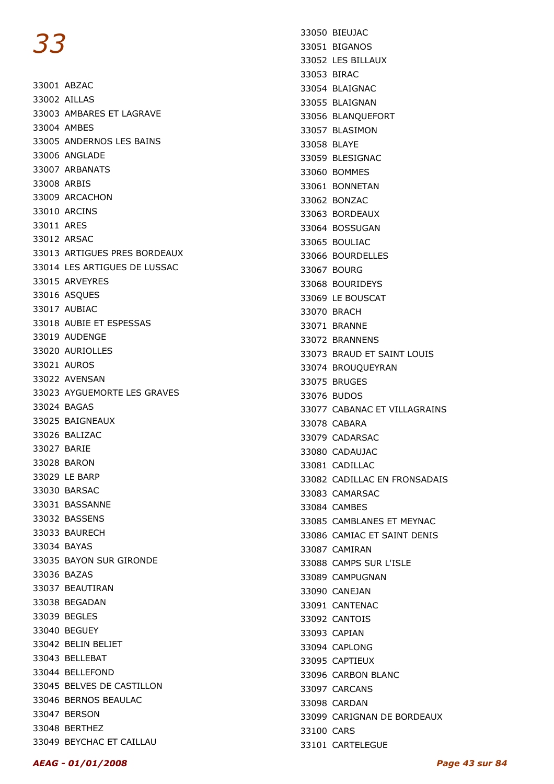33001 ABZAC 33002 AILLAS 33003 AMBARES ET LAGRAVE 33004 AMBES 33005 ANDERNOS LES BAINS 33006 ANGLADE 33007 ARBANATS 33008 ARBIS 33009 ARCACHON 33010 ARCINS 33011 ARES 33012 ARSAC 33013 ARTIGUES PRES BORDEAUX 33014 LES ARTIGUES DE LUSSAC 33015 ARVEYRES 33016 ASQUES 33017 AUBIAC 33018 AUBIE ET ESPESSAS 33019 AUDENGE 33020 AURIOLLES 33021 AUROS 33022 AVENSAN 33023 AYGUEMORTE LES GRAVES 33024 BAGAS 33025 BAIGNEAUX 33026 BALIZAC 33027 BARIE 33028 BARON 33029 LE BARP 33030 BARSAC 33031 BASSANNE 33032 BASSENS 33033 BAURECH 33034 BAYAS 33035 BAYON SUR GIRONDE 33036 BAZAS 33037 BEAUTIRAN 33038 BEGADAN 33039 BEGLES 33040 BEGUEY 33042 BELIN BELIET 33043 BELLEBAT 33044 BELLEFOND 33045 BELVES DE CASTILLON 33046 BERNOS BEAULAC 33047 BERSON 33048 BERTHEZ 33049 BEYCHAC ET CAILLAU

33050 BIEUJAC 33051 BIGANOS 33052 LES BILLAUX 33053 BIRAC 33054 BLAIGNAC 33055 BLAIGNAN 33056 BLANQUEFORT 33057 BLASIMON 33058 BLAYE 33059 BLESIGNAC 33060 BOMMES 33061 BONNETAN 33062 BONZAC 33063 BORDEAUX 33064 BOSSUGAN 33065 BOULIAC 33066 BOURDELLES 33067 BOURG 33068 BOURIDEYS 33069 LE BOUSCAT 33070 BRACH 33071 BRANNE 33072 BRANNENS 33073 BRAUD ET SAINT LOUIS 33074 BROUQUEYRAN 33075 BRUGES 33076 BUDOS 33077 CABANAC ET VILLAGRAINS 33078 CABARA 33079 CADARSAC 33080 CADAUJAC 33081 CADILLAC 33082 CADILLAC EN FRONSADAIS 33083 CAMARSAC 33084 CAMBES 33085 CAMBLANES ET MEYNAC 33086 CAMIAC ET SAINT DENIS 33087 CAMIRAN 33088 CAMPS SUR L'ISLE 33089 CAMPUGNAN 33090 CANEJAN 33091 CANTENAC 33092 CANTOIS 33093 CAPIAN 33094 CAPLONG 33095 CAPTIEUX 33096 CARBON BLANC 33097 CARCANS 33098 CARDAN 33099 CARIGNAN DE BORDEAUX 33100 CARS 33101 CARTELEGUE

#### AEAG - 01/01/2008 Page 43 sur 84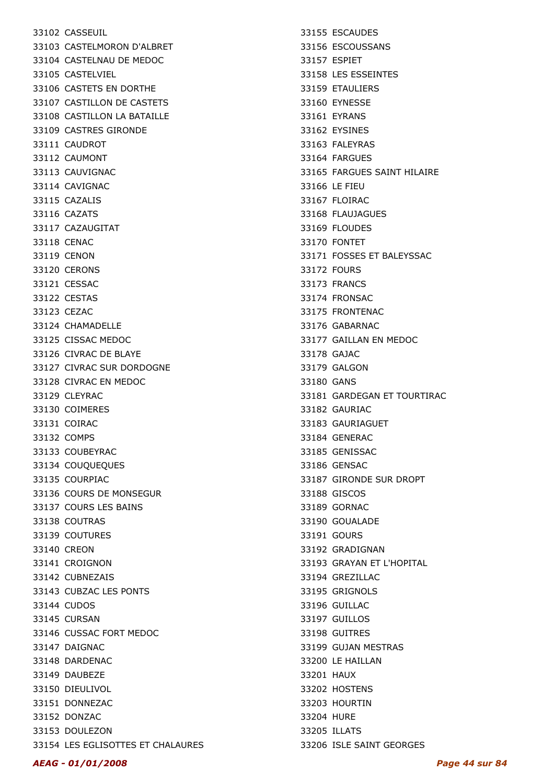33102 CASSEUIL 33103 CASTELMORON D'ALBRET 33104 CASTELNAU DE MEDOC 33105 CASTELVIEL 33106 CASTETS EN DORTHE 33107 CASTILLON DE CASTETS 33108 CASTILLON LA BATAILLE 33109 CASTRES GIRONDE 33111 CAUDROT 33112 CAUMONT 33113 CAUVIGNAC 33114 CAVIGNAC 33115 CAZALIS 33116 CAZATS 33117 CAZAUGITAT 33118 CENAC 33119 CENON 33120 CERONS 33121 CESSAC 33122 CESTAS 33123 CEZAC 33124 CHAMADELLE 33125 CISSAC MEDOC 33126 CIVRAC DE BLAYE 33127 CIVRAC SUR DORDOGNE 33128 CIVRAC EN MEDOC 33129 CLEYRAC 33130 COIMERES 33131 COIRAC 33132 COMPS 33133 COUBEYRAC 33134 COUQUEQUES 33135 COURPIAC 33136 COURS DE MONSEGUR 33137 COURS LES BAINS 33138 COUTRAS 33139 COUTURES 33140 CREON 33141 CROIGNON 33142 CUBNEZAIS 33143 CUBZAC LES PONTS 33144 CUDOS 33145 CURSAN 33146 CUSSAC FORT MEDOC 33147 DAIGNAC 33148 DARDENAC 33149 DAUBEZE 33150 DIEULIVOL 33151 DONNEZAC 33152 DONZAC 33153 DOULEZON 33154 LES EGLISOTTES ET CHALAURES

33155 ESCAUDES 33156 ESCOUSSANS 33157 ESPIET 33158 LES ESSEINTES 33159 ETAULIERS 33160 EYNESSE 33161 EYRANS 33162 EYSINES 33163 FALEYRAS 33164 FARGUES 33165 FARGUES SAINT HILAIRE 33166 LE FIEU 33167 FLOIRAC 33168 FLAUJAGUES 33169 FLOUDES 33170 FONTET 33171 FOSSES ET BALEYSSAC 33172 FOURS 33173 FRANCS 33174 FRONSAC 33175 FRONTENAC 33176 GABARNAC 33177 GAILLAN EN MEDOC 33178 GAJAC 33179 GALGON 33180 GANS 33181 GARDEGAN ET TOURTIRAC 33182 GAURIAC 33183 GAURIAGUET 33184 GENERAC 33185 GENISSAC 33186 GENSAC 33187 GIRONDE SUR DROPT 33188 GISCOS 33189 GORNAC 33190 GOUALADE 33191 GOURS 33192 GRADIGNAN 33193 GRAYAN ET L'HOPITAL 33194 GREZILLAC 33195 GRIGNOLS 33196 GUILLAC 33197 GUILLOS 33198 GUITRES 33199 GUJAN MESTRAS 33200 LE HAILLAN 33201 HAUX 33202 HOSTENS 33203 HOURTIN 33204 HURE 33205 ILLATS 33206 ISLE SAINT GEORGES

#### AEAG - 01/01/2008 Page 44 sur 84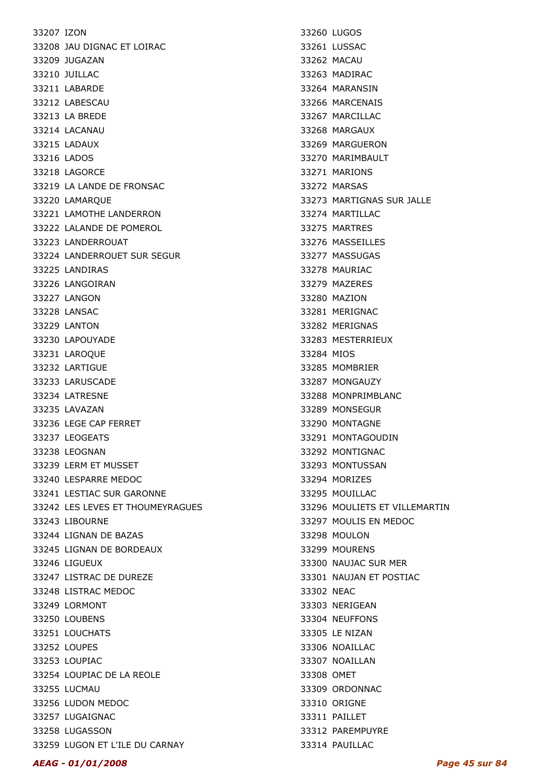33207 IZON 33208 JAU DIGNAC ET LOIRAC 33209 JUGAZAN 33210 JUILLAC 33211 LABARDE 33212 LABESCAU 33213 LA BREDE 33214 LACANAU 33215 LADAUX 33216 LADOS 33218 LAGORCE 33219 LA LANDE DE FRONSAC 33220 LAMARQUE 33221 LAMOTHE LANDERRON 33222 LALANDE DE POMEROL 33223 LANDERROUAT 33224 LANDERROUET SUR SEGUR 33225 LANDIRAS 33226 LANGOIRAN 33227 LANGON 33228 LANSAC 33229 LANTON 33230 LAPOUYADE 33231 LAROQUE 33232 LARTIGUE 33233 LARUSCADE 33234 LATRESNE 33235 LAVAZAN 33236 LEGE CAP FERRET 33237 LEOGEATS 33238 LEOGNAN 33239 LERM ET MUSSET 33240 LESPARRE MEDOC 33241 LESTIAC SUR GARONNE 33242 LES LEVES ET THOUMEYRAGUES 33243 LIBOURNE 33244 LIGNAN DE BAZAS 33245 LIGNAN DE BORDEAUX 33246 LIGUEUX 33247 LISTRAC DE DUREZE 33248 LISTRAC MEDOC 33249 LORMONT 33250 LOUBENS 33251 LOUCHATS 33252 LOUPES 33253 LOUPIAC 33254 LOUPIAC DE LA REOLE 33255 LUCMAU 33256 LUDON MEDOC 33257 LUGAIGNAC 33258 LUGASSON 33259 LUGON ET L'ILE DU CARNAY

33260 LUGOS 33261 LUSSAC 33262 MACAU 33263 MADIRAC 33264 MARANSIN 33266 MARCENAIS 33267 MARCILLAC 33268 MARGAUX 33269 MARGUERON 33270 MARIMBAULT 33271 MARIONS 33272 MARSAS 33273 MARTIGNAS SUR JALLE 33274 MARTILLAC 33275 MARTRES 33276 MASSEILLES 33277 MASSUGAS 33278 MAURIAC 33279 MAZERES 33280 MAZION 33281 MERIGNAC 33282 MERIGNAS 33283 MESTERRIEUX 33284 MIOS 33285 MOMBRIER 33287 MONGAUZY 33288 MONPRIMBLANC 33289 MONSEGUR 33290 MONTAGNE 33291 MONTAGOUDIN 33292 MONTIGNAC 33293 MONTUSSAN 33294 MORIZES 33295 MOUILLAC 33296 MOULIETS ET VILLEMARTIN 33297 MOULIS EN MEDOC 33298 MOULON 33299 MOURENS 33300 NAUJAC SUR MER 33301 NAUJAN ET POSTIAC 33302 NEAC 33303 NERIGEAN 33304 NEUFFONS 33305 LE NIZAN 33306 NOAILLAC 33307 NOAILLAN 33308 OMET 33309 ORDONNAC 33310 ORIGNE 33311 PAILLET 33312 PAREMPUYRE 33314 PAUILLAC

#### AEAG - 01/01/2008 Page 45 sur 84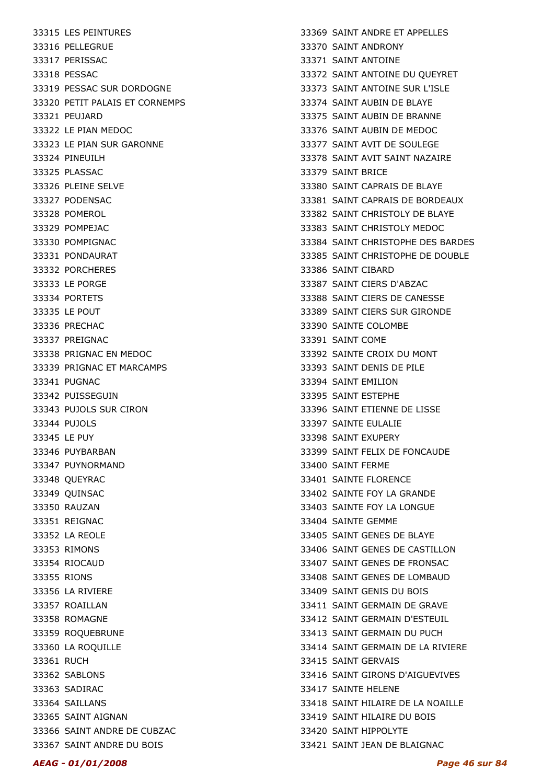33315 LES PEINTURES 33316 PELLEGRUE 33317 PERISSAC 33318 PESSAC 33319 PESSAC SUR DORDOGNE 33320 PETIT PALAIS ET CORNEMPS 33321 PEUJARD 33322 LE PIAN MEDOC 33323 LE PIAN SUR GARONNE 33324 PINEUILH 33325 PLASSAC 33326 PLEINE SELVE 33327 PODENSAC 33328 POMEROL 33329 POMPEJAC 33330 POMPIGNAC 33331 PONDAURAT 33332 PORCHERES 33333 LE PORGE 33334 PORTETS 33335 LE POUT 33336 PRECHAC 33337 PREIGNAC 33338 PRIGNAC EN MEDOC 33339 PRIGNAC ET MARCAMPS 33341 PUGNAC 33342 PUISSEGUIN 33343 PUJOLS SUR CIRON 33344 PUJOLS 33345 LE PUY 33346 PUYBARBAN 33347 PUYNORMAND 33348 QUEYRAC 33349 QUINSAC 33350 RAUZAN 33351 REIGNAC 33352 LA REOLE 33353 RIMONS 33354 RIOCAUD 33355 RIONS 33356 LA RIVIERE 33357 ROAILLAN 33358 ROMAGNE 33359 ROQUEBRUNE 33360 LA ROQUILLE 33361 RUCH 33362 SABLONS 33363 SADIRAC 33364 SAILLANS 33365 SAINT AIGNAN 33366 SAINT ANDRE DE CUBZAC 33367 SAINT ANDRE DU BOIS

33369 SAINT ANDRE ET APPELLES 33370 SAINT ANDRONY 33371 SAINT ANTOINE 33372 SAINT ANTOINE DU QUEYRET 33373 SAINT ANTOINE SUR L'ISLE 33374 SAINT AUBIN DE BLAYE 33375 SAINT AUBIN DE BRANNE 33376 SAINT AUBIN DE MEDOC 33377 SAINT AVIT DE SOULEGE 33378 SAINT AVIT SAINT NAZAIRE 33379 SAINT BRICE 33380 SAINT CAPRAIS DE BLAYE 33381 SAINT CAPRAIS DE BORDEAUX 33382 SAINT CHRISTOLY DE BLAYE 33383 SAINT CHRISTOLY MEDOC 33384 SAINT CHRISTOPHE DES BARDES 33385 SAINT CHRISTOPHE DE DOUBLE 33386 SAINT CIBARD 33387 SAINT CIERS D'ABZAC 33388 SAINT CIERS DE CANESSE 33389 SAINT CIERS SUR GIRONDE 33390 SAINTE COLOMBE 33391 SAINT COME 33392 SAINTE CROIX DU MONT 33393 SAINT DENIS DE PILE 33394 SAINT EMILION 33395 SAINT ESTEPHE 33396 SAINT ETIENNE DE LISSE 33397 SAINTE EULALIE 33398 SAINT EXUPERY 33399 SAINT FELIX DE FONCAUDE 33400 SAINT FERME 33401 SAINTE FLORENCE 33402 SAINTE FOY LA GRANDE 33403 SAINTE FOY LA LONGUE 33404 SAINTE GEMME 33405 SAINT GENES DE BLAYE 33406 SAINT GENES DE CASTILLON 33407 SAINT GENES DE FRONSAC 33408 SAINT GENES DE LOMBAUD 33409 SAINT GENIS DU BOIS 33411 SAINT GERMAIN DE GRAVE 33412 SAINT GERMAIN D'ESTEUIL 33413 SAINT GERMAIN DU PUCH 33414 SAINT GERMAIN DE LA RIVIERE 33415 SAINT GERVAIS 33416 SAINT GIRONS D'AIGUEVIVES 33417 SAINTE HELENE 33418 SAINT HILAIRE DE LA NOAILLE 33419 SAINT HILAIRE DU BOIS 33420 SAINT HIPPOLYTE 33421 SAINT JEAN DE BLAIGNAC

#### AEAG - 01/01/2008 Page 46 sur 84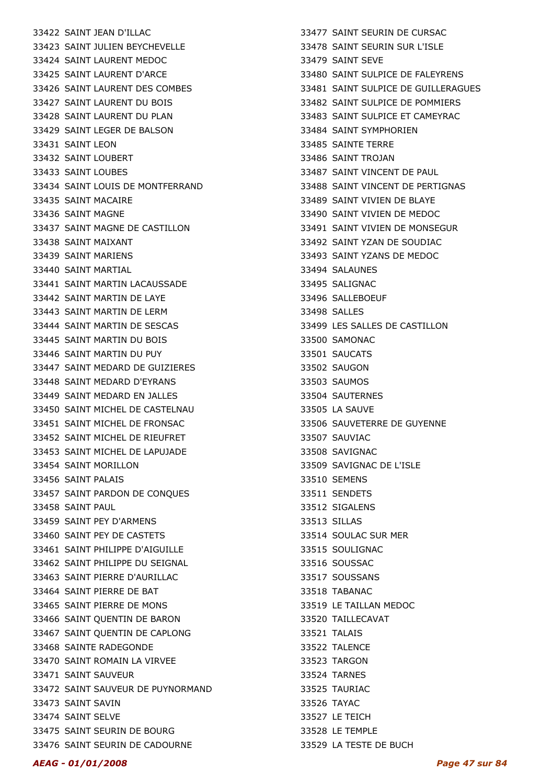33422 SAINT JEAN D'ILLAC 33423 SAINT JULIEN BEYCHEVELLE 33424 SAINT LAURENT MEDOC 33425 SAINT LAURENT D'ARCE 33426 SAINT LAURENT DES COMBES 33427 SAINT LAURENT DU BOIS 33428 SAINT LAURENT DU PLAN 33429 SAINT LEGER DE BALSON 33431 SAINT LEON 33432 SAINT LOUBERT 33433 SAINT LOUBES 33434 SAINT LOUIS DE MONTFERRAND 33435 SAINT MACAIRE 33436 SAINT MAGNE 33437 SAINT MAGNE DE CASTILLON 33438 SAINT MAIXANT 33439 SAINT MARIENS 33440 SAINT MARTIAL 33441 SAINT MARTIN LACAUSSADE 33442 SAINT MARTIN DE LAYE 33443 SAINT MARTIN DE LERM 33444 SAINT MARTIN DE SESCAS 33445 SAINT MARTIN DU BOIS 33446 SAINT MARTIN DU PUY 33447 SAINT MEDARD DE GUIZIERES 33448 SAINT MEDARD D'EYRANS 33449 SAINT MEDARD EN JALLES 33450 SAINT MICHEL DE CASTELNAU 33451 SAINT MICHEL DE FRONSAC 33452 SAINT MICHEL DE RIEUFRET 33453 SAINT MICHEL DE LAPUJADE 33454 SAINT MORILLON 33456 SAINT PALAIS 33457 SAINT PARDON DE CONQUES 33458 SAINT PAUL 33459 SAINT PEY D'ARMENS 33460 SAINT PEY DE CASTETS 33461 SAINT PHILIPPE D'AIGUILLE 33462 SAINT PHILIPPE DU SEIGNAL 33463 SAINT PIERRE D'AURILLAC 33464 SAINT PIERRE DE BAT 33465 SAINT PIERRE DE MONS 33466 SAINT QUENTIN DE BARON 33467 SAINT QUENTIN DE CAPLONG 33468 SAINTE RADEGONDE 33470 SAINT ROMAIN LA VIRVEE 33471 SAINT SAUVEUR 33472 SAINT SAUVEUR DE PUYNORMAND 33473 SAINT SAVIN 33474 SAINT SELVE 33475 SAINT SEURIN DE BOURG 33476 SAINT SEURIN DE CADOURNE

33477 SAINT SEURIN DE CURSAC 33478 SAINT SEURIN SUR L'ISLE 33479 SAINT SEVE 33480 SAINT SULPICE DE FALEYRENS 33481 SAINT SULPICE DE GUILLERAGUES 33482 SAINT SULPICE DE POMMIERS 33483 SAINT SULPICE ET CAMEYRAC 33484 SAINT SYMPHORIEN 33485 SAINTE TERRE 33486 SAINT TROJAN 33487 SAINT VINCENT DE PAUL 33488 SAINT VINCENT DE PERTIGNAS 33489 SAINT VIVIEN DE BLAYE 33490 SAINT VIVIEN DE MEDOC 33491 SAINT VIVIEN DE MONSEGUR 33492 SAINT YZAN DE SOUDIAC 33493 SAINT YZANS DE MEDOC 33494 SALAUNES 33495 SALIGNAC 33496 SALLEBOEUF 33498 SALLES 33499 LES SALLES DE CASTILLON 33500 SAMONAC 33501 SAUCATS 33502 SAUGON 33503 SAUMOS 33504 SAUTERNES 33505 LA SAUVE 33506 SAUVETERRE DE GUYENNE 33507 SAUVIAC 33508 SAVIGNAC 33509 SAVIGNAC DE L'ISLE 33510 SEMENS 33511 SENDETS 33512 SIGALENS 33513 SILLAS 33514 SOULAC SUR MER 33515 SOULIGNAC 33516 SOUSSAC 33517 SOUSSANS 33518 TABANAC 33519 LE TAILLAN MEDOC 33520 TAILLECAVAT 33521 TALAIS 33522 TALENCE 33523 TARGON 33524 TARNES 33525 TAURIAC 33526 TAYAC 33527 LE TEICH 33528 LE TEMPLE 33529 LA TESTE DE BUCH

#### AEAG - 01/01/2008 Page 47 sur 84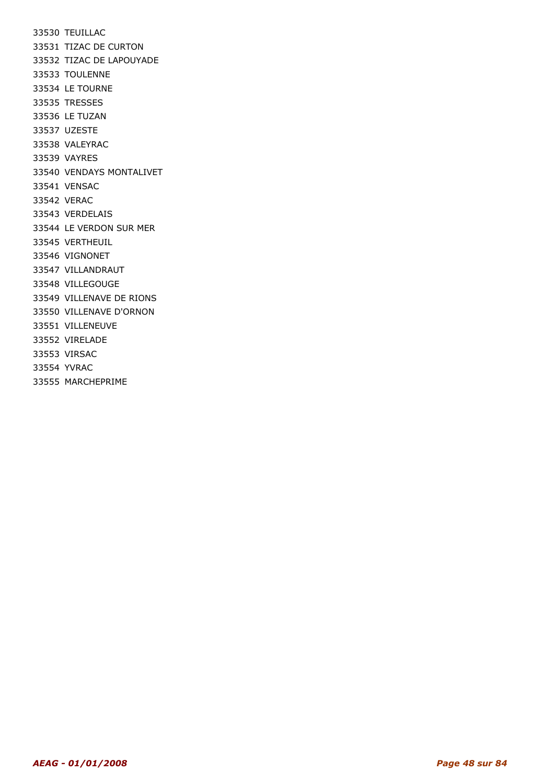33530 TEUILLAC 33531 TIZAC DE CURTON 33532 TIZAC DE LAPOUYADE 33533 TOULENNE 33534 LE TOURNE 33535 TRESSES 33536 LE TUZAN 33537 UZESTE 33538 VALEYRAC 33539 VAYRES 33540 VENDAYS MONTALIVET 33541 VENSAC 33542 VERAC 33543 VERDELAIS 33544 LE VERDON SUR MER 33545 VERTHEUIL 33546 VIGNONET 33547 VILLANDRAUT 33548 VILLEGOUGE 33549 VILLENAVE DE RIONS 33550 VILLENAVE D'ORNON 33551 VILLENEUVE 33552 VIRELADE 33553 VIRSAC 33554 YVRAC 33555 MARCHEPRIME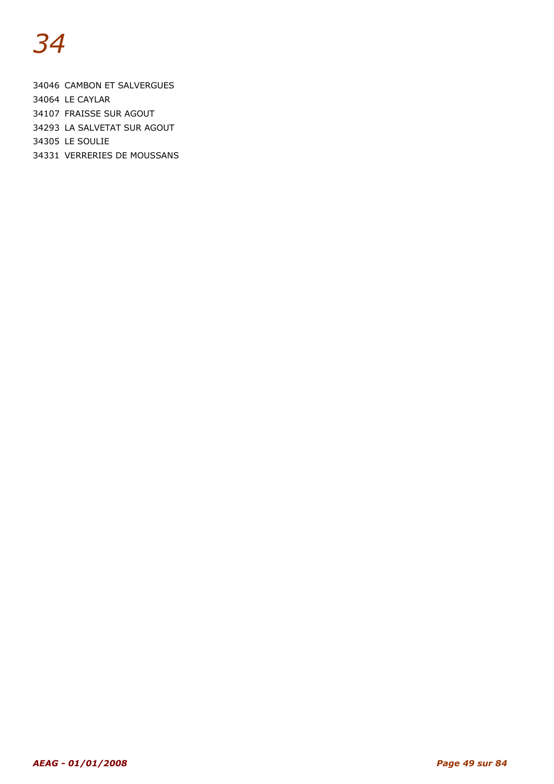34046 CAMBON ET SALVERGUES 34064 LE CAYLAR 34107 FRAISSE SUR AGOUT 34293 LA SALVETAT SUR AGOUT 34305 LE SOULIE

34331 VERRERIES DE MOUSSANS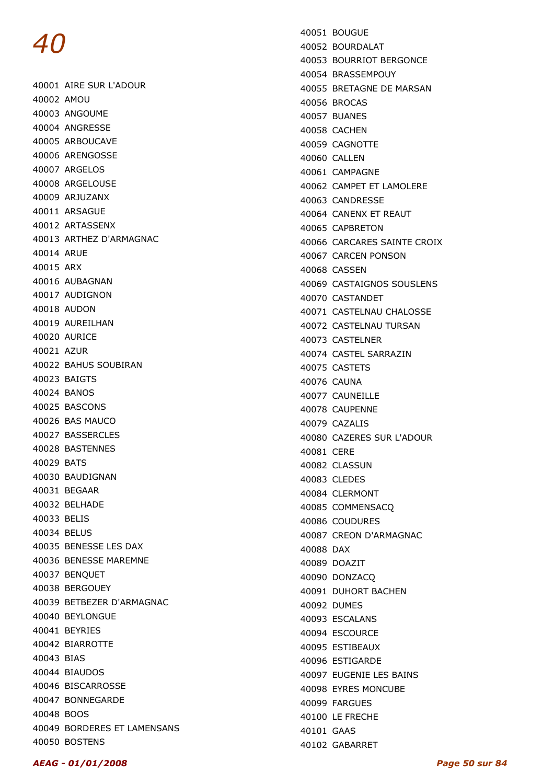40001 AIRE SUR L'ADOUR 40002 AMOU 40003 ANGOUME 40004 ANGRESSE 40005 ARBOUCAVE 40006 ARENGOSSE 40007 ARGELOS 40008 ARGELOUSE 40009 ARJUZANX 40011 ARSAGUE 40012 ARTASSENX 40013 ARTHEZ D'ARMAGNAC 40014 ARUE 40015 ARX 40016 AUBAGNAN 40017 AUDIGNON 40018 AUDON 40019 AUREILHAN 40020 AURICE 40021 AZUR 40022 BAHUS SOUBIRAN 40023 BAIGTS 40024 BANOS 40025 BASCONS 40026 BAS MAUCO 40027 BASSERCLES 40028 BASTENNES 40029 BATS 40030 BAUDIGNAN 40031 BEGAAR 40032 BELHADE 40033 BELIS 40034 BELUS 40035 BENESSE LES DAX 40036 BENESSE MAREMNE 40037 BENQUET 40038 BERGOUEY 40039 BETBEZER D'ARMAGNAC 40040 BEYLONGUE 40041 BEYRIES 40042 BIARROTTE 40043 BIAS 40044 BIAUDOS 40046 BISCARROSSE 40047 BONNEGARDE 40048 BOOS 40049 BORDERES ET LAMENSANS 40050 BOSTENS

40051 BOUGUE 40052 BOURDALAT 40053 BOURRIOT BERGONCE 40054 BRASSEMPOUY 40055 BRETAGNE DE MARSAN 40056 BROCAS 40057 BUANES 40058 CACHEN 40059 CAGNOTTE 40060 CALLEN 40061 CAMPAGNE 40062 CAMPET ET LAMOLERE 40063 CANDRESSE 40064 CANENX ET REAUT 40065 CAPBRETON 40066 CARCARES SAINTE CROIX 40067 CARCEN PONSON 40068 CASSEN 40069 CASTAIGNOS SOUSLENS 40070 CASTANDET 40071 CASTELNAU CHALOSSE 40072 CASTELNAU TURSAN 40073 CASTELNER 40074 CASTEL SARRAZIN 40075 CASTETS 40076 CAUNA 40077 CAUNFILLE 40078 CAUPENNE 40079 CAZALIS 40080 CAZERES SUR L'ADOUR 40081 CERE 40082 CLASSUN 40083 CLEDES 40084 CLERMONT 40085 COMMENSACQ 40086 COUDURES 40087 CREON D'ARMAGNAC 40088 DAX 40089 DOAZIT 40090 DONZACQ 40091 DUHORT BACHEN 40092 DUMES 40093 ESCALANS 40094 ESCOURCE 40095 ESTIBEAUX 40096 ESTIGARDE 40097 EUGENIE LES BAINS 40098 EYRES MONCUBE 40099 FARGUES 40100 LE FRECHE 40101 GAAS

40102 GABARRET

#### AEAG - 01/01/2008 Page 50 sur 84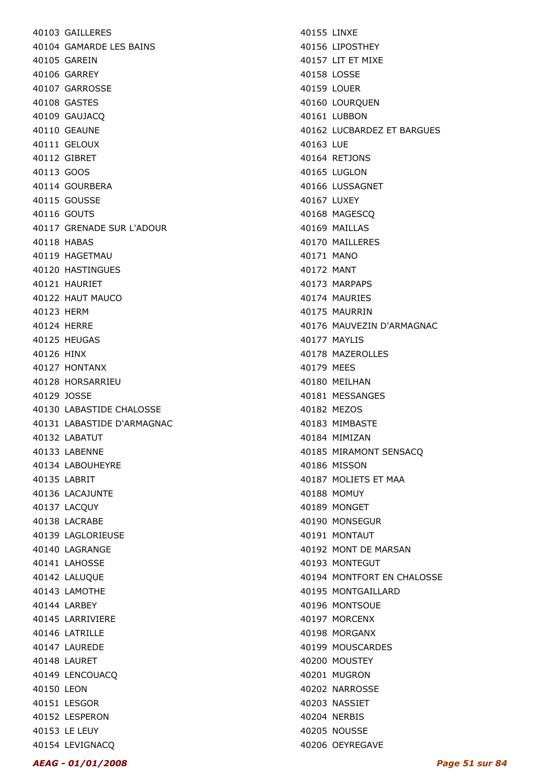40103 GAILLERES 40104 GAMARDE LES BAINS 40105 GAREIN 40106 GARREY 40107 GARROSSE 40108 GASTES 40109 GAUJACQ 40110 GEAUNE 40111 GELOUX 40112 GIBRET 40113 GOOS 40114 GOURBERA 40115 GOUSSE 40116 GOUTS 40117 GRENADE SUR L'ADOUR 40118 HABAS 40119 HAGETMAU 40120 HASTINGUES 40121 HAURIET 40122 HAUT MAUCO 40123 HERM 40124 HERRE 40125 HEUGAS 40126 HINX 40127 HONTANX 40128 HORSARRIEU 40129 JOSSE 40130 LABASTIDE CHALOSSE 40131 LABASTIDE D'ARMAGNAC 40132 LABATUT 40133 LABENNE 40134 LABOUHEYRE 40135 LABRIT 40136 LACAJUNTE 40137 LACQUY 40138 LACRABE 40139 LAGLORIEUSE 40140 LAGRANGE 40141 LAHOSSE 40142 LALUQUE 40143 LAMOTHE 40144 LARBEY 40145 LARRIVIERE 40146 LATRILLE 40147 LAUREDE 40148 LAURET 40149 LENCOUACQ 40150 LEON 40151 LESGOR 40152 LESPERON 40153 LE LEUY 40154 LEVIGNACQ

40155 LINXE 40156 LIPOSTHEY 40157 LIT ET MIXE 40158 LOSSE 40159 LOUER 40160 LOURQUEN 40161 LUBBON 40162 LUCBARDEZ ET BARGUES 40163 LUE 40164 RETJONS 40165 LUGLON 40166 LUSSAGNET 40167 LUXEY 40168 MAGESCQ 40169 MAILLAS 40170 MAILLERES 40171 MANO 40172 MANT 40173 MARPAPS 40174 MAURIES 40175 MAURRIN 40176 MAUVEZIN D'ARMAGNAC 40177 MAYLIS 40178 MAZEROLLES 40179 MEES 40180 MEILHAN 40181 MESSANGES 40182 MEZOS 40183 MIMBASTE 40184 MIMIZAN 40185 MIRAMONT SENSACQ 40186 MISSON 40187 MOLIETS ET MAA 40188 MOMUY 40189 MONGET 40190 MONSEGUR 40191 MONTAUT 40192 MONT DE MARSAN 40193 MONTEGUT 40194 MONTFORT EN CHALOSSE 40195 MONTGAILLARD 40196 MONTSOUE 40197 MORCENX 40198 MORGANX 40199 MOUSCARDES 40200 MOUSTEY 40201 MUGRON 40202 NARROSSE 40203 NASSIET 40204 NERBIS 40205 NOUSSE 40206 OEYREGAVE

#### AEAG - 01/01/2008 Page 51 sur 84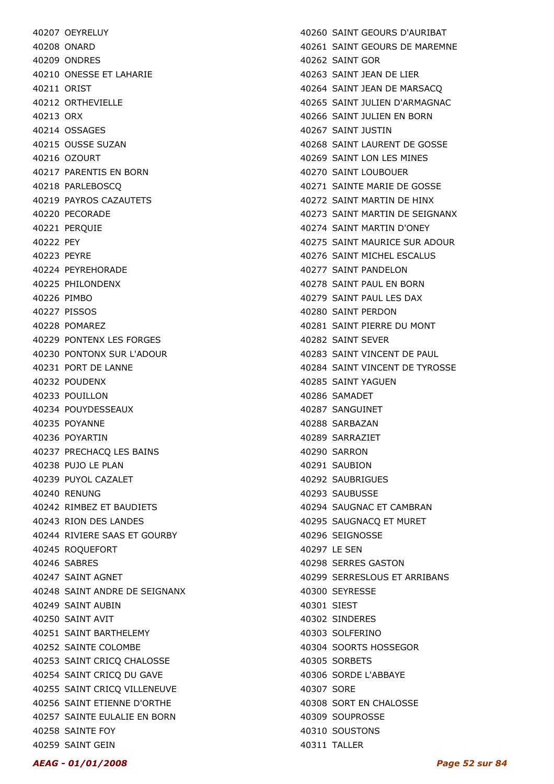40207 OEYRELUY 40208 ONARD 40209 ONDRES 40210 ONESSE ET LAHARIE 40211 ORIST 40212 ORTHEVIELLE 40213 ORX 40214 OSSAGES 40215 OUSSE SUZAN 40216 OZOURT 40217 PARENTIS EN BORN 40218 PARLEBOSCQ 40219 PAYROS CAZAUTETS 40220 PECORADE 40221 PERQUIE 40222 PEY 40223 PEYRE 40224 PEYREHORADE 40225 PHILONDENX 40226 PIMBO 40227 PISSOS 40228 POMAREZ 40229 PONTENX LES FORGES 40230 PONTONX SUR L'ADOUR 40231 PORT DE LANNE 40232 POUDENX 40233 POUILLON 40234 POUYDESSEAUX 40235 POYANNE 40236 POYARTIN 40237 PRECHACQ LES BAINS 40238 PUJO LE PLAN 40239 PUYOL CAZALET 40240 RENUNG 40242 RIMBEZ ET BAUDIETS 40243 RION DES LANDES 40244 RIVIERE SAAS ET GOURBY 40245 ROQUEFORT 40246 SABRES 40247 SAINT AGNET 40248 SAINT ANDRE DE SEIGNANX 40249 SAINT AUBIN 40250 SAINT AVIT 40251 SAINT BARTHELEMY 40252 SAINTE COLOMBE 40253 SAINT CRICQ CHALOSSE 40254 SAINT CRICQ DU GAVE 40255 SAINT CRICQ VILLENEUVE 40256 SAINT ETIENNE D'ORTHE 40257 SAINTE EULALIE EN BORN 40258 SAINTE FOY 40259 SAINT GEIN

40260 SAINT GEOURS D'AURIBAT 40261 SAINT GEOURS DE MAREMNE 40262 SAINT GOR 40263 SAINT JEAN DE LIER 40264 SAINT JEAN DE MARSACQ 40265 SAINT JULIEN D'ARMAGNAC 40266 SAINT JULIEN EN BORN 40267 SAINT JUSTIN 40268 SAINT LAURENT DE GOSSE 40269 SAINT LON LES MINES 40270 SAINT LOUBOUER 40271 SAINTE MARIE DE GOSSE 40272 SAINT MARTIN DE HINX 40273 SAINT MARTIN DE SEIGNANX 40274 SAINT MARTIN D'ONEY 40275 SAINT MAURICE SUR ADOUR 40276 SAINT MICHEL ESCALUS 40277 SAINT PANDELON 40278 SAINT PAUL EN BORN 40279 SAINT PAUL LES DAX 40280 SAINT PERDON 40281 SAINT PIERRE DU MONT 40282 SAINT SEVER 40283 SAINT VINCENT DE PAUL 40284 SAINT VINCENT DE TYROSSE 40285 SAINT YAGUEN 40286 SAMADET 40287 SANGUINET 40288 SARBAZAN 40289 SARRAZIET 40290 SARRON 40291 SAUBION 40292 SAUBRIGUES 40293 SAUBUSSE 40294 SAUGNAC ET CAMBRAN 40295 SAUGNACQ ET MURET 40296 SEIGNOSSE 40297 LE SEN 40298 SERRES GASTON 40299 SERRESLOUS ET ARRIBANS 40300 SEYRESSE 40301 SIEST 40302 SINDERES 40303 SOLFERINO 40304 SOORTS HOSSEGOR 40305 SORBETS 40306 SORDE L'ABBAYE 40307 SORE 40308 SORT EN CHALOSSE 40309 SOUPROSSE 40310 SOUSTONS 40311 TALLER

#### AEAG - 01/01/2008 Page 52 sur 84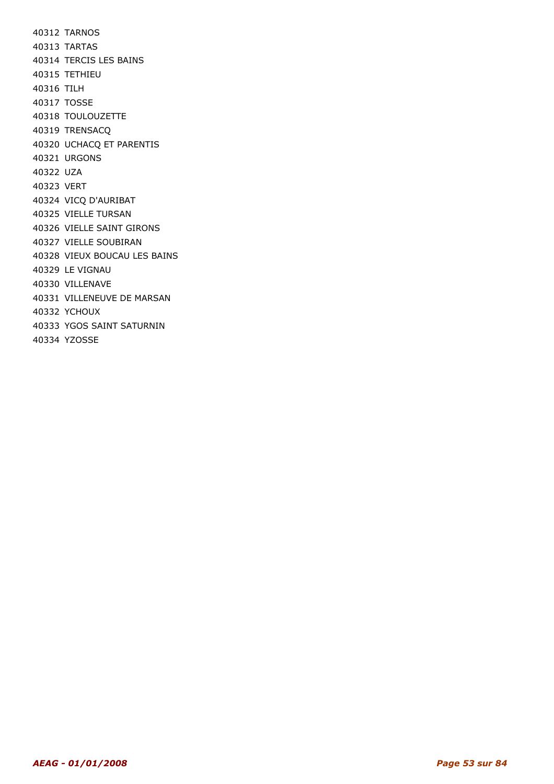40312 TARNOS 40313 TARTAS 40314 TERCIS LES BAINS 40315 TETHIEU 40316 TILH 40317 TOSSE 40318 TOULOUZETTE 40319 TRENSACQ 40320 UCHACQ ET PARENTIS 40321 URGONS 40322 UZA 40323 VERT 40324 VICQ D'AURIBAT 40325 VIELLE TURSAN 40326 VIELLE SAINT GIRONS 40327 VIELLE SOUBIRAN 40328 VIEUX BOUCAU LES BAINS 40329 LE VIGNAU 40330 VILLENAVE 40331 VILLENEUVE DE MARSAN 40332 YCHOUX 40333 YGOS SAINT SATURNIN 40334 YZOSSE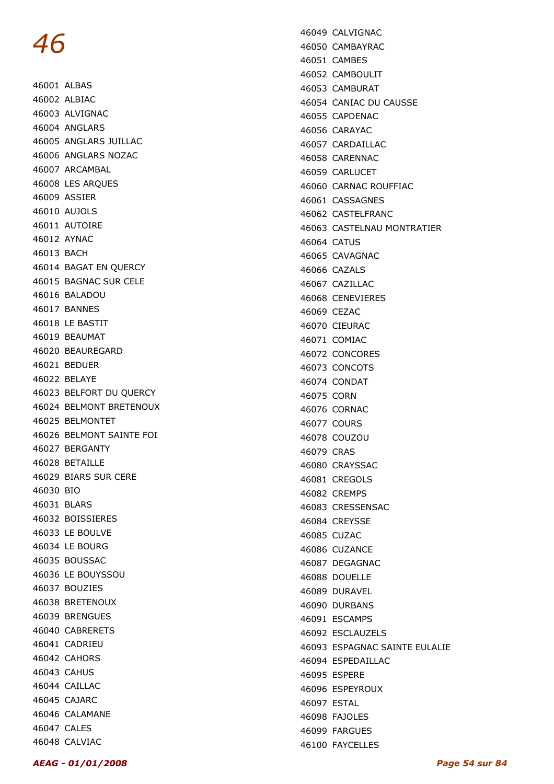46001 ALBAS 46002 ALBIAC 46003 ALVIGNAC 46004 ANGLARS 46005 ANGLARS JUILLAC 46006 ANGLARS NOZAC 46007 ARCAMBAL 46008 LES ARQUES 46009 ASSIER 46010 AUJOLS 46011 AUTOIRE 46012 AYNAC 46013 BACH 46014 BAGAT EN QUERCY 46015 BAGNAC SUR CELE 46016 BALADOU 46017 BANNES 46018 LE BASTIT 46019 BEAUMAT 46020 BEAUREGARD 46021 BEDUER 46022 BELAYE 46023 BELFORT DU QUERCY 46024 BELMONT BRETENOUX 46025 BELMONTET 46026 BELMONT SAINTE FOI 46027 BERGANTY 46028 BETAILLE 46029 BIARS SUR CERE 46030 BIO 46031 BLARS 46032 BOISSIERES 46033 LE BOULVE 46034 LE BOURG 46035 BOUSSAC 46036 LE BOUYSSOU 46037 BOUZIES 46038 BRETENOUX 46039 BRENGUES 46040 CABRERETS 46041 CADRIEU 46042 CAHORS 46043 CAHUS 46044 CAILLAC 46045 CAJARC 46046 CALAMANE 46047 CALES 46048 CALVIAC

46049 CALVIGNAC 46050 CAMBAYRAC 46051 CAMBES 46052 CAMBOULIT 46053 CAMBURAT 46054 CANIAC DU CAUSSE 46055 CAPDENAC 46056 CARAYAC 46057 CARDAILLAC 46058 CARENNAC 46059 CARLUCET 46060 CARNAC ROUFFIAC 46061 CASSAGNES 46062 CASTELFRANC 46063 CASTELNAU MONTRATIER 46064 CATUS 46065 CAVAGNAC 46066 CAZALS 46067 CAZILLAC 46068 CENEVIERES 46069 CEZAC 46070 CIEURAC 46071 COMIAC 46072 CONCORES 46073 CONCOTS 46074 CONDAT 46075 CORN 46076 CORNAC 46077 COURS 46078 COUZOU 46079 CRAS 46080 CRAYSSAC 46081 CREGOLS 46082 CREMPS 46083 CRESSENSAC 46084 CREYSSE 46085 CUZAC 46086 CUZANCE 46087 DEGAGNAC 46088 DOUELLE 46089 DURAVEL 46090 DURBANS 46091 ESCAMPS 46092 ESCLAUZELS 46093 ESPAGNAC SAINTE EULALIE 46094 ESPEDAILLAC 46095 ESPERE 46096 ESPEYROUX 46097 ESTAL 46098 FAJOLES 46099 FARGUES 46100 FAYCELLES

AEAG - 01/01/2008 Page 54 sur 84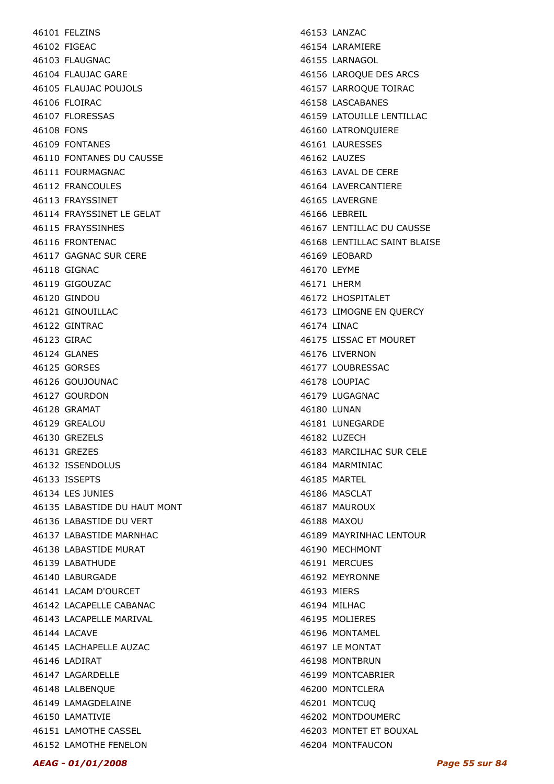46101 FELZINS 46102 FIGEAC 46103 FLAUGNAC 46104 FLAUJAC GARE 46105 FLAUJAC POUJOLS 46106 FLOIRAC 46107 FLORESSAS 46108 FONS 46109 FONTANES 46110 FONTANES DU CAUSSE 46111 FOURMAGNAC 46112 FRANCOULES 46113 FRAYSSINET 46114 FRAYSSINET LE GELAT 46115 FRAYSSINHES 46116 FRONTENAC 46117 GAGNAC SUR CERE 46118 GIGNAC 46119 GIGOUZAC 46120 GINDOU 46121 GINOUILLAC 46122 GINTRAC 46123 GIRAC 46124 GLANES 46125 GORSES 46126 GOUJOUNAC 46127 GOURDON 46128 GRAMAT 46129 GREALOU 46130 GREZELS 46131 GREZES 46132 ISSENDOLUS 46133 ISSEPTS 46134 LES JUNIES 46135 LABASTIDE DU HAUT MONT 46136 LABASTIDE DU VERT 46137 LABASTIDE MARNHAC 46138 LABASTIDE MURAT 46139 LABATHUDE 46140 LABURGADE 46141 LACAM D'OURCET 46142 LACAPELLE CABANAC 46143 LACAPELLE MARIVAL 46144 LACAVE 46145 LACHAPELLE AUZAC 46146 LADIRAT 46147 LAGARDELLE 46148 LALBENQUE 46149 LAMAGDELAINE 46150 LAMATIVIE 46151 LAMOTHE CASSEL 46152 LAMOTHE FENELON

46153 LANZAC 46154 LARAMIERE 46155 LARNAGOL 46156 LAROQUE DES ARCS 46157 LARROQUE TOIRAC 46158 LASCABANES 46159 LATOUILLE LENTILLAC 46160 LATRONQUIERE 46161 LAURESSES 46162 LAUZES 46163 LAVAL DE CERE 46164 LAVERCANTIERE 46165 LAVERGNE 46166 LEBREIL 46167 LENTILLAC DU CAUSSE 46168 LENTILLAC SAINT BLAISE 46169 LEOBARD 46170 LEYME 46171 LHERM 46172 LHOSPITALET 46173 LIMOGNE EN QUERCY 46174 LINAC 46175 LISSAC ET MOURET 46176 LIVERNON 46177 LOUBRESSAC 46178 LOUPIAC 46179 LUGAGNAC 46180 LUNAN 46181 LUNEGARDE 46182 LUZECH 46183 MARCILHAC SUR CELE 46184 MARMINIAC 46185 MARTEL 46186 MASCLAT 46187 MAUROUX 46188 MAXOU 46189 MAYRINHAC LENTOUR 46190 MECHMONT 46191 MERCUES 46192 MEYRONNE 46193 MIERS 46194 MILHAC 46195 MOLIERES 46196 MONTAMEL 46197 LE MONTAT 46198 MONTBRUN 46199 MONTCABRIER 46200 MONTCLERA 46201 MONTCUQ 46202 MONTDOUMERC 46203 MONTET ET BOUXAL 46204 MONTFAUCON

#### AEAG - 01/01/2008 Page 55 sur 84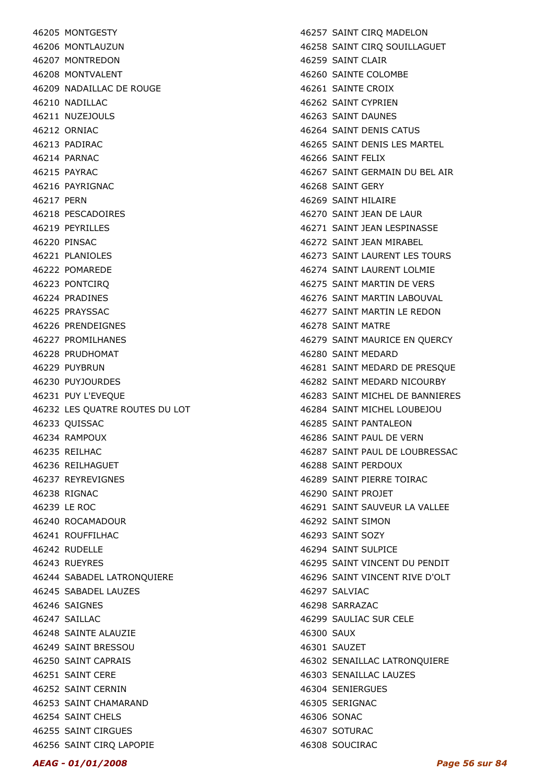46205 MONTGESTY 46206 MONTLAUZUN 46207 MONTREDON 46208 MONTVALENT 46209 NADAILLAC DE ROUGE 46210 NADILLAC 46211 NUZEJOULS 46212 ORNIAC 46213 PADIRAC 46214 PARNAC 46215 PAYRAC 46216 PAYRIGNAC 46217 PERN 46218 PESCADOIRES 46219 PFYRILLES 46220 PINSAC 46221 PLANIOLES 46222 POMAREDE 46223 PONTCIRQ 46224 PRADINES 46225 PRAYSSAC 46226 PRENDEIGNES 46227 PROMILHANES 46228 PRUDHOMAT 46229 PUYBRUN 46230 PUYJOURDES 46231 PUY L'EVEQUE 46232 LES QUATRE ROUTES DU LOT 46233 QUISSAC 46234 RAMPOUX 46235 REILHAC 46236 REILHAGUET 46237 REYREVIGNES 46238 RIGNAC 46239 LE ROC 46240 ROCAMADOUR 46241 ROUFFILHAC 46242 RUDELLE 46243 RUEYRES 46244 SABADEL LATRONQUIERE 46245 SABADEL LAUZES 46246 SAIGNES 46247 SAILLAC 46248 SAINTE ALAUZIE 46249 SAINT BRESSOU 46250 SAINT CAPRAIS 46251 SAINT CERE 46252 SAINT CERNIN 46253 SAINT CHAMARAND 46254 SAINT CHELS 46255 SAINT CIRGUES 46256 SAINT CIRQ LAPOPIE

46257 SAINT CIRQ MADELON 46258 SAINT CIRQ SOUILLAGUET 46259 SAINT CLAIR 46260 SAINTE COLOMBE 46261 SAINTE CROIX 46262 SAINT CYPRIEN 46263 SAINT DAUNES 46264 SAINT DENIS CATUS 46265 SAINT DENIS LES MARTEL 46266 SAINT FELIX 46267 SAINT GERMAIN DU BEL AIR 46268 SAINT GERY 46269 SAINT HILAIRE 46270 SAINT JEAN DE LAUR 46271 SAINT JEAN LESPINASSE 46272 SAINT JEAN MIRABEL 46273 SAINT LAURENT LES TOURS 46274 SAINT LAURENT LOLMIE 46275 SAINT MARTIN DE VERS 46276 SAINT MARTIN LABOUVAL 46277 SAINT MARTIN LE REDON 46278 SAINT MATRE 46279 SAINT MAURICE EN QUERCY 46280 SAINT MEDARD 46281 SAINT MEDARD DE PRESQUE 46282 SAINT MEDARD NICOURBY 46283 SAINT MICHEL DE BANNIERES 46284 SAINT MICHEL LOUBEJOU 46285 SAINT PANTALEON 46286 SAINT PAUL DE VERN 46287 SAINT PAUL DE LOUBRESSAC 46288 SAINT PERDOUX 46289 SAINT PIERRE TOIRAC 46290 SAINT PROJET 46291 SAINT SAUVEUR LA VALLEE 46292 SAINT SIMON 46293 SAINT SOZY 46294 SAINT SULPICE 46295 SAINT VINCENT DU PENDIT 46296 SAINT VINCENT RIVE D'OLT 46297 SALVIAC 46298 SARRAZAC 46299 SAULIAC SUR CELE 46300 SAUX 46301 SAUZET 46302 SENAILLAC LATRONQUIERE 46303 SENAILLAC LAUZES 46304 SENIERGUES 46305 SERIGNAC 46306 SONAC 46307 SOTURAC 46308 SOUCIRAC

#### AEAG - 01/01/2008 Page 56 sur 84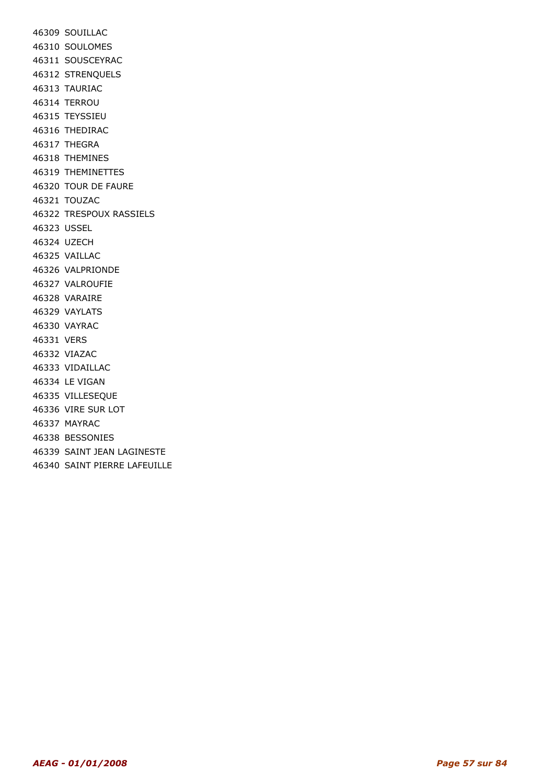46309 SOUILLAC 46310 SOULOMES 46311 SOUSCEYRAC 46312 STRENQUELS 46313 TAURIAC 46314 TERROU 46315 TEYSSIEU 46316 THEDIRAC 46317 THEGRA 46318 THEMINES 46319 THEMINETTES 46320 TOUR DE FAURE 46321 TOUZAC 46322 TRESPOUX RASSIELS 46323 USSEL 46324 UZECH 46325 VAILLAC 46326 VALPRIONDE 46327 VALROUFIE 46328 VARAIRE 46329 VAYLATS 46330 VAYRAC 46331 VERS 46332 VIAZAC 46333 VIDAILLAC 46334 LE VIGAN 46335 VILLESEQUE 46336 VIRE SUR LOT 46337 MAYRAC 46338 BESSONIES 46339 SAINT JEAN LAGINESTE 46340 SAINT PIERRE LAFEUILLE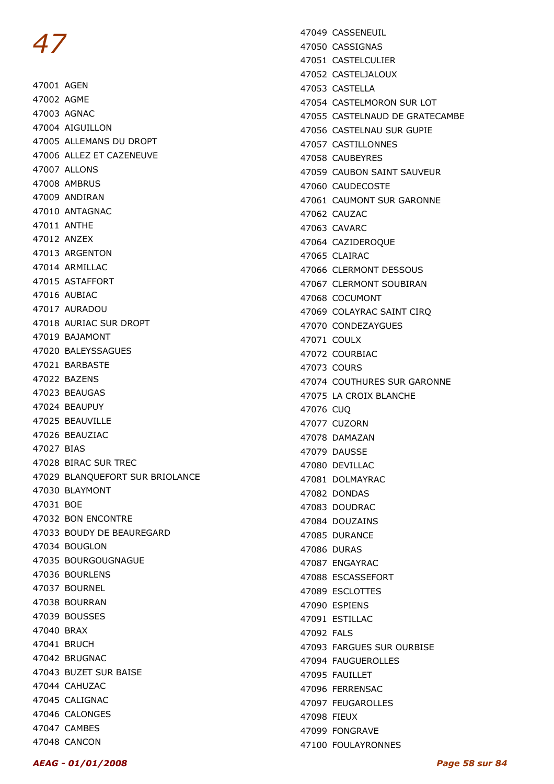47001 AGEN 47002 AGME 47003 AGNAC 47004 AIGUILLON 47005 ALLEMANS DU DROPT 47006 ALLEZ ET CAZENEUVE 47007 ALLONS 47008 AMBRUS 47009 ANDIRAN 47010 ANTAGNAC 47011 ANTHE 47012 ANZEX 47013 ARGENTON 47014 ARMILLAC 47015 ASTAFFORT 47016 AUBIAC 47017 AURADOU 47018 AURIAC SUR DROPT 47019 BAJAMONT 47020 BALEYSSAGUES 47021 BARBASTE 47022 BAZENS 47023 BEAUGAS 47024 BEAUPUY 47025 BEAUVILLE 47026 BEAUZIAC 47027 BIAS 47028 BIRAC SUR TREC 47029 BLANQUEFORT SUR BRIOLANCE 47030 BLAYMONT 47031 BOE 47032 BON ENCONTRE 47033 BOUDY DE BEAUREGARD 47034 BOUGLON 47035 BOURGOUGNAGUE 47036 BOURLENS 47037 BOURNEL 47038 BOURRAN 47039 BOUSSES 47040 BRAX 47041 BRUCH 47042 BRUGNAC 47043 BUZET SUR BAISE 47044 CAHUZAC 47045 CALIGNAC 47046 CALONGES 47047 CAMBES 47048 CANCON

47049 CASSENEUIL 47050 CASSIGNAS 47051 CASTELCULIER 47052 CASTELJALOUX 47053 CASTELLA 47054 CASTELMORON SUR LOT 47055 CASTELNAUD DE GRATECAMBE 47056 CASTELNAU SUR GUPIE 47057 CASTILLONNES 47058 CAUBEYRES 47059 CAUBON SAINT SAUVEUR 47060 CAUDECOSTE 47061 CAUMONT SUR GARONNE 47062 CAUZAC 47063 CAVARC 47064 CAZIDEROQUE 47065 CLAIRAC 47066 CLERMONT DESSOUS 47067 CLERMONT SOUBIRAN 47068 COCUMONT 47069 COLAYRAC SAINT CIRQ 47070 CONDEZAYGUES 47071 COULX 47072 COURBIAC 47073 COURS 47074 COUTHURES SUR GARONNE 47075 LA CROIX BLANCHE 47076 CUQ 47077 CUZORN 47078 DAMAZAN 47079 DAUSSE 47080 DEVILLAC 47081 DOLMAYRAC 47082 DONDAS 47083 DOUDRAC 47084 DOUZAINS 47085 DURANCE 47086 DURAS 47087 ENGAYRAC 47088 ESCASSEFORT 47089 ESCLOTTES 47090 ESPIENS 47091 ESTILLAC 47092 FALS 47093 FARGUES SUR OURBISE 47094 FAUGUEROLLES 47095 FAUILLET 47096 FERRENSAC 47097 FEUGAROLLES 47098 FIEUX 47099 FONGRAVE 47100 FOULAYRONNES

AEAG - 01/01/2008 Page 58 sur 84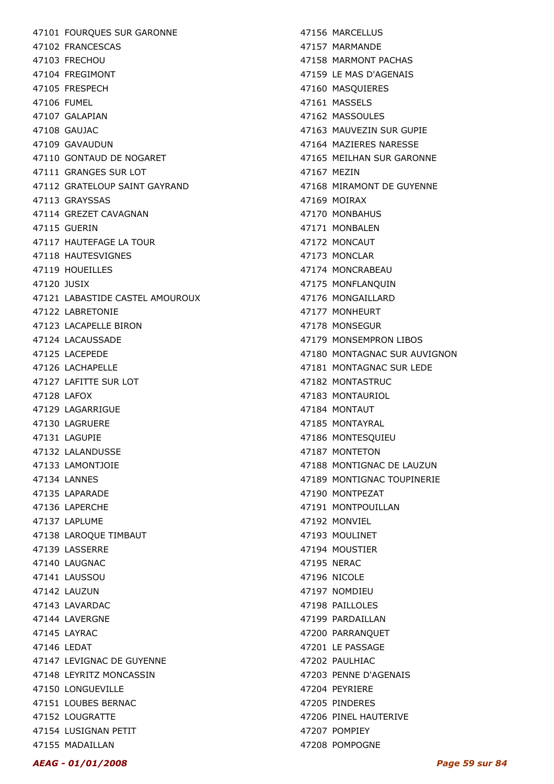47101 FOURQUES SUR GARONNE 47102 FRANCESCAS 47103 FRECHOU 47104 FREGIMONT 47105 FRESPECH 47106 FUMEL 47107 GALAPIAN 47108 GAUJAC 47109 GAVAUDUN 47110 GONTAUD DE NOGARET 47111 GRANGES SUR LOT 47112 GRATELOUP SAINT GAYRAND 47113 GRAYSSAS 47114 GREZET CAVAGNAN 47115 GUERIN 47117 HAUTEFAGE LA TOUR 47118 HAUTESVIGNES 47119 HOUFILLES 47120 JUSIX 47121 LABASTIDE CASTEL AMOUROUX 47122 LABRETONIE 47123 LACAPELLE BIRON 47124 LACAUSSADE 47125 LACEPEDE 47126 LACHAPELLE 47127 LAFITTE SUR LOT 47128 LAFOX 47129 LAGARRIGUE 47130 LAGRUERE 47131 LAGUPIE 47132 LALANDUSSE 47133 LAMONTJOIE 47134 LANNES 47135 LAPARADE 47136 LAPERCHE 47137 LAPLUME 47138 LAROQUE TIMBAUT 47139 LASSERRE 47140 LAUGNAC 47141 LAUSSOU 47142 LAUZUN 47143 LAVARDAC 47144 LAVERGNE 47145 LAYRAC 47146 LEDAT 47147 LEVIGNAC DE GUYENNE 47148 LEYRITZ MONCASSIN 47150 LONGUEVILLE 47151 LOUBES BERNAC 47152 LOUGRATTE 47154 LUSIGNAN PETIT 47155 MADAILLAN

47156 MARCELLUS 47157 MARMANDE 47158 MARMONT PACHAS 47159 LE MAS D'AGENAIS 47160 MASQUIERES 47161 MASSELS 47162 MASSOULES 47163 MAUVEZIN SUR GUPIE 47164 MAZIERES NARESSE 47165 MEILHAN SUR GARONNE 47167 MEZIN 47168 MIRAMONT DE GUYENNE 47169 MOIRAX 47170 MONBAHUS 47171 MONBALEN 47172 MONCAUT 47173 MONCLAR 47174 MONCRABEAU 47175 MONFLANQUIN 47176 MONGAILLARD 47177 MONHEURT 47178 MONSEGUR 47179 MONSEMPRON LIBOS 47180 MONTAGNAC SUR AUVIGNON 47181 MONTAGNAC SUR LEDE 47182 MONTASTRUC 47183 MONTAURIOL 47184 MONTAUT 47185 MONTAYRAL 47186 MONTESQUIEU 47187 MONTETON 47188 MONTIGNAC DE LAUZUN 47189 MONTIGNAC TOUPINERIE 47190 MONTPEZAT 47191 MONTPOUILLAN 47192 MONVIEL 47193 MOULINET 47194 MOUSTIER 47195 NERAC 47196 NICOLE 47197 NOMDIEU 47198 PAILLOLES 47199 PARDAILLAN 47200 PARRANQUET 47201 LE PASSAGE 47202 PAULHIAC 47203 PENNE D'AGENAIS 47204 PEYRIERE 47205 PINDERES 47206 PINEL HAUTERIVE 47207 POMPIEY 47208 POMPOGNE

#### AEAG - 01/01/2008 Page 59 sur 84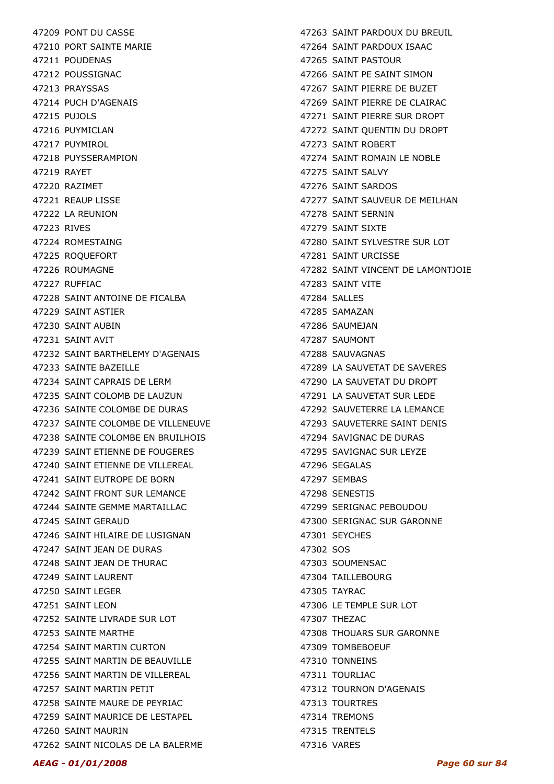47209 PONT DU CASSE 47210 PORT SAINTE MARIE 47211 POUDENAS 47212 POUSSIGNAC 47213 PRAYSSAS 47214 PUCH D'AGENAIS 47215 PUJOLS 47216 PUYMICLAN 47217 PUYMIROL 47218 PUYSSERAMPION 47219 RAYET 47220 RAZIMET 47221 REAUP LISSE 47222 LA REUNION 47223 RIVES 47224 ROMESTAING 47225 ROQUEFORT 47226 ROUMAGNE 47227 RUFFIAC 47228 SAINT ANTOINE DE FICALBA 47229 SAINT ASTIER 47230 SAINT AUBIN 47231 SAINT AVIT 47232 SAINT BARTHELEMY D'AGENAIS 47233 SAINTE BAZEILLE 47234 SAINT CAPRAIS DE LERM 47235 SAINT COLOMB DE LAUZUN 47236 SAINTE COLOMBE DE DURAS 47237 SAINTE COLOMBE DE VILLENEUVE 47238 SAINTE COLOMBE EN BRUILHOIS 47239 SAINT ETIENNE DE FOUGERES 47240 SAINT ETIENNE DE VILLEREAL 47241 SAINT EUTROPE DE BORN 47242 SAINT FRONT SUR LEMANCE 47244 SAINTE GEMME MARTAILLAC 47245 SAINT GERAUD 47246 SAINT HILAIRE DE LUSIGNAN 47247 SAINT JEAN DE DURAS 47248 SAINT JEAN DE THURAC 47249 SAINT LAURENT 47250 SAINT LEGER 47251 SAINT LEON 47252 SAINTE LIVRADE SUR LOT 47253 SAINTE MARTHE 47254 SAINT MARTIN CURTON 47255 SAINT MARTIN DE BEAUVILLE 47256 SAINT MARTIN DE VILLEREAL 47257 SAINT MARTIN PETIT 47258 SAINTE MAURE DE PEYRIAC 47259 SAINT MAURICE DE LESTAPEL 47260 SAINT MAURIN 47262 SAINT NICOLAS DE LA BALERME

47263 SAINT PARDOUX DU BREUIL 47264 SAINT PARDOUX ISAAC 47265 SAINT PASTOUR 47266 SAINT PE SAINT SIMON 47267 SAINT PIERRE DE BUZET 47269 SAINT PIERRE DE CLAIRAC 47271 SAINT PIERRE SUR DROPT 47272 SAINT QUENTIN DU DROPT 47273 SAINT ROBERT 47274 SAINT ROMAIN LE NOBLE 47275 SAINT SALVY 47276 SAINT SARDOS 47277 SAINT SAUVEUR DE MEILHAN 47278 SAINT SERNIN 47279 SAINT SIXTE 47280 SAINT SYLVESTRE SUR LOT 47281 SAINT URCISSE 47282 SAINT VINCENT DE LAMONTJOIE 47283 SAINT VITE 47284 SALLES 47285 SAMAZAN 47286 SAUMEJAN 47287 SAUMONT 47288 SAUVAGNAS 47289 LA SAUVETAT DE SAVERES 47290 LA SAUVETAT DU DROPT 47291 LA SAUVETAT SUR LEDE 47292 SAUVETERRE LA LEMANCE 47293 SAUVETERRE SAINT DENIS 47294 SAVIGNAC DE DURAS 47295 SAVIGNAC SUR LEYZE 47296 SEGALAS 47297 SEMBAS 47298 SENESTIS 47299 SERIGNAC PEBOUDOU 47300 SERIGNAC SUR GARONNE 47301 SEYCHES 47302 SOS 47303 SOUMENSAC 47304 TAILLEBOURG 47305 TAYRAC 47306 LE TEMPLE SUR LOT 47307 THEZAC 47308 THOUARS SUR GARONNE 47309 TOMBEBOEUF 47310 TONNEINS 47311 TOURLIAC 47312 TOURNON D'AGENAIS 47313 TOURTRES 47314 TREMONS 47315 TRENTELS 47316 VARES

#### AEAG - 01/01/2008 Page 60 sur 84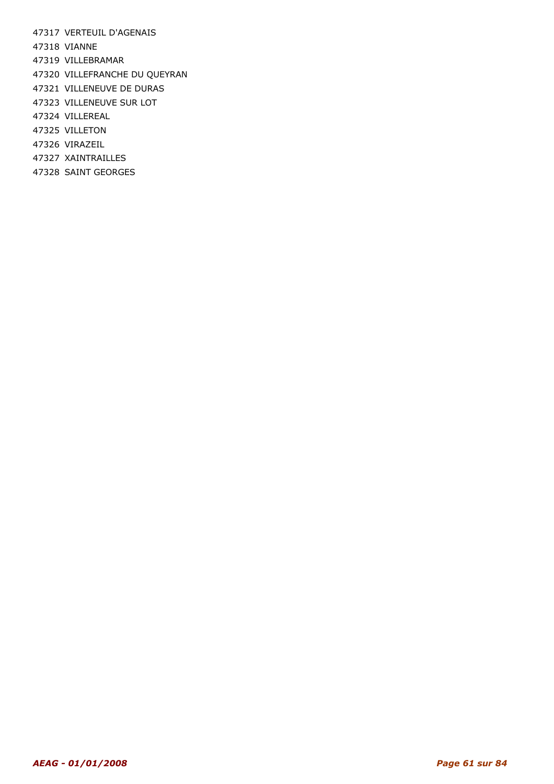47317 VERTEUIL D'AGENAIS

47318 VIANNE

47319 VILLEBRAMAR

- 47320 VILLEFRANCHE DU QUEYRAN
- 47321 VILLENEUVE DE DURAS
- 47323 VILLENEUVE SUR LOT
- 47324 VILLEREAL
- 47325 VILLETON
- 47326 VIRAZEIL
- 47327 XAINTRAILLES
- 47328 SAINT GEORGES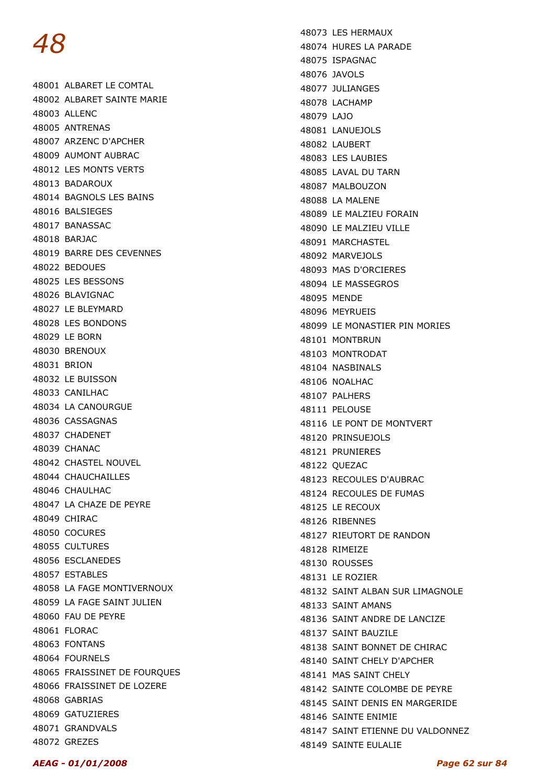48001 ALBARET LE COMTAL 48002 ALBARET SAINTE MARIE 48003 ALLENC 48005 ANTRENAS 48007 ARZENC D'APCHER 48009 AUMONT AUBRAC 48012 LES MONTS VERTS 48013 BADAROUX 48014 BAGNOLS LES BAINS 48016 BALSIEGES 48017 BANASSAC 48018 BARJAC 48019 BARRE DES CEVENNES 48022 BEDOUES 48025 LES BESSONS 48026 BLAVIGNAC 48027 LE BLEYMARD 48028 LES BONDONS 48029 LE BORN 48030 BRENOUX 48031 BRION 48032 LE BUISSON 48033 CANILHAC 48034 LA CANOURGUE 48036 CASSAGNAS 48037 CHADENET 48039 CHANAC 48042 CHASTEL NOUVEL 48044 CHAUCHAILLES 48046 CHAULHAC 48047 LA CHAZE DE PEYRE 48049 CHIRAC 48050 COCURES 48055 CULTURES 48056 ESCLANEDES 48057 ESTABLES 48058 LA FAGE MONTIVERNOUX 48059 LA FAGE SAINT JULIEN 48060 FAU DE PEYRE 48061 FLORAC 48063 FONTANS 48064 FOURNELS 48065 FRAISSINET DE FOURQUES 48066 FRAISSINET DE LOZERE 48068 GABRIAS 48069 GATUZIERES 48071 GRANDVALS 48072 GREZES

48073 LES HERMAUX 48074 HURES LA PARADE 48075 ISPAGNAC 48076 JAVOLS 48077 JULIANGES 48078 LACHAMP 48079 LAJO 48081 LANUEJOLS 48082 LAUBERT 48083 LES LAUBIES 48085 LAVAL DU TARN 48087 MALBOUZON 48088 LA MALENE 48089 LE MALZIEU FORAIN 48090 LE MALZIEU VILLE 48091 MARCHASTEL 48092 MARVEJOLS 48093 MAS D'ORCIERES 48094 LE MASSEGROS 48095 MENDE 48096 MEYRUEIS 48099 LE MONASTIER PIN MORIES 48101 MONTBRUN 48103 MONTRODAT 48104 NASBINALS 48106 NOALHAC 48107 PALHERS 48111 PELOUSE 48116 LE PONT DE MONTVERT 48120 PRINSUEJOLS 48121 PRUNIERES 48122 QUEZAC 48123 RECOULES D'AUBRAC 48124 RECOULES DE FUMAS 48125 LE RECOUX 48126 RIBENNES 48127 RIEUTORT DE RANDON 48128 RIMEIZE 48130 ROUSSES 48131 LE ROZIER 48132 SAINT ALBAN SUR LIMAGNOLE 48133 SAINT AMANS 48136 SAINT ANDRE DE LANCIZE 48137 SAINT BAUZILE 48138 SAINT BONNET DE CHIRAC 48140 SAINT CHELY D'APCHER 48141 MAS SAINT CHELY 48142 SAINTE COLOMBE DE PEYRE 48145 SAINT DENIS EN MARGERIDE 48146 SAINTE ENIMIE 48147 SAINT ETIENNE DU VALDONNEZ 48149 SAINTE EULALIE

AEAG - 01/01/2008 Page 62 sur 84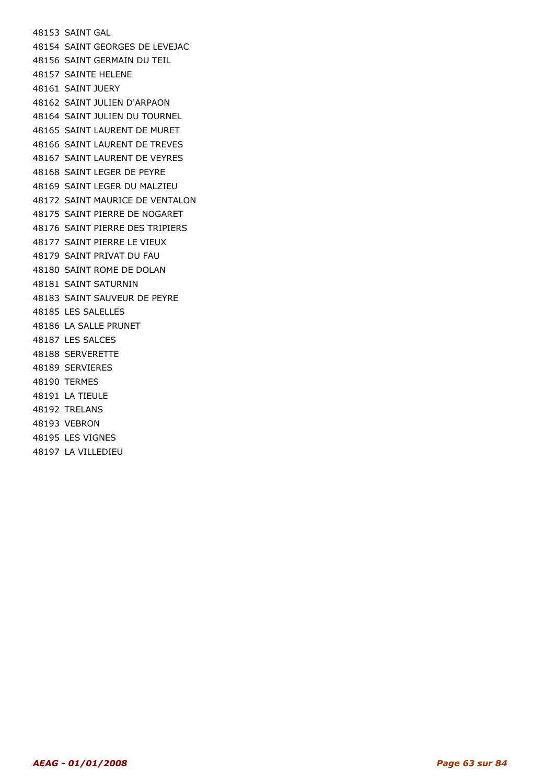48153 SAINT GAL 48154 SAINT GEORGES DE LEVEJAC 48156 SAINT GERMAIN DU TEIL 48157 SAINTE HELENE 48161 SAINT JUERY 48162 SAINT JULIEN D'ARPAON 48164 SAINT JULIEN DU TOURNEL 48165 SAINT LAURENT DE MURET 48166 SAINT LAURENT DE TREVES 48167 SAINT LAURENT DE VEYRES 48168 SAINT LEGER DE PEYRE 48169 SAINT LEGER DU MALZIEU 48172 SAINT MAURICE DE VENTALON 48175 SAINT PIERRE DE NOGARET 48176 SAINT PIERRE DES TRIPIERS 48177 SAINT PIERRE LE VIEUX 48179 SAINT PRIVAT DU FAU 48180 SAINT ROME DE DOLAN 48181 SAINT SATURNIN 48183 SAINT SAUVEUR DE PEYRE 48185 LES SALELLES 48186 LA SALLE PRUNET 48187 LES SALCES 48188 SERVERETTE 48189 SERVIERES 48190 TERMES 48191 LA TIEULE 48192 TRELANS 48193 VEBRON 48195 LES VIGNES

48197 LA VILLEDIEU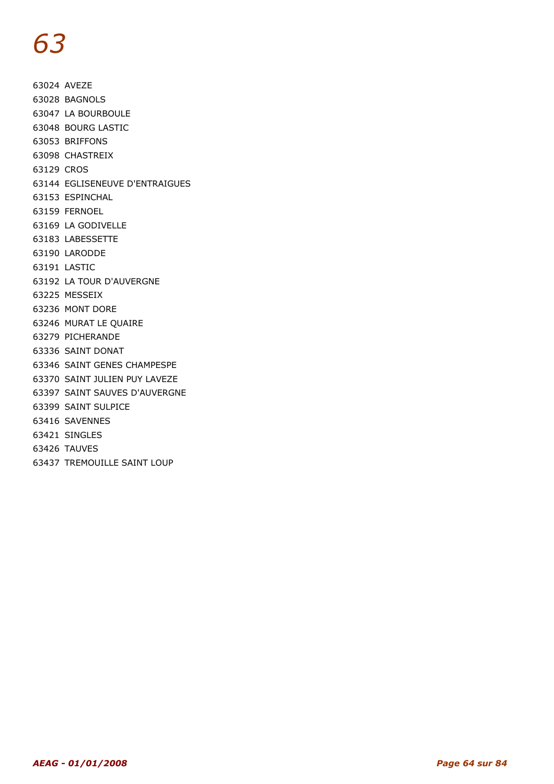63024 AVEZE 63028 BAGNOLS 63047 LA BOURBOULE 63048 BOURG LASTIC 63053 BRIFFONS 63098 CHASTREIX 63129 CROS 63144 EGLISENEUVE D'ENTRAIGUES 63153 ESPINCHAL 63159 FERNOEL 63169 LA GODIVELLE 63183 LABESSETTE 63190 LARODDE 63191 LASTIC 63192 LA TOUR D'AUVERGNE 63225 MESSEIX 63236 MONT DORE 63246 MURAT LE QUAIRE 63279 PICHERANDE 63336 SAINT DONAT 63346 SAINT GENES CHAMPESPE 63370 SAINT JULIEN PUY LAVEZE 63397 SAINT SAUVES D'AUVERGNE 63399 SAINT SULPICE 63416 SAVENNES 63421 SINGLES 63426 TAUVES

63437 TREMOUILLE SAINT LOUP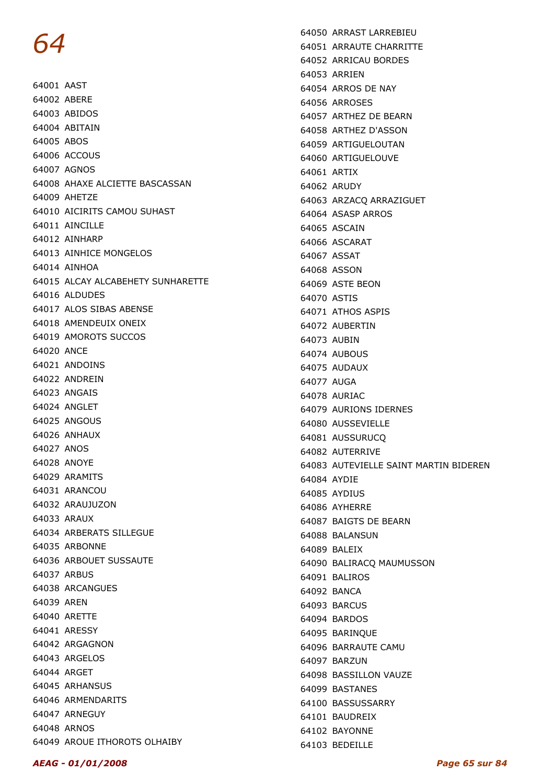64001 AAST 64002 ABERE 64003 ABIDOS 64004 ABITAIN 64005 ABOS 64006 ACCOUS 64007 AGNOS 64008 AHAXE ALCIETTE BASCASSAN 64009 AHETZE 64010 AICIRITS CAMOU SUHAST 64011 AINCILLE 64012 AINHARP 64013 AINHICE MONGELOS 64014 AINHOA 64015 ALCAY ALCABEHETY SUNHARETTE 64016 ALDUDES 64017 ALOS SIBAS ABENSE 64018 AMENDEUIX ONEIX 64019 AMOROTS SUCCOS 64020 ANCE 64021 ANDOINS 64022 ANDREIN 64023 ANGAIS 64024 ANGLET 64025 ANGOUS 64026 ANHAUX 64027 ANOS 64028 ANOYE 64029 ARAMITS 64031 ARANCOU 64032 ARAUJUZON 64033 ARAUX 64034 ARBERATS SILLEGUE 64035 ARBONNE 64036 ARBOUET SUSSAUTE 64037 ARBUS 64038 ARCANGUES 64039 AREN 64040 ARETTE 64041 ARESSY 64042 ARGAGNON 64043 ARGELOS 64044 ARGET 64045 ARHANSUS 64046 ARMENDARITS 64047 ARNEGUY 64048 ARNOS 64049 AROUE ITHOROTS OLHAIBY

64050 ARRAST LARREBIEU 64051 ARRAUTE CHARRITTE 64052 ARRICAU BORDES 64053 ARRIEN 64054 ARROS DE NAY 64056 ARROSES 64057 ARTHEZ DE BEARN 64058 ARTHEZ D'ASSON 64059 ARTIGUELOUTAN 64060 ARTIGUELOUVE 64061 ARTIX 64062 ARUDY 64063 ARZACQ ARRAZIGUET 64064 ASASP ARROS 64065 ASCAIN 64066 ASCARAT 64067 ASSAT 64068 ASSON 64069 ASTE BEON 64070 ASTIS 64071 ATHOS ASPIS 64072 AUBERTIN 64073 AUBIN 64074 AUBOUS 64075 AUDAUX 64077 AUGA 64078 AURIAC 64079 AURIONS IDERNES 64080 AUSSEVIELLE 64081 AUSSURUCQ 64082 AUTERRIVE 64083 AUTEVIELLE SAINT MARTIN BIDEREN 64084 AYDIE 64085 AYDIUS 64086 AYHERRE 64087 BAIGTS DE BEARN 64088 BALANSUN 64089 BALEIX 64090 BALIRACQ MAUMUSSON 64091 BALIROS 64092 BANCA 64093 BARCUS 64094 BARDOS 64095 BARINQUE 64096 BARRAUTE CAMU 64097 BARZUN 64098 BASSILLON VAUZE 64099 BASTANES 64100 BASSUSSARRY 64101 BAUDREIX 64102 BAYONNE 64103 BEDEILLE

#### AEAG - 01/01/2008 Page 65 sur 84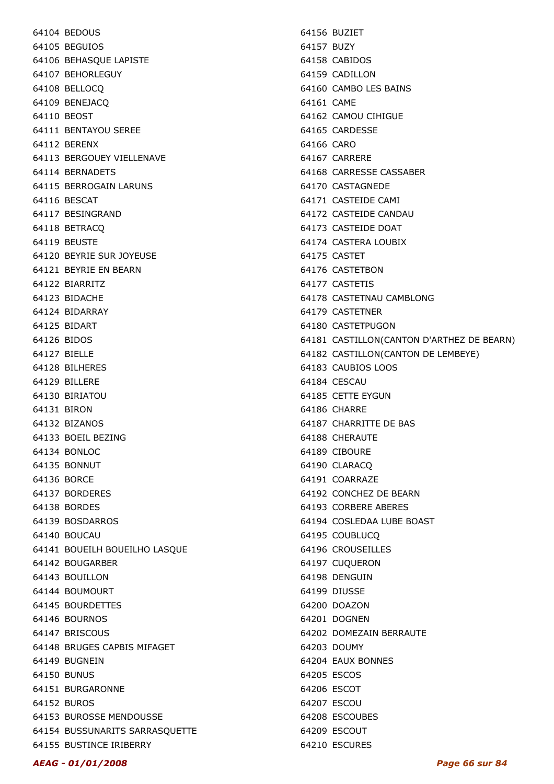64104 BEDOUS 64105 BEGUIOS 64106 BEHASQUE LAPISTE 64107 BEHORLEGUY 64108 BELLOCQ 64109 BENEJACQ 64110 BEOST 64111 BENTAYOU SEREE 64112 BERENX 64113 BERGOUEY VIELLENAVE 64114 BERNADETS 64115 BERROGAIN LARUNS 64116 BESCAT 64117 BESINGRAND 64118 BETRACQ 64119 BEUSTE 64120 BEYRIE SUR JOYEUSE 64121 BEYRIE EN BEARN 64122 BIARRITZ 64123 BIDACHE 64124 BIDARRAY 64125 BIDART 64126 BIDOS 64127 BIELLE 64128 BILHERES 64129 BILLERE 64130 BIRIATOU 64131 BIRON 64132 BIZANOS 64133 BOEIL BEZING 64134 BONLOC 64135 BONNUT 64136 BORCE 64137 BORDERES 64138 BORDES 64139 BOSDARROS 64140 BOUCAU 64141 BOUEILH BOUEILHO LASQUE 64142 BOUGARBER **64143 BOUILLON** 64144 BOUMOURT 64145 BOURDETTES 64146 BOURNOS 64147 BRISCOUS 64148 BRUGES CAPBIS MIFAGET 64149 BUGNEIN 64150 BUNUS 64151 BURGARONNE 64152 BUROS 64153 BUROSSE MENDOUSSE 64154 BUSSUNARITS SARRASQUETTE 64155 BUSTINCE IRIBERRY

64156 BUZIET 64157 BUZY 64158 CABIDOS 64159 CADILLON 64160 CAMBO LES BAINS 64161 CAME 64162 CAMOU CIHIGUE 64165 CARDESSE 64166 CARO 64167 CARRERE 64168 CARRESSE CASSABER 64170 CASTAGNEDE 64171 CASTEIDE CAMI 64172 CASTEIDE CANDAU 64173 CASTEIDE DOAT 64174 CASTERA LOUBIX 64175 CASTET 64176 CASTETBON 64177 CASTETIS 64178 CASTETNAU CAMBLONG 64179 CASTETNER 64180 CASTETPUGON 64181 CASTILLON(CANTON D'ARTHEZ DE BEARN) 64182 CASTILLON(CANTON DE LEMBEYE) 64183 CAUBIOS LOOS 64184 CESCAU 64185 CETTE EYGUN 64186 CHARRE 64187 CHARRITTE DE BAS 64188 CHERAUTE 64189 CIBOURE 64190 CLARACQ 64191 COARRAZE 64192 CONCHEZ DE BEARN 64193 CORBERE ABERES 64194 COSLEDAA LUBE BOAST 64195 COUBLUCQ 64196 CROUSEILLES 64197 CUQUERON 64198 DENGUIN 64199 DIUSSE 64200 DOAZON 64201 DOGNEN 64202 DOMEZAIN BERRAUTE 64203 DOUMY 64204 EAUX BONNES 64205 ESCOS 64206 ESCOT 64207 ESCOU 64208 ESCOUBES 64209 ESCOUT 64210 ESCURES

AEAG - 01/01/2008 Page 66 sur 84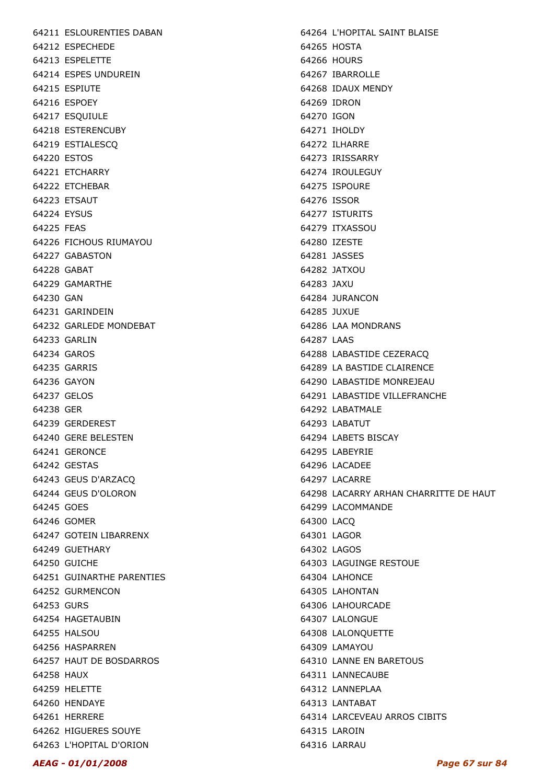64211 ESLOURENTIES DABAN 64212 ESPECHEDE 64213 ESPELETTE 64214 ESPES UNDUREIN 64215 ESPIUTE 64216 ESPOEY 64217 ESQUIULE 64218 ESTERENCUBY 64219 ESTIALESCQ 64220 ESTOS 64221 ETCHARRY 64222 ETCHEBAR 64223 ETSAUT 64224 EYSUS 64225 FEAS 64226 FICHOUS RIUMAYOU 64227 GABASTON 64228 GABAT 64229 GAMARTHE 64230 GAN 64231 GARINDEIN 64232 GARLEDE MONDEBAT 64233 GARLIN 64234 GAROS 64235 GARRIS 64236 GAYON 64237 GELOS 64238 GER 64239 GERDEREST 64240 GERE BELESTEN 64241 GERONCE 64242 GESTAS 64243 GEUS D'ARZACQ 64244 GEUS D'OLORON 64245 GOES 64246 GOMER 64247 GOTEIN LIBARRENX 64249 GUETHARY 64250 GUICHE 64251 GUINARTHE PARENTIES 64252 GURMENCON 64253 GURS 64254 HAGETAUBIN 64255 HALSOU 64256 HASPARREN 64257 HAUT DE BOSDARROS 64258 HAUX 64259 HELETTE 64260 HENDAYE 64261 HERRERE 64262 HIGUERES SOUYE 64263 L'HOPITAL D'ORION

64264 L'HOPITAL SAINT BLAISE 64265 HOSTA 64266 HOURS 64267 IBARROLLE 64268 IDAUX MENDY 64269 IDRON 64270 IGON 64271 IHOLDY 64272 ILHARRE 64273 IRISSARRY 64274 IROULEGUY 64275 ISPOURE 64276 ISSOR 64277 ISTURITS 64279 ITXASSOU 64280 IZESTE 64281 JASSES 64282 JATXOU 64283 JAXU 64284 JURANCON 64285 JUXUE 64286 LAA MONDRANS 64287 LAAS 64288 LABASTIDE CEZERACQ 64289 LA BASTIDE CLAIRENCE 64290 LABASTIDE MONREJEAU 64291 LABASTIDE VILLEFRANCHE 64292 LABATMALE 64293 LABATUT 64294 LABETS BISCAY 64295 LABEYRIE 64296 LACADEE 64297 LACARRE 64298 LACARRY ARHAN CHARRITTE DE HAUT 64299 LACOMMANDE 64300 LACQ 64301 LAGOR 64302 LAGOS 64303 LAGUINGE RESTOUE 64304 LAHONCE 64305 LAHONTAN 64306 LAHOURCADE 64307 LALONGUE 64308 LALONQUETTE 64309 LAMAYOU 64310 LANNE EN BARETOUS 64311 LANNECAUBE 64312 LANNEPLAA 64313 LANTABAT 64314 LARCEVEAU ARROS CIBITS 64315 LAROIN 64316 LARRAU

#### AEAG - 01/01/2008 Page 67 sur 84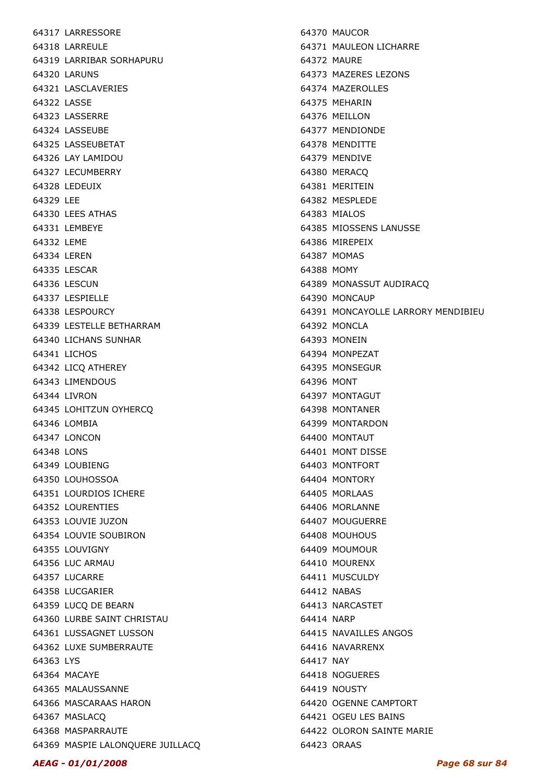AEAG - 01/01/2008 Page 68 sur 84

64317 LARRESSORE 64318 LARREULE 64319 LARRIBAR SORHAPURU 64320 LARUNS 64321 LASCLAVERIES 64322 LASSE 64323 LASSERRE 64324 LASSEUBE 64325 LASSEUBETAT 64326 LAY LAMIDOU 64327 LECUMBERRY 64328 LEDEUIX 64329 LEE 64330 LEES ATHAS 64331 LEMBEYE 64332 LEME 64334 LEREN 64335 LESCAR 64336 LESCUN 64337 LESPIELLE 64338 LESPOURCY 64339 LESTELLE BETHARRAM 64340 LICHANS SUNHAR 64341 LICHOS 64342 LICQ ATHEREY 64343 LIMENDOUS 64344 LIVRON 64345 LOHITZUN OYHERCQ 64346 LOMBIA 64347 LONCON 64348 LONS 64349 LOUBIENG 64350 LOUHOSSOA 64351 LOURDIOS ICHERE 64352 LOURENTIES 64353 LOUVIE JUZON 64354 LOUVIE SOUBIRON 64355 LOUVIGNY 64356 LUC ARMAU 64357 LUCARRE 64358 LUCGARIER 64359 LUCQ DE BEARN 64360 LURBE SAINT CHRISTAU 64361 LUSSAGNET LUSSON 64362 LUXE SUMBERRAUTE 64363 LYS 64364 MACAYE 64365 MALAUSSANNE 64366 MASCARAAS HARON 64367 MASLACQ 64368 MASPARRAUTE 64369 MASPIE LALONQUERE JUILLACQ 64370 MAUCOR 64371 MAULEON LICHARRE 64372 MAURE 64373 MAZERES LEZONS 64374 MAZEROLLES 64375 MEHARIN 64376 MEILLON 64377 MENDIONDE 64378 MENDITTE 64379 MENDIVE 64380 MERACQ 64381 MERITEIN 64382 MESPLEDE 64383 MIALOS 64385 MIOSSENS LANUSSE 64386 MIREPEIX 64387 MOMAS 64388 MOMY 64389 MONASSUT AUDIRACQ 64390 MONCAUP 64391 MONCAYOLLE LARRORY MENDIBIEU 64392 MONCLA 64393 MONEIN 64394 MONPEZAT 64395 MONSEGUR 64396 MONT 64397 MONTAGUT 64398 MONTANER 64399 MONTARDON 64400 MONTAUT 64401 MONT DISSE 64403 MONTFORT 64404 MONTORY 64405 MORLAAS 64406 MORLANNE 64407 MOUGUERRE 64408 MOUHOUS 64409 MOUMOUR 64410 MOURENX 64411 MUSCULDY 64412 NABAS 64413 NARCASTET 64414 NARP 64415 NAVAILLES ANGOS 64416 NAVARRENX 64417 NAY 64418 NOGUERES 64419 NOUSTY 64420 OGENNE CAMPTORT 64421 OGEU LES BAINS 64422 OLORON SAINTE MARIE 64423 ORAAS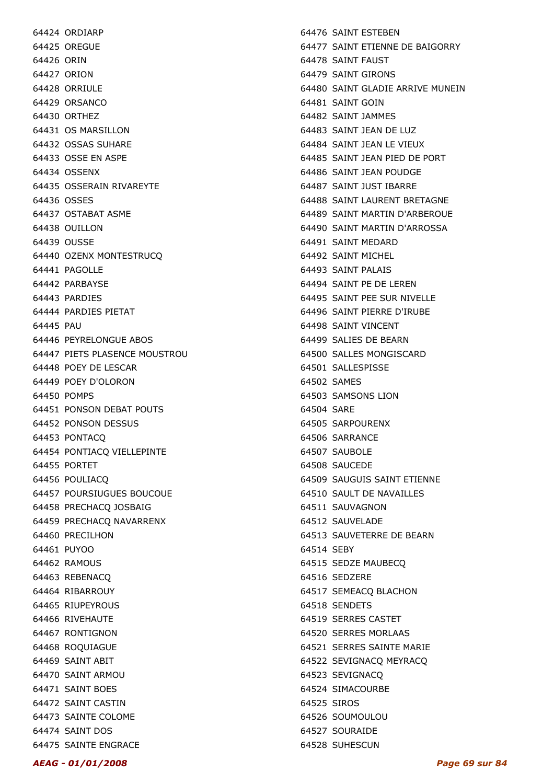64424 ORDIARP 64425 OREGUE 64426 ORIN 64427 ORION 64428 ORRIULE 64429 ORSANCO 64430 ORTHEZ 64431 OS MARSILLON 64432 OSSAS SUHARE 64433 OSSE EN ASPE 64434 OSSENX 64435 OSSERAIN RIVAREYTE 64436 OSSES 64437 OSTABAT ASME 64438 OUILLON 64439 OUSSE 64440 OZENX MONTESTRUCQ 64441 PAGOLLE 64442 PARBAYSE 64443 PARDIES 64444 PARDIES PIETAT 64445 PAU 64446 PEYRELONGUE ABOS 64447 PIETS PLASENCE MOUSTROU 64448 POEY DE LESCAR 64449 POEY D'OLORON 64450 POMPS 64451 PONSON DEBAT POUTS 64452 PONSON DESSUS 64453 PONTACQ 64454 PONTIACQ VIELLEPINTE 64455 PORTET 64456 POULIACQ 64457 POURSIUGUES BOUCOUE 64458 PRECHACQ JOSBAIG 64459 PRECHACQ NAVARRENX 64460 PRECILHON 64461 PUYOO 64462 RAMOUS 64463 REBENACQ 64464 RIBARROUY 64465 RIUPEYROUS 64466 RIVEHAUTE 64467 RONTIGNON 64468 ROQUIAGUE 64469 SAINT ABIT 64470 SAINT ARMOU 64471 SAINT BOES 64472 SAINT CASTIN 64473 SAINTE COLOME 64474 SAINT DOS 64475 SAINTE ENGRACE

64476 SAINT ESTEBEN 64477 SAINT ETIENNE DE BAIGORRY 64478 SAINT FAUST 64479 SAINT GIRONS 64480 SAINT GLADIE ARRIVE MUNEIN 64481 SAINT GOIN 64482 SAINT JAMMES 64483 SAINT JEAN DE LUZ 64484 SAINT JEAN LE VIEUX 64485 SAINT JEAN PIED DE PORT 64486 SAINT JEAN POUDGE 64487 SAINT JUST IBARRE 64488 SAINT LAURENT BRETAGNE 64489 SAINT MARTIN D'ARBEROUE 64490 SAINT MARTIN D'ARROSSA 64491 SAINT MEDARD 64492 SAINT MICHEL 64493 SAINT PALAIS 64494 SAINT PE DE LEREN 64495 SAINT PEE SUR NIVELLE 64496 SAINT PIERRE D'IRUBE 64498 SAINT VINCENT 64499 SALIES DE BEARN 64500 SALLES MONGISCARD 64501 SALLESPISSE 64502 SAMES 64503 SAMSONS LION 64504 SARE 64505 SARPOURENX 64506 SARRANCE 64507 SAUBOLE 64508 SAUCEDE 64509 SAUGUIS SAINT ETIENNE 64510 SAULT DE NAVAILLES 64511 SAUVAGNON 64512 SAUVELADE 64513 SAUVETERRE DE BEARN 64514 SEBY 64515 SEDZE MAUBECQ 64516 SEDZERE 64517 SEMEACQ BLACHON 64518 SENDETS 64519 SERRES CASTET 64520 SERRES MORLAAS 64521 SERRES SAINTE MARIE 64522 SEVIGNACQ MEYRACQ 64523 SEVIGNACQ 64524 SIMACOURBE 64525 SIROS 64526 SOUMOULOU 64527 SOURAIDE 64528 SUHESCUN

#### AEAG - 01/01/2008 Page 69 sur 84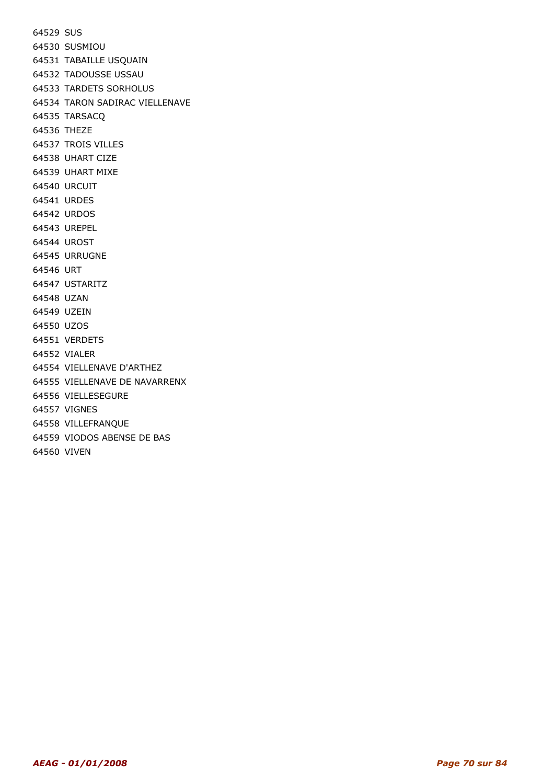64529 SUS 64530 SUSMIOU 64531 TABAILLE USQUAIN 64532 TADOUSSE USSAU 64533 TARDETS SORHOLUS 64534 TARON SADIRAC VIELLENAVE 64535 TARSACQ 64536 THEZE 64537 TROIS VILLES 64538 UHART CIZE 64539 UHART MIXE 64540 URCUIT 64541 URDES 64542 URDOS 64543 UREPEL 64544 UROST 64545 URRUGNE 64546 URT 64547 USTARITZ 64548 UZAN 64549 UZEIN 64550 UZOS 64551 VERDETS 64552 VIALER 64554 VIELLENAVE D'ARTHEZ 64555 VIELLENAVE DE NAVARRENX 64556 VIELLESEGURE 64557 VIGNES 64558 VILLEFRANQUE 64559 VIODOS ABENSE DE BAS 64560 VIVEN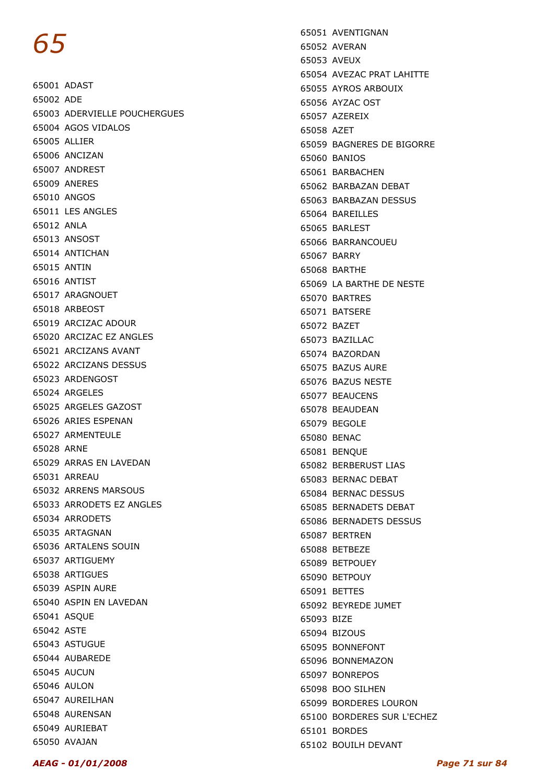65001 ADAST 65002 ADE 65003 ADERVIELLE POUCHERGUES 65004 AGOS VIDALOS 65005 ALLIER 65006 ANCIZAN 65007 ANDREST 65009 ANERES 65010 ANGOS 65011 LES ANGLES 65012 ANLA 65013 ANSOST 65014 ANTICHAN 65015 ANTIN 65016 ANTIST 65017 ARAGNOUET 65018 ARBEOST 65019 ARCIZAC ADOUR 65020 ARCIZAC EZ ANGLES 65021 ARCIZANS AVANT 65022 ARCIZANS DESSUS 65023 ARDENGOST 65024 ARGELES 65025 ARGELES GAZOST 65026 ARIES ESPENAN 65027 ARMENTEULE 65028 ARNE 65029 ARRAS EN LAVEDAN 65031 ARREAU 65032 ARRENS MARSOUS 65033 ARRODETS EZ ANGLES 65034 ARRODETS 65035 ARTAGNAN 65036 ARTALENS SOUIN 65037 ARTIGUEMY 65038 ARTIGUES 65039 ASPIN AURE 65040 ASPIN EN LAVEDAN 65041 ASQUE 65042 ASTE 65043 ASTUGUE 65044 AUBAREDE 65045 AUCUN 65046 AULON 65047 AUREILHAN 65048 AURENSAN 65049 AURIEBAT 65050 AVAJAN

65051 AVENTIGNAN 65052 AVERAN 65053 AVEUX 65054 AVEZAC PRAT LAHITTE 65055 AYROS ARBOUIX 65056 AYZAC OST 65057 AZEREIX 65058 AZET 65059 BAGNERES DE BIGORRE 65060 BANIOS 65061 BARBACHEN 65062 BARBAZAN DEBAT 65063 BARBAZAN DESSUS 65064 BAREILLES 65065 BARLEST 65066 BARRANCOUEU 65067 BARRY 65068 BARTHE 65069 LA BARTHE DE NESTE 65070 BARTRES 65071 BATSERE 65072 BAZET 65073 BAZILLAC 65074 BAZORDAN 65075 BAZUS AURE 65076 BAZUS NESTE 65077 BEAUCENS 65078 BEAUDEAN 65079 BEGOLE 65080 BENAC 65081 BENQUE 65082 BERBERUST LIAS 65083 BERNAC DEBAT 65084 BERNAC DESSUS 65085 BERNADETS DEBAT 65086 BERNADETS DESSUS 65087 BERTREN 65088 BETBEZE 65089 BETPOUEY 65090 BETPOUY 65091 BETTES 65092 BEYREDE JUMET 65093 BIZE 65094 BIZOUS 65095 BONNEFONT 65096 BONNEMAZON 65097 BONREPOS 65098 BOO SILHEN 65099 BORDERES LOURON 65100 BORDERES SUR L'ECHEZ 65101 BORDES 65102 BOUILH DEVANT

#### AEAG - 01/01/2008 Page 71 sur 84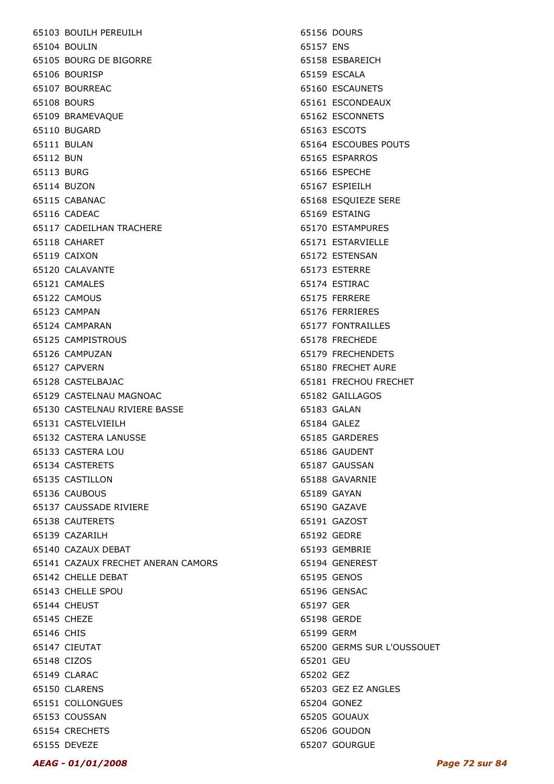65103 BOUILH PEREUILH 65104 BOULIN 65105 BOURG DE BIGORRE 65106 BOURISP 65107 BOURREAC 65108 BOURS 65109 BRAMEVAQUE 65110 BUGARD 65111 BULAN 65112 BUN 65113 BURG 65114 BUZON 65115 CABANAC 65116 CADEAC 65117 CADEILHAN TRACHERE 65118 CAHARET 65119 CAIXON 65120 CALAVANTE 65121 CAMALES 65122 CAMOUS 65123 CAMPAN 65124 CAMPARAN 65125 CAMPISTROUS 65126 CAMPUZAN 65127 CAPVERN 65128 CASTELBAJAC 65129 CASTELNAU MAGNOAC 65130 CASTELNAU RIVIERE BASSE 65131 CASTELVIEILH 65132 CASTERA LANUSSE 65133 CASTERA LOU 65134 CASTERETS 65135 CASTILLON 65136 CAUBOUS 65137 CAUSSADE RIVIERE 65138 CAUTERETS 65139 CAZARILH 65140 CAZAUX DEBAT 65141 CAZAUX FRECHET ANERAN CAMORS 65142 CHELLE DEBAT 65143 CHELLE SPOU 65144 CHEUST 65145 CHEZE 65146 CHIS 65147 CIEUTAT 65148 CIZOS 65149 CLARAC 65150 CLARENS 65151 COLLONGUES 65153 COUSSAN 65154 CRECHETS 65155 DEVEZE

65156 DOURS 65157 ENS 65158 ESBAREICH 65159 ESCALA 65160 ESCAUNETS 65161 ESCONDEAUX 65162 ESCONNETS 65163 ESCOTS 65164 ESCOUBES POUTS 65165 ESPARROS 65166 ESPECHE 65167 ESPIEILH 65168 ESQUIEZE SERE 65169 ESTAING 65170 ESTAMPURES 65171 ESTARVIELLE 65172 ESTENSAN 65173 ESTERRE 65174 ESTIRAC 65175 FERRERE 65176 FERRIERES 65177 FONTRAILLES 65178 FRECHEDE 65179 FRECHENDETS 65180 FRECHET AURE 65181 FRECHOU FRECHET 65182 GAILLAGOS 65183 GALAN 65184 GALEZ 65185 GARDERES 65186 GAUDENT 65187 GAUSSAN 65188 GAVARNIE 65189 GAYAN 65190 GAZAVE 65191 GAZOST 65192 GEDRE 65193 GEMBRIE 65194 GENEREST 65195 GENOS 65196 GENSAC 65197 GER 65198 GERDE 65199 GERM 65200 GERMS SUR L'OUSSOUET 65201 GEU 65202 GEZ 65203 GEZ EZ ANGLES 65204 GONEZ 65205 GOUAUX 65206 GOUDON 65207 GOURGUE

#### AEAG - 01/01/2008 Page 72 sur 84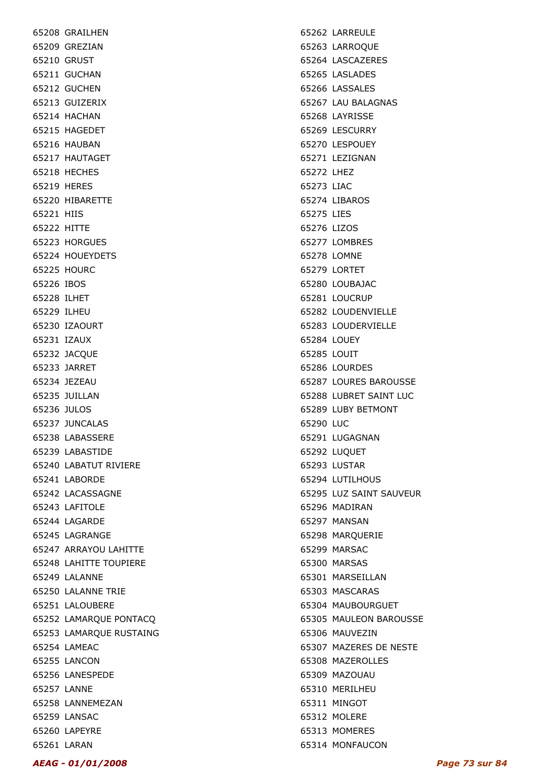65208 GRAILHEN 65209 GREZIAN 65210 GRUST 65211 GUCHAN 65212 GUCHEN 65213 GUIZERIX 65214 HACHAN 65215 HAGEDET 65216 HAUBAN 65217 HAUTAGET 65218 HECHES 65219 HERES 65220 HIBARETTE 65221 HIIS 65222 HITTE 65223 HORGUES 65224 HOUEYDETS 65225 HOURC 65226 IBOS 65228 ILHET 65229 ILHEU 65230 IZAOURT 65231 IZAUX 65232 JACQUE 65233 JARRET 65234 JEZEAU 65235 JUILLAN 65236 JULOS 65237 JUNCALAS 65238 LABASSERE 65239 LABASTIDE 65240 LABATUT RIVIERE 65241 LABORDE 65242 LACASSAGNE 65243 LAFITOLE 65244 LAGARDE 65245 LAGRANGE 65247 ARRAYOU LAHITTE 65248 LAHITTE TOUPIERE 65249 LALANNE 65250 LALANNE TRIE 65251 LALOUBERE 65252 LAMARQUE PONTACQ 65253 LAMARQUE RUSTAING 65254 LAMEAC 65255 LANCON 65256 LANESPEDE 65257 LANNE 65258 LANNEMEZAN 65259 LANSAC 65260 LAPEYRE 65261 LARAN

65262 LARREULE 65263 LARROQUE 65264 LASCAZERES 65265 LASLADES 65266 LASSALES 65267 LAU BALAGNAS 65268 LAYRISSE 65269 LESCURRY 65270 LESPOUEY 65271 LEZIGNAN 65272 LHEZ 65273 LIAC 65274 LIBAROS 65275 LIES 65276 LIZOS 65277 LOMBRES 65278 LOMNE 65279 LORTET 65280 LOUBAJAC 65281 LOUCRUP 65282 LOUDENVIELLE 65283 LOUDERVIELLE 65284 LOUEY 65285 LOUIT 65286 LOURDES 65287 LOURES BAROUSSE 65288 LUBRET SAINT LUC 65289 LUBY BETMONT 65290 LUC 65291 LUGAGNAN 65292 LUQUET 65293 LUSTAR 65294 LUTILHOUS 65295 LUZ SAINT SAUVEUR 65296 MADIRAN 65297 MANSAN 65298 MARQUERIE 65299 MARSAC 65300 MARSAS 65301 MARSEILLAN 65303 MASCARAS 65304 MAUBOURGUET 65305 MAULEON BAROUSSE 65306 MAUVEZIN 65307 MAZERES DE NESTE 65308 MAZEROLLES 65309 MAZOUAU 65310 MERILHEU 65311 MINGOT 65312 MOLERE 65313 MOMERES 65314 MONFAUCON

AEAG - 01/01/2008 Page 73 sur 84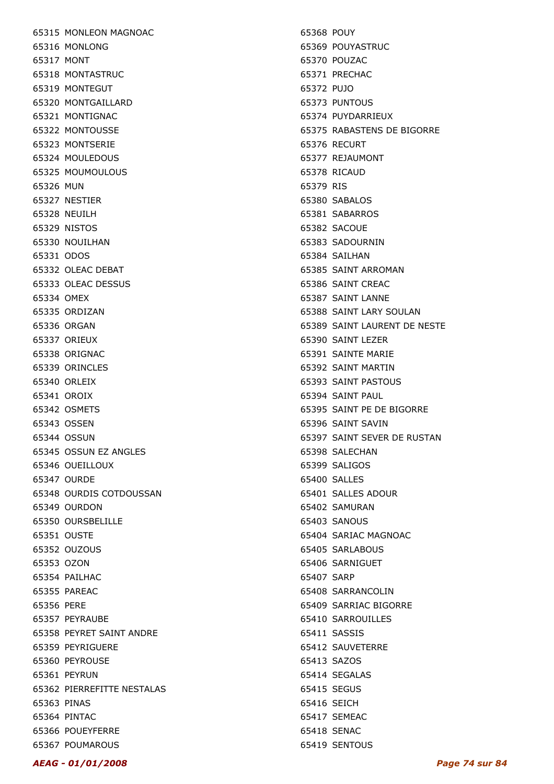65315 MONLEON MAGNOAC 65316 MONLONG 65317 MONT 65318 MONTASTRUC 65319 MONTEGUT 65320 MONTGAILLARD 65321 MONTIGNAC 65322 MONTOUSSE 65323 MONTSERIE 65324 MOULEDOUS 65325 MOUMOULOUS 65326 MUN 65327 NESTIER 65328 NEUILH 65329 NISTOS 65330 NOUILHAN 65331 ODOS 65332 OLEAC DEBAT 65333 OLEAC DESSUS 65334 OMEX 65335 ORDIZAN 65336 ORGAN 65337 ORIEUX 65338 ORIGNAC 65339 ORINCLES 65340 ORLEIX 65341 OROIX 65342 OSMETS 65343 OSSEN 65344 OSSUN 65345 OSSUN EZ ANGLES 65346 OUEILLOUX 65347 OURDE 65348 OURDIS COTDOUSSAN 65349 OURDON 65350 OURSBELILLE 65351 OUSTE 65352 OUZOUS 65353 OZON 65354 PAILHAC 65355 PAREAC 65356 PERE 65357 PEYRAUBE 65358 PEYRET SAINT ANDRE 65359 PEYRIGUERE 65360 PEYROUSE 65361 PEYRUN 65362 PIERREFITTE NESTALAS 65363 PINAS 65364 PINTAC 65366 POUEYFERRE 65367 POUMAROUS

65368 POUY 65369 POUYASTRUC 65370 POUZAC 65371 PRECHAC 65372 PUJO 65373 PUNTOUS 65374 PUYDARRIEUX 65375 RABASTENS DE BIGORRE 65376 RECURT 65377 REJAUMONT 65378 RICAUD 65379 RIS 65380 SABALOS 65381 SABARROS 65382 SACOUE 65383 SADOURNIN 65384 SAILHAN 65385 SAINT ARROMAN 65386 SAINT CREAC 65387 SAINT LANNE 65388 SAINT LARY SOULAN 65389 SAINT LAURENT DE NESTE 65390 SAINT LEZER 65391 SAINTE MARIE 65392 SAINT MARTIN 65393 SAINT PASTOUS 65394 SAINT PAUL 65395 SAINT PE DE BIGORRE 65396 SAINT SAVIN 65397 SAINT SEVER DE RUSTAN 65398 SALECHAN 65399 SALIGOS 65400 SALLES 65401 SALLES ADOUR 65402 SAMURAN 65403 SANOUS 65404 SARIAC MAGNOAC 65405 SARLABOUS 65406 SARNIGUET 65407 SARP 65408 SARRANCOLIN 65409 SARRIAC BIGORRE 65410 SARROUILLES 65411 SASSIS 65412 SAUVETERRE 65413 SAZOS 65414 SEGALAS 65415 SEGUS 65416 SEICH 65417 SEMEAC 65418 SENAC 65419 SENTOUS

### AEAG - 01/01/2008 Page 74 sur 84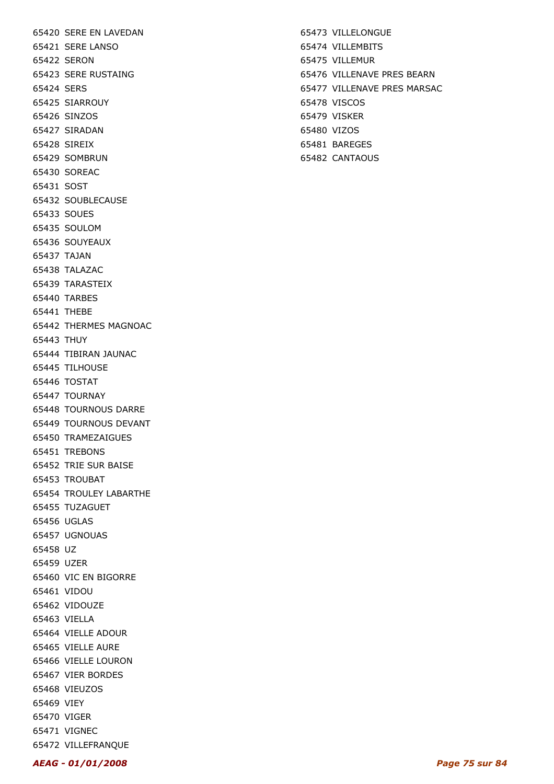65420 SERE EN LAVEDAN 65421 SERE LANSO 65422 SERON 65423 SERE RUSTAING 65424 SERS 65425 SIARROUY 65426 SINZOS 65427 SIRADAN 65428 SIREIX 65429 SOMBRUN 65430 SOREAC 65431 SOST 65432 SOUBLECAUSE 65433 SOUES 65435 SOULOM 65436 SOUYEAUX 65437 TAJAN 65438 TALAZAC 65439 TARASTEIX 65440 TARBES 65441 THEBE 65442 THERMES MAGNOAC 65443 THUY 65444 TIBIRAN JAUNAC 65445 TILHOUSE 65446 TOSTAT 65447 TOURNAY 65448 TOURNOUS DARRE 65449 TOURNOUS DEVANT 65450 TRAMEZAIGUES 65451 TREBONS 65452 TRIE SUR BAISE 65453 TROUBAT 65454 TROULEY LABARTHE 65455 TUZAGUET 65456 UGLAS 65457 UGNOUAS 65458 UZ 65459 UZER 65460 VIC EN BIGORRE 65461 VIDOU 65462 VIDOUZE 65463 VIELLA 65464 VIELLE ADOUR 65465 VIELLE AURE 65466 VIELLE LOURON 65467 VIER BORDES 65468 VIEUZOS 65469 VIEY 65470 VIGER 65471 VIGNEC 65472 VILLEFRANQUE

65473 VILLELONGUE 65474 VILLEMBITS 65475 VILLEMUR 65476 VILLENAVE PRES BEARN 65477 VILLENAVE PRES MARSAC 65478 VISCOS 65479 VISKER 65480 VIZOS 65481 BAREGES

65482 CANTAOUS

AEAG - 01/01/2008 Page 75 sur 84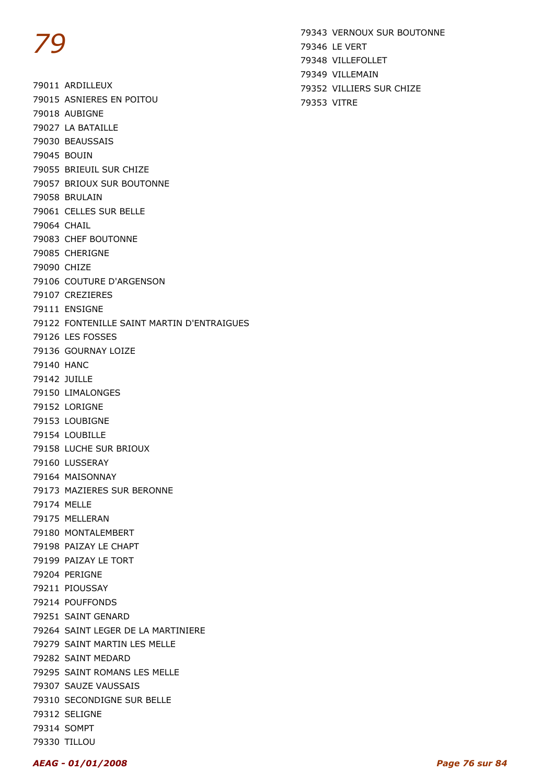79011 ARDILLEUX 79015 ASNIERES EN POITOU 79018 AUBIGNE 79027 LA BATAILLE 79030 BEAUSSAIS 79045 BOUIN 79055 BRIEUIL SUR CHIZE 79057 BRIOUX SUR BOUTONNE 79058 BRULAIN 79061 CELLES SUR BELLE 79064 CHAIL 79083 CHEF BOUTONNE 79085 CHERIGNE 79090 CHIZE 79106 COUTURE D'ARGENSON 79107 CREZIERES 79111 ENSIGNE 79122 FONTENILLE SAINT MARTIN D'ENTRAIGUES 79126 LES FOSSES 79136 GOURNAY LOIZE 79140 HANC 79142 JUILLE 79150 LIMALONGES 79152 LORIGNE 79153 LOUBIGNE 79154 LOUBILLE 79158 LUCHE SUR BRIOUX 79160 LUSSERAY 79164 MAISONNAY 79173 MAZIERES SUR BERONNE 79174 MELLE 79175 MELLERAN 79180 MONTALEMBERT 79198 PAIZAY LE CHAPT 79199 PAIZAY LE TORT 79204 PERIGNE 79211 PIOUSSAY 79214 POUFFONDS 79251 SAINT GENARD 79264 SAINT LEGER DE LA MARTINIERE 79279 SAINT MARTIN LES MELLE 79282 SAINT MEDARD 79295 SAINT ROMANS LES MELLE 79307 SAUZE VAUSSAIS 79310 SECONDIGNE SUR BELLE 79312 SELIGNE 79314 SOMPT 79330 TILLOU

79343 VERNOUX SUR BOUTONNE 79346 LE VERT 79348 VILLEFOLLET 79349 VILLEMAIN 79352 VILLIERS SUR CHIZE 79353 VITRE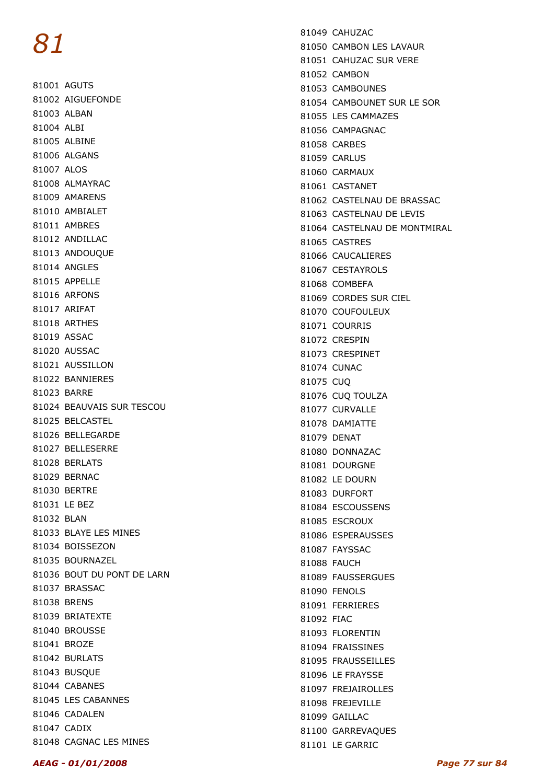81001 AGUTS 81002 AIGUEFONDE 81003 ALBAN 81004 ALBI 81005 ALBINE 81006 ALGANS 81007 ALOS 81008 ALMAYRAC 81009 AMARENS 81010 AMBIALET 81011 AMBRES 81012 ANDILLAC 81013 ANDOUQUE 81014 ANGLES 81015 APPELLE 81016 ARFONS 81017 ARIFAT 81018 ARTHES 81019 ASSAC 81020 AUSSAC 81021 AUSSILLON 81022 BANNIERES 81023 BARRE 81024 BEAUVAIS SUR TESCOU 81025 BELCASTEL 81026 BELLEGARDE 81027 BELLESERRE 81028 BERLATS 81029 BERNAC 81030 BERTRE 81031 LE BEZ 81032 BLAN 81033 BLAYE LES MINES 81034 BOISSEZON 81035 BOURNAZEL 81036 BOUT DU PONT DE LARN 81037 BRASSAC 81038 BRENS 81039 BRIATEXTE 81040 BROUSSE 81041 BROZE 81042 BURLATS 81043 BUSQUE 81044 CABANES 81045 LES CABANNES 81046 CADALEN 81047 CADIX 81048 CAGNAC LES MINES

81049 CAHUZAC 81050 CAMBON LES LAVAUR 81051 CAHUZAC SUR VERE 81052 CAMBON 81053 CAMBOUNES 81054 CAMBOUNET SUR LE SOR 81055 LES CAMMAZES 81056 CAMPAGNAC 81058 CARBES 81059 CARLUS 81060 CARMAUX 81061 CASTANET 81062 CASTELNAU DE BRASSAC 81063 CASTELNAU DE LEVIS 81064 CASTELNAU DE MONTMIRAL 81065 CASTRES 81066 CAUCALIERES 81067 CESTAYROLS 81068 COMBEFA 81069 CORDES SUR CIEL 81070 COUFOULFUX 81071 COURRIS 81072 CRESPIN 81073 CRESPINET 81074 CUNAC 81075 CUQ 81076 CUQ TOULZA 81077 CURVALLE 81078 DAMIATTE 81079 DENAT 81080 DONNAZAC 81081 DOURGNE 81082 LE DOURN 81083 DURFORT 81084 ESCOUSSENS 81085 ESCROUX 81086 ESPERAUSSES 81087 FAYSSAC 81088 FAUCH 81089 FAUSSERGUES 81090 FENOLS 81091 FERRIERES 81092 FIAC 81093 FLORENTIN 81094 FRAISSINES 81095 FRAUSSEILLES 81096 LE FRAYSSE 81097 FREJAIROLLES 81098 FREJEVILLE 81099 GAILLAC 81100 GARREVAQUES 81101 LE GARRIC

#### AEAG - 01/01/2008 Page 77 sur 84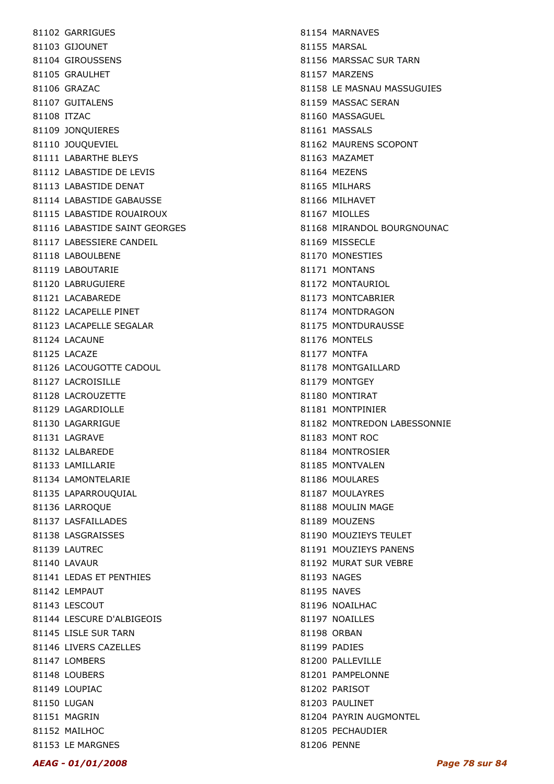81102 GARRIGUES 81103 GIJOUNET 81104 GIROUSSENS 81105 GRAULHET 81106 GRAZAC 81107 GUITALENS 81108 ITZAC 81109 JONQUIERES 81110 JOUQUEVIEL 81111 LABARTHE BLEYS 81112 LABASTIDE DE LEVIS 81113 LABASTIDE DENAT 81114 LABASTIDE GABAUSSE 81115 LABASTIDE ROUAIROUX 81116 LABASTIDE SAINT GEORGES 81117 LABESSIERE CANDEIL 81118 LABOULBENE 81119 LABOUTARIE 81120 LABRUGUIERE 81121 LACABAREDE 81122 LACAPELLE PINET 81123 LACAPELLE SEGALAR 81124 LACAUNE 81125 LACAZE 81126 LACOUGOTTE CADOUL 81127 LACROISILLE 81128 LACROUZETTE 81129 LAGARDIOLLE 81130 LAGARRIGUE 81131 LAGRAVE 81132 LALBAREDE 81133 LAMILLARIE 81134 LAMONTELARIE 81135 LAPARROUQUIAL 81136 LARROQUE 81137 LASFAILLADES 81138 LASGRAISSES 81139 LAUTREC 81140 LAVAUR 81141 LEDAS ET PENTHIES 81142 LEMPAUT 81143 LESCOUT 81144 LESCURE D'ALBIGEOIS 81145 LISLE SUR TARN 81146 LIVERS CAZELLES 81147 LOMBERS 81148 LOUBERS 81149 LOUPIAC 81150 LUGAN 81151 MAGRIN 81152 MAILHOC 81153 LE MARGNES

81154 MARNAVES 81155 MARSAL 81156 MARSSAC SUR TARN 81157 MARZENS 81158 LE MASNAU MASSUGUIES 81159 MASSAC SERAN 81160 MASSAGUEL 81161 MASSALS 81162 MAURENS SCOPONT 81163 MAZAMET 81164 MEZENS 81165 MILHARS 81166 MILHAVET 81167 MIOLLES 81168 MIRANDOL BOURGNOUNAC 81169 MISSECLE 81170 MONESTIES 81171 MONTANS 81172 MONTAURIOL 81173 MONTCABRIER 81174 MONTDRAGON 81175 MONTDURAUSSE 81176 MONTELS 81177 MONTFA 81178 MONTGAILLARD 81179 MONTGEY 81180 MONTIRAT 81181 MONTPINIER 81182 MONTREDON LABESSONNIE 81183 MONT ROC 81184 MONTROSIER 81185 MONTVALEN 81186 MOULARES 81187 MOULAYRES 81188 MOULIN MAGE 81189 MOUZENS 81190 MOUZIEYS TEULET 81191 MOUZIEYS PANENS 81192 MURAT SUR VEBRE 81193 NAGES 81195 NAVES 81196 NOATLHAC 81197 NOAILLES 81198 ORBAN 81199 PADIES 81200 PALLEVILLE 81201 PAMPELONNE 81202 PARISOT 81203 PAULINET 81204 PAYRIN AUGMONTEL 81205 PECHAUDIER 81206 PENNE

AEAG - 01/01/2008 Page 78 sur 84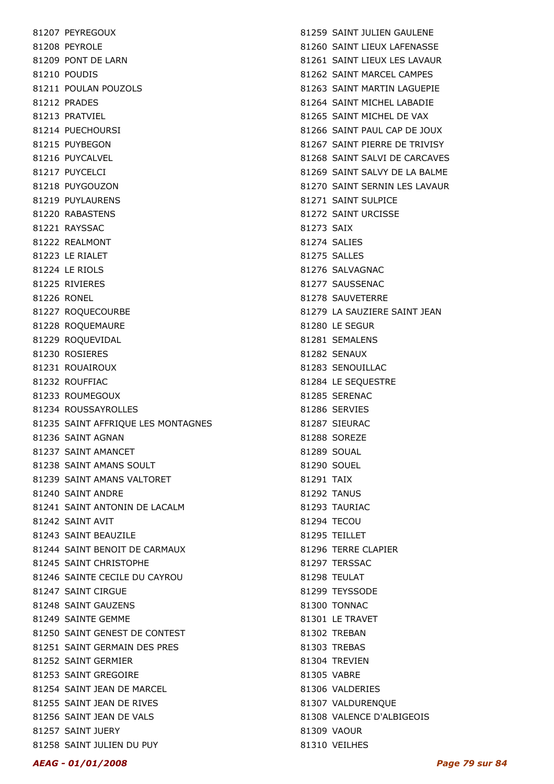81207 PEYREGOUX 81208 PEYROLE 81209 PONT DE LARN 81210 POUDIS 81211 POULAN POUZOLS 81212 PRADES 81213 PRATVIEL 81214 PUECHOURSI 81215 PUYBEGON 81216 PUYCALVEL 81217 PUYCELCI 81218 PUYGOUZON 81219 PUYLAURENS 81220 RABASTENS 81221 RAYSSAC 81222 REALMONT 81223 LE RIALET 81224 LE RIOLS 81225 RIVIERES 81226 RONEL 81227 ROQUECOURBE 81228 ROQUEMAURE 81229 ROQUEVIDAL 81230 ROSIERES 81231 ROUAIROUX 81232 ROUFFIAC 81233 ROUMEGOUX 81234 ROUSSAYROLLES 81235 SAINT AFFRIQUE LES MONTAGNES 81236 SAINT AGNAN 81237 SAINT AMANCET 81238 SAINT AMANS SOULT 81239 SAINT AMANS VALTORET 81240 SAINT ANDRE 81241 SAINT ANTONIN DE LACALM 81242 SAINT AVIT 81243 SAINT BEAUZILE 81244 SAINT BENOIT DE CARMAUX 81245 SAINT CHRISTOPHE 81246 SAINTE CECILE DU CAYROU 81247 SAINT CIRGUE 81248 SAINT GAUZENS 81249 SAINTE GEMME 81250 SAINT GENEST DE CONTEST 81251 SAINT GERMAIN DES PRES 81252 SAINT GERMIER 81253 SAINT GREGOIRE 81254 SAINT JEAN DE MARCEL 81255 SAINT JEAN DE RIVES 81256 SAINT JEAN DE VALS 81257 SAINT JUERY 81258 SAINT JULIEN DU PUY

81259 SAINT JULIEN GAULENE 81260 SAINT LIEUX LAFENASSE 81261 SAINT LIEUX LES LAVAUR 81262 SAINT MARCEL CAMPES 81263 SAINT MARTIN LAGUEPIE 81264 SAINT MICHEL LABADIE 81265 SAINT MICHEL DE VAX 81266 SAINT PAUL CAP DE JOUX 81267 SAINT PIERRE DE TRIVISY 81268 SAINT SALVI DE CARCAVES 81269 SAINT SALVY DE LA BALME 81270 SAINT SERNIN LES LAVAUR 81271 SAINT SULPICE 81272 SAINT URCISSE 81273 SAIX 81274 SALIES 81275 SALLES 81276 SALVAGNAC 81277 SAUSSENAC 81278 SAUVETERRE 81279 LA SAUZIERE SAINT JEAN 81280 LE SEGUR 81281 SEMALENS 81282 SENAUX 81283 SENOUILLAC 81284 LE SEQUESTRE 81285 SERENAC 81286 SERVIES 81287 SIEURAC 81288 SOREZE 81289 SOUAL 81290 SOUEL 81291 TAIX 81292 TANUS 81293 TAURIAC 81294 TECOU 81295 TEILLET 81296 TERRE CLAPIER 81297 TERSSAC 81298 TFULAT 81299 TEYSSODE 81300 TONNAC 81301 LE TRAVET 81302 TREBAN 81303 TREBAS 81304 TREVIEN 81305 VABRE 81306 VALDERIES 81307 VALDURENQUE 81308 VALENCE D'ALBIGEOIS 81309 VAOUR 81310 VEILHES

### AEAG - 01/01/2008 Page 79 sur 84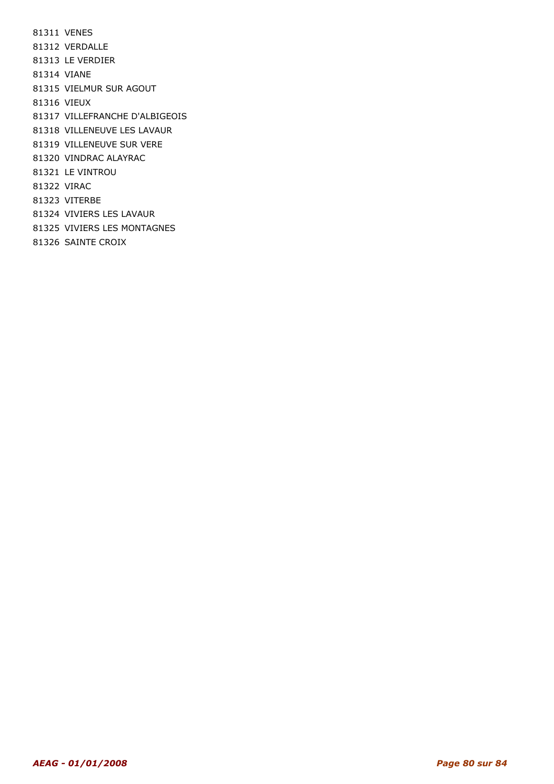81311 VENES 81312 VERDALLE 81313 LE VERDIER 81314 VIANE 81315 VIELMUR SUR AGOUT 81316 VIEUX 81317 VILLEFRANCHE D'ALBIGEOIS 81318 VILLENEUVE LES LAVAUR 81319 VILLENEUVE SUR VERE 81320 VINDRAC ALAYRAC 81321 LE VINTROU 81322 VIRAC 81323 VITERBE 81324 VIVIERS LES LAVAUR 81325 VIVIERS LES MONTAGNES 81326 SAINTE CROIX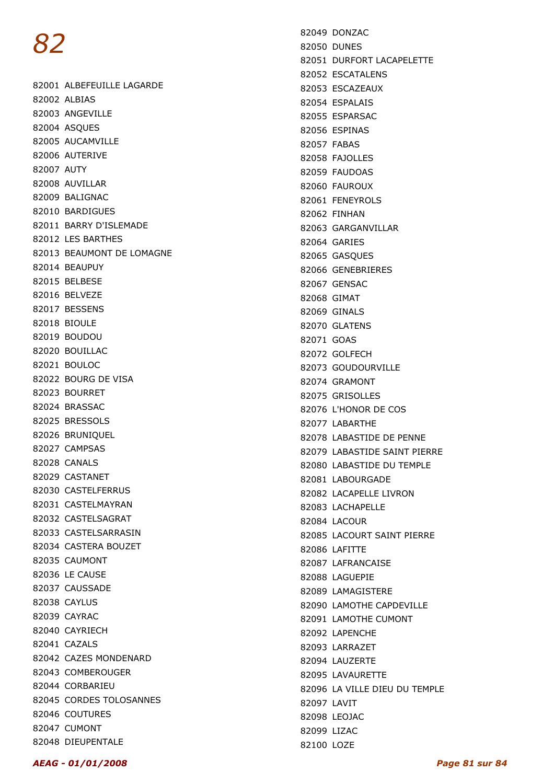82001 ALBEFEUILLE LAGARDE 82002 ALBIAS 82003 ANGEVILLE 82004 ASQUES 82005 AUCAMVILLE 82006 AUTERIVE 82007 AUTY 82008 AUVILLAR 82009 BALIGNAC 82010 BARDIGUES 82011 BARRY D'ISLEMADE 82012 LES BARTHES 82013 BEAUMONT DE LOMAGNE 82014 BEAUPUY 82015 BELBESE 82016 BELVEZE 82017 BESSENS 82018 BIOULE 82019 BOUDOU 82020 BOUILLAC 82021 BOULOC 82022 BOURG DE VISA 82023 BOURRET 82024 BRASSAC 82025 BRESSOLS 82026 BRUNIQUEL 82027 CAMPSAS 82028 CANALS 82029 CASTANET 82030 CASTELFERRUS 82031 CASTELMAYRAN 82032 CASTELSAGRAT 82033 CASTELSARRASIN 82034 CASTERA BOUZET 82035 CAUMONT 82036 LE CAUSE 82037 CAUSSADE 82038 CAYLUS 82039 CAYRAC 82040 CAYRIECH 82041 CAZALS 82042 CAZES MONDENARD 82043 COMBEROUGER 82044 CORBARIEU 82045 CORDES TOLOSANNES 82046 COUTURES 82047 CUMONT 82048 DIEUPENTALE

82049 DONZAC 82050 DUNES 82051 DURFORT LACAPELETTE 82052 ESCATALENS 82053 ESCAZEAUX 82054 ESPALAIS 82055 ESPARSAC 82056 ESPINAS 82057 FABAS 82058 FAJOLLES 82059 FAUDOAS 82060 FAUROUX 82061 FENEYROLS 82062 FINHAN 82063 GARGANVILLAR 82064 GARIES 82065 GASQUES 82066 GENEBRIERES 82067 GENSAC 82068 GIMAT 82069 GINALS 82070 GLATENS 82071 GOAS 82072 GOLFECH 82073 GOUDOURVILLE 82074 GRAMONT 82075 GRISOLLES 82076 L'HONOR DE COS 82077 LABARTHE 82078 LABASTIDE DE PENNE 82079 LABASTIDE SAINT PIERRE 82080 LABASTIDE DU TEMPLE 82081 LABOURGADE 82082 LACAPELLE LIVRON 82083 LACHAPELLE 82084 LACOUR 82085 LACOURT SAINT PIERRE 82086 LAFITTE 82087 LAFRANCAISE 82088 LAGUEPIE 82089 LAMAGISTERE 82090 LAMOTHE CAPDEVILLE 82091 LAMOTHE CUMONT 82092 LAPENCHE 82093 LARRAZET 82094 LAUZERTE 82095 LAVAURETTE 82096 LA VILLE DIEU DU TEMPLE 82097 LAVIT 82098 LEOJAC 82099 LIZAC 82100 LOZE

### AEAG - 01/01/2008 Page 81 sur 84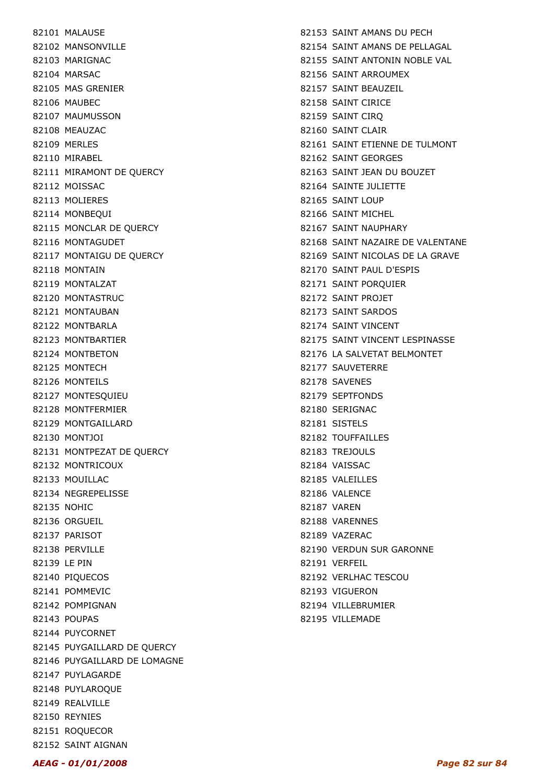82101 MALAUSE 82102 MANSONVILLE 82103 MARIGNAC 82104 MARSAC 82105 MAS GRENIER 82106 MAUBEC 82107 MAUMUSSON 82108 MEAUZAC 82109 MERLES 82110 MIRABEL 82111 MIRAMONT DE QUERCY 82112 MOISSAC 82113 MOLIERES 82114 MONBEQUI 82115 MONCLAR DE QUERCY 82116 MONTAGUDET 82117 MONTAIGU DE QUERCY 82118 MONTAIN 82119 MONTALZAT 82120 MONTASTRUC 82121 MONTAUBAN 82122 MONTBARLA 82123 MONTBARTIER 82124 MONTBETON 82125 MONTECH 82126 MONTEILS 82127 MONTESQUIEU 82128 MONTFERMIER 82129 MONTGAILLARD 82130 MONTJOI 82131 MONTPEZAT DE QUERCY 82132 MONTRICOUX 82133 MOUILLAC 82134 NEGREPELISSE 82135 NOHIC 82136 ORGUEIL 82137 PARISOT 82138 PFRVILLE 82139 LE PIN 82140 PIQUECOS 82141 POMMEVIC 82142 POMPIGNAN 82143 POUPAS 82144 PUYCORNET 82145 PUYGAILLARD DE QUERCY 82146 PUYGAILLARD DE LOMAGNE 82147 PUYLAGARDE 82148 PUYLAROQUE 82149 REALVILLE 82150 REYNIES 82151 ROQUECOR 82152 SAINT AIGNAN

82153 SAINT AMANS DU PECH 82154 SAINT AMANS DE PELLAGAL 82155 SAINT ANTONIN NOBLE VAL 82156 SAINT ARROUMEX 82157 SAINT BEAUZEIL 82158 SAINT CIRICE 82159 SAINT CIRQ 82160 SAINT CLAIR 82161 SAINT ETIENNE DE TULMONT 82162 SAINT GEORGES 82163 SAINT JEAN DU BOUZET 82164 SAINTE JULIETTE 82165 SAINT LOUP 82166 SAINT MICHEL 82167 SAINT NAUPHARY 82168 SAINT NAZAIRE DE VALENTANE 82169 SAINT NICOLAS DE LA GRAVE 82170 SAINT PAUL D'ESPIS 82171 SAINT PORQUIER 82172 SAINT PROJET 82173 SAINT SARDOS 82174 SAINT VINCENT 82175 SAINT VINCENT LESPINASSE 82176 LA SALVETAT BELMONTET 82177 SAUVETERRE 82178 SAVENES 82179 SEPTFONDS 82180 SERIGNAC 82181 SISTELS 82182 TOUFFAILLES 82183 TREJOULS 82184 VAISSAC 82185 VALEILLES 82186 VALENCE 82187 VAREN 82188 VARENNES 82189 VAZERAC 82190 VERDUN SUR GARONNE 82191 VERFEIL 82192 VERLHAC TESCOU 82193 VIGUERON 82194 VILLEBRUMIER 82195 VILLEMADE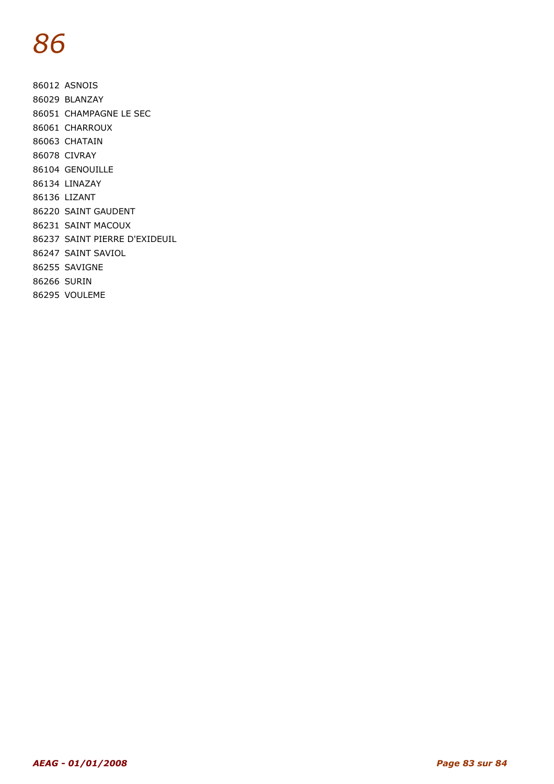86012 ASNOIS 86029 BLANZAY 86051 CHAMPAGNE LE SEC 86061 CHARROUX 86063 CHATAIN 86078 CIVRAY 86104 GENOUILLE 86134 LINAZAY 86136 LIZANT 86220 SAINT GAUDENT 86231 SAINT MACOUX 86237 SAINT PIERRE D'EXIDEUIL 86247 SAINT SAVIOL 86255 SAVIGNE 86266 SURIN 86295 VOULEME